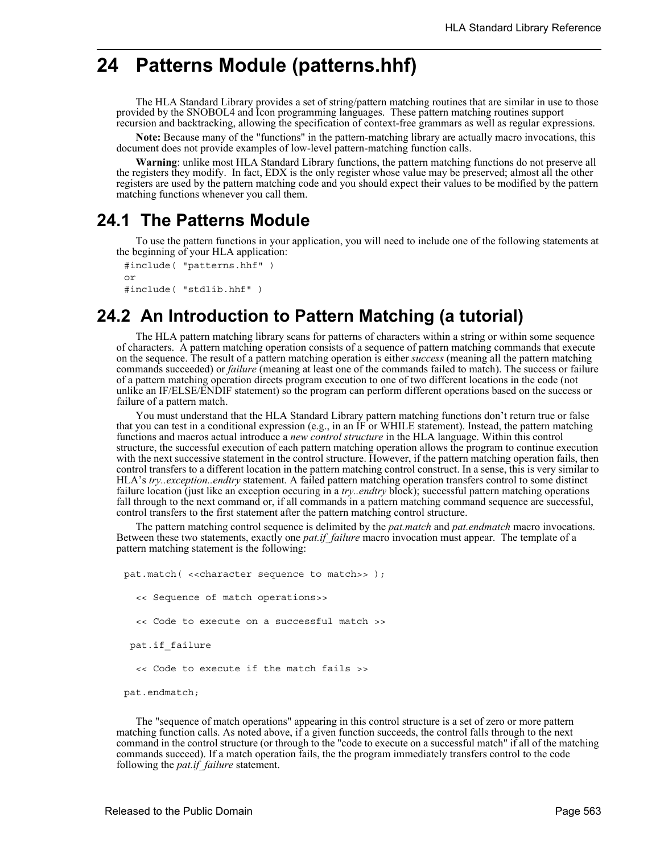# **24 Patterns Module (patterns.hhf)**

The HLA Standard Library provides a set of string/pattern matching routines that are similar in use to those provided by the SNOBOL4 and Icon programming languages. These pattern matching routines support recursion and backtracking, allowing the specification of context-free grammars as well as regular expressions.

**Note:** Because many of the "functions" in the pattern-matching library are actually macro invocations, this document does not provide examples of low-level pattern-matching function calls.

**Warning**: unlike most HLA Standard Library functions, the pattern matching functions do not preserve all the registers they modify. In fact, EDX is the only register whose value may be preserved; almost all the other registers are used by the pattern matching code and you should expect their values to be modified by the pattern matching functions whenever you call them.

## **24.1 The Patterns Module**

To use the pattern functions in your application, you will need to include one of the following statements at the beginning of your HLA application:

```
#include( "patterns.hhf" )
or
#include( "stdlib.hhf" )
```
# **24.2 An Introduction to Pattern Matching (a tutorial)**

The HLA pattern matching library scans for patterns of characters within a string or within some sequence of characters. A pattern matching operation consists of a sequence of pattern matching commands that execute on the sequence. The result of a pattern matching operation is either *success* (meaning all the pattern matching commands succeeded) or *failure* (meaning at least one of the commands failed to match). The success or failure of a pattern matching operation directs program execution to one of two different locations in the code (not unlike an IF/ELSE/ENDIF statement) so the program can perform different operations based on the success or failure of a pattern match.

You must understand that the HLA Standard Library pattern matching functions don't return true or false that you can test in a conditional expression (e.g., in an IF or WHILE statement). Instead, the pattern matching functions and macros actual introduce a *new control structure* in the HLA language. Within this control structure, the successful execution of each pattern matching operation allows the program to continue execution with the next successive statement in the control structure. However, if the pattern matching operation fails, then control transfers to a different location in the pattern matching control construct. In a sense, this is very similar to HLA's *try..exception..endtry* statement. A failed pattern matching operation transfers control to some distinct failure location (just like an exception occuring in a *try..endtry* block); successful pattern matching operations fall through to the next command or, if all commands in a pattern matching command sequence are successful, control transfers to the first statement after the pattern matching control structure.

The pattern matching control sequence is delimited by the *pat.match* and *pat.endmatch* macro invocations. Between these two statements, exactly one *pat.if\_failure* macro invocation must appear. The template of a pattern matching statement is the following:

pat.match( <<character sequence to match>> ); << Sequence of match operations>> << Code to execute on a successful match >> pat.if\_failure << Code to execute if the match fails >>

pat.endmatch;

The "sequence of match operations" appearing in this control structure is a set of zero or more pattern matching function calls. As noted above, if a given function succeeds, the control falls through to the next command in the control structure (or through to the "code to execute on a successful match" if all of the matching commands succeed). If a match operation fails, the the program immediately transfers control to the code following the *pat.if\_failure* statement.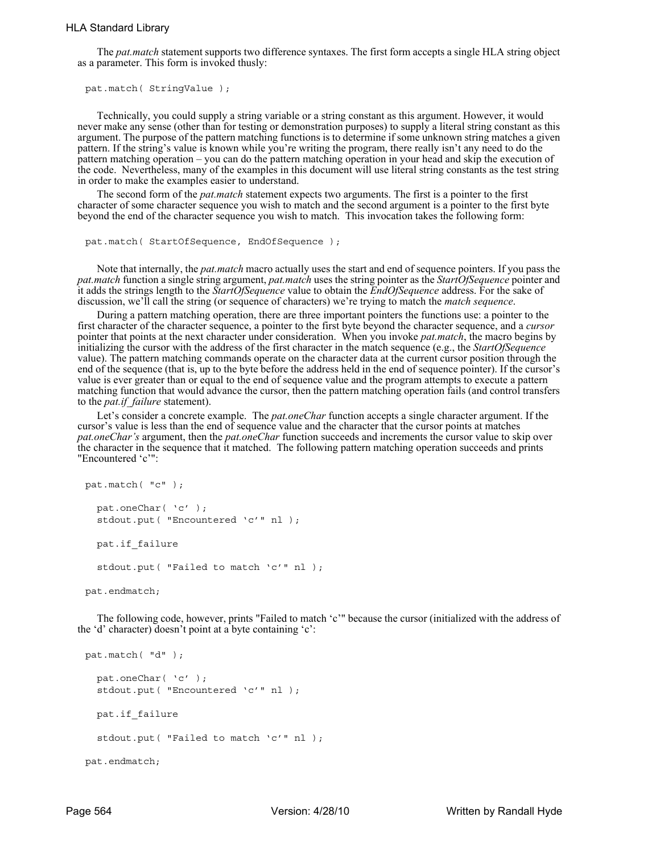## HLA Standard Library

The *pat.match* statement supports two difference syntaxes. The first form accepts a single HLA string object as a parameter. This form is invoked thusly:

```
pat.match( StringValue );
```
Technically, you could supply a string variable or a string constant as this argument. However, it would never make any sense (other than for testing or demonstration purposes) to supply a literal string constant as this argument. The purpose of the pattern matching functions is to determine if some unknown string matches a given pattern. If the string's value is known while you're writing the program, there really isn't any need to do the pattern matching operation – you can do the pattern matching operation in your head and skip the execution of the code. Nevertheless, many of the examples in this document will use literal string constants as the test string in order to make the examples easier to understand.

The second form of the *pat.match* statement expects two arguments. The first is a pointer to the first character of some character sequence you wish to match and the second argument is a pointer to the first byte beyond the end of the character sequence you wish to match. This invocation takes the following form:

```
pat.match( StartOfSequence, EndOfSequence );
```
Note that internally, the *pat.match* macro actually uses the start and end of sequence pointers. If you pass the *pat.match* function a single string argument, *pat.match* uses the string pointer as the *StartOfSequence* pointer and it adds the strings length to the *StartOfSequence* value to obtain the *EndOfSequence* address. For the sake of discussion, we'll call the string (or sequence of characters) we're trying to match the *match sequence*.

During a pattern matching operation, there are three important pointers the functions use: a pointer to the first character of the character sequence, a pointer to the first byte beyond the character sequence, and a *cursor* pointer that points at the next character under consideration. When you invoke *pat.match*, the macro begins by initializing the cursor with the address of the first character in the match sequence (e.g., the *StartOfSequence* value). The pattern matching commands operate on the character data at the current cursor position through the end of the sequence (that is, up to the byte before the address held in the end of sequence pointer). If the cursor's value is ever greater than or equal to the end of sequence value and the program attempts to execute a pattern matching function that would advance the cursor, then the pattern matching operation fails (and control transfers to the *pat.if\_failure* statement).

Let's consider a concrete example. The *pat.oneChar* function accepts a single character argument. If the cursor's value is less than the end of sequence value and the character that the cursor points at matches *pat.oneChar's* argument, then the *pat.oneChar* function succeeds and increments the cursor value to skip over the character in the sequence that it matched. The following pattern matching operation succeeds and prints "Encountered 'c'":

```
pat.match( "c" );
  pat.oneChar( 'c' );
  stdout.put( "Encountered 'c'" nl );
   pat.if_failure
  stdout.put( "Failed to match 'c'" nl );
```
pat.endmatch;

The following code, however, prints "Failed to match 'c'" because the cursor (initialized with the address of the 'd' character) doesn't point at a byte containing 'c':

```
pat.match( "d" );
  pat.oneChar( 'c' );
  stdout.put( "Encountered 'c'" nl );
  pat.if_failure
  stdout.put( "Failed to match 'c'" nl );
pat.endmatch;
```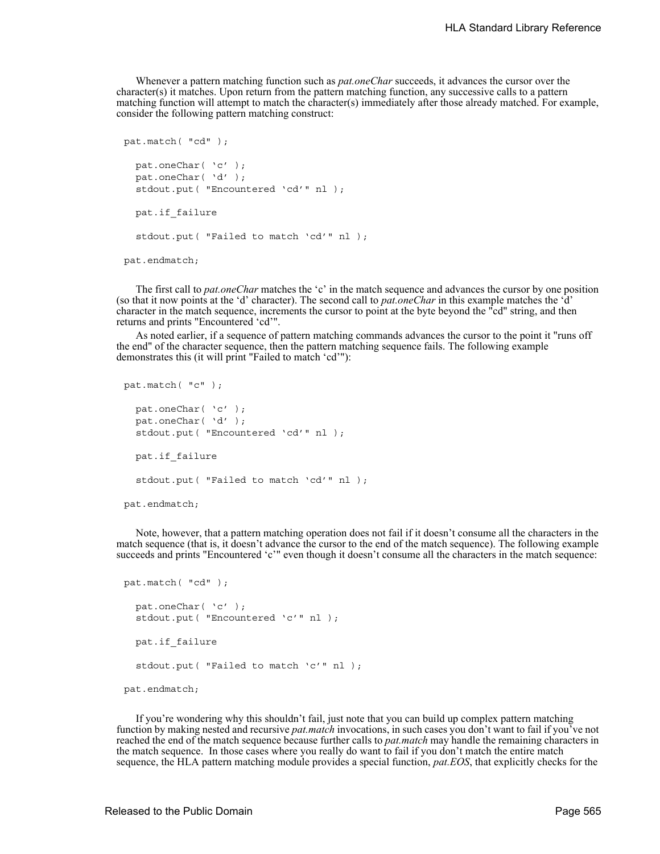Whenever a pattern matching function such as *pat.oneChar* succeeds, it advances the cursor over the character(s) it matches. Upon return from the pattern matching function, any successive calls to a pattern matching function will attempt to match the character(s) immediately after those already matched. For example, consider the following pattern matching construct:

```
pat.match( "cd" );
  pat.oneChar( 'c' );
  pat.oneChar( 'd' );
  stdout.put( "Encountered 'cd'" nl );
   pat.if_failure
  stdout.put( "Failed to match 'cd'" nl );
pat.endmatch;
```
The first call to *pat.oneChar* matches the 'c' in the match sequence and advances the cursor by one position (so that it now points at the 'd' character). The second call to *pat.oneChar* in this example matches the 'd' character in the match sequence, increments the cursor to point at the byte beyond the "cd" string, and then returns and prints "Encountered 'cd'".

As noted earlier, if a sequence of pattern matching commands advances the cursor to the point it "runs off the end" of the character sequence, then the pattern matching sequence fails. The following example demonstrates this (it will print "Failed to match 'cd'"):

```
pat.match( "c" );
  pat.oneChar( 'c' );
  pat.oneChar( 'd' );
  stdout.put( "Encountered 'cd'" nl );
   pat.if_failure
  stdout.put( "Failed to match 'cd'" nl );
pat.endmatch;
```
Note, however, that a pattern matching operation does not fail if it doesn't consume all the characters in the match sequence (that is, it doesn't advance the cursor to the end of the match sequence). The following example succeeds and prints "Encountered 'c'" even though it doesn't consume all the characters in the match sequence:

```
pat.match( "cd" );
  pat.oneChar( 'c' );
  stdout.put( "Encountered 'c'" nl );
   pat.if_failure
  stdout.put( "Failed to match 'c'" nl );
pat.endmatch;
```
If you're wondering why this shouldn't fail, just note that you can build up complex pattern matching function by making nested and recursive *pat.match* invocations, in such cases you don't want to fail if you<sup>7</sup>ve not reached the end of the match sequence because further calls to *pat.match* may handle the remaining characters in the match sequence. In those cases where you really do want to fail if you don't match the entire match sequence, the HLA pattern matching module provides a special function, *pat.EOS*, that explicitly checks for the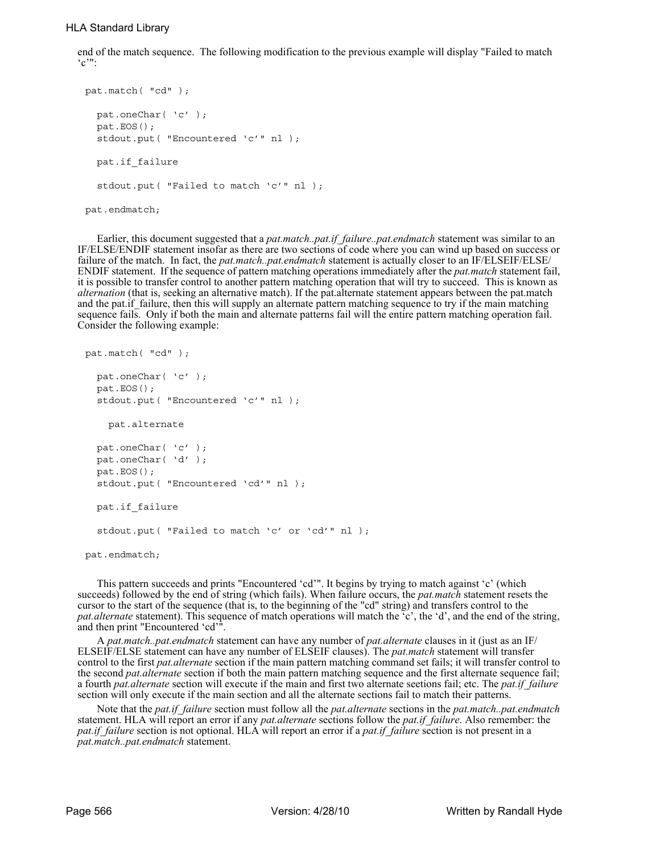## HLA Standard Library

end of the match sequence. The following modification to the previous example will display "Failed to match  $^{\circ}$  $^{\circ}$ ":

```
pat.match( "cd" );
  pat.oneChar( 'c' );
  pat.EOS();
  stdout.put( "Encountered 'c'" nl );
   pat.if_failure
  stdout.put( "Failed to match 'c'" nl );
pat.endmatch;
```
Earlier, this document suggested that a *pat.match..pat.if failure..pat.endmatch* statement was similar to an IF/ELSE/ENDIF statement insofar as there are two sections of code where you can wind up based on success or failure of the match. In fact, the *pat.match..pat.endmatch* statement is actually closer to an IF/ELSEIF/ELSE/ ENDIF statement. If the sequence of pattern matching operations immediately after the *pat.match* statement fail, it is possible to transfer control to another pattern matching operation that will try to succeed. This is known as *alternation* (that is, seeking an alternative match). If the pat.alternate statement appears between the pat.match and the pat.if failure, then this will supply an alternate pattern matching sequence to try if the main matching sequence fails. Only if both the main and alternate patterns fail will the entire pattern matching operation fail. Consider the following example:

```
pat.match( "cd" );
  pat.oneChar( 'c' );
  pat.EOS();
  stdout.put( "Encountered 'c'" nl );
     pat.alternate
  pat.oneChar( 'c' );
  pat.oneChar( 'd' );
  pat.EOS();
  stdout.put( "Encountered 'cd'" nl );
   pat.if_failure
  stdout.put( "Failed to match 'c' or 'cd'" nl );
pat.endmatch;
```
This pattern succeeds and prints "Encountered 'cd'". It begins by trying to match against 'c' (which succeeds) followed by the end of string (which fails). When failure occurs, the *pat.match* statement resets the cursor to the start of the sequence (that is, to the beginning of the "cd" string) and transfers control to the *pat.alternate* statement). This sequence of match operations will match the <sup> $\tilde{c}$ </sup>, the 'd', and the end of the string, and then print "Encountered 'cd'".

A *pat.match..pat.endmatch* statement can have any number of *pat.alternate* clauses in it (just as an IF/ ELSEIF/ELSE statement can have any number of ELSEIF clauses). The *pat.match* statement will transfer control to the first *pat.alternate* section if the main pattern matching command set fails; it will transfer control to the second *pat.alternate* section if both the main pattern matching sequence and the first alternate sequence fail; a fourth *pat.alternate* section will execute if the main and first two alternate seetions fail; etc. The *pat.if\_failure* section will only execute if the main section and all the alternate sections fail to match their patterns.

Note that the *pat.if\_failure* section must follow all the *pat.alternate* sections in the *pat.match..pat.endmatch* statement. HLA will report an error if any *pat.alternate* sections follow the *pat.if\_failure*. Also remember: the *pat.if failure* section is not optional. HLA will report an error if a *pat.if failure* section is not present in a *pat.match..pat.endmatch* statement.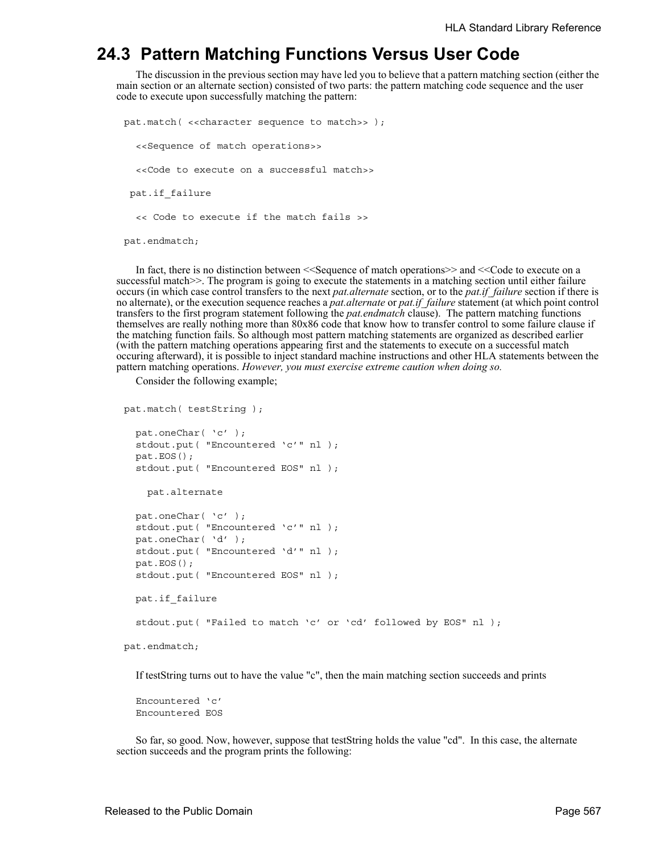## **24.3 Pattern Matching Functions Versus User Code**

The discussion in the previous section may have led you to believe that a pattern matching section (either the main section or an alternate section) consisted of two parts: the pattern matching code sequence and the user code to execute upon successfully matching the pattern:

```
pat.match( <<character sequence to match>> );
  <<Sequence of match operations>>
  <<Code to execute on a successful match>>
  pat.if_failure
  << Code to execute if the match fails >>
pat.endmatch;
```
In fact, there is no distinction between <<Sequence of match operations>> and <<Code to execute on a successful match>>. The program is going to execute the statements in a matching section until either failure occurs (in which case control transfers to the next *pat.alternate* section, or to the *pat.if\_failure* section if there is no alternate), or the execution sequence reaches a *pat.alternate* or *pat.if\_failure* statement (at which point control transfers to the first program statement following the *pat.endmatch* clause). The pattern matching functions themselves are really nothing more than 80x86 code that know how to transfer control to some failure clause if the matching function fails. So although most pattern matching statements are organized as described earlier (with the pattern matching operations appearing first and the statements to execute on a successful match occuring afterward), it is possible to inject standard machine instructions and other HLA statements between the pattern matching operations. *However, you must exercise extreme caution when doing so.* 

Consider the following example;

```
pat.match( testString );
  pat.oneChar( 'c' );
  stdout.put( "Encountered 'c'" nl );
  pat.EOS();
  stdout.put( "Encountered EOS" nl );
     pat.alternate
  pat.oneChar( 'c' );
  stdout.put( "Encountered 'c'" nl );
  pat.oneChar( 'd' );
  stdout.put( "Encountered 'd'" nl );
  pat.EOS();
  stdout.put( "Encountered EOS" nl );
   pat.if_failure
  stdout.put( "Failed to match 'c' or 'cd' followed by EOS" nl );
pat.endmatch;
```
If testString turns out to have the value "c", then the main matching section succeeds and prints

Encountered 'c' Encountered EOS

So far, so good. Now, however, suppose that testString holds the value "cd". In this case, the alternate section succeeds and the program prints the following: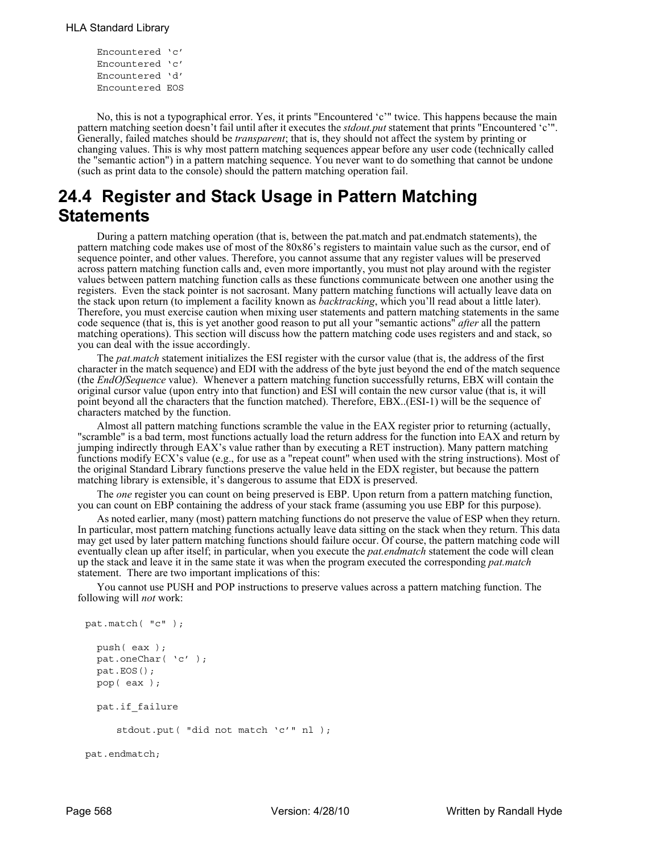```
Encountered 'c'
Encountered 'c'
Encountered 'd'
Encountered EOS
```
No, this is not a typographical error. Yes, it prints "Encountered 'c'" twice. This happens because the main pattern matching seetion doesn't fail until after it executes the *stdout.put* statement that prints "Encountered 'c'". Generally, failed matches should be *transparent*; that is, they should not affect the system by printing or changing values. This is why most pattern matching sequences appear before any user code (technically called the "semantic action") in a pattern matching sequence. You never want to do something that cannot be undone (such as print data to the console) should the pattern matching operation fail.

# **24.4 Register and Stack Usage in Pattern Matching Statements**

During a pattern matching operation (that is, between the pat.match and pat.endmatch statements), the pattern matching code makes use of most of the 80x86's registers to maintain value such as the cursor, end of sequence pointer, and other values. Therefore, you cannot assume that any register values will be preserved across pattern matching function calls and, even more importantly, you must not play around with the register values between pattern matching function calls as these functions communicate between one another using the registers. Even the stack pointer is not sacrosant. Many pattern matching functions will actually leave data on the stack upon return (to implement a facility known as *backtracking*, which you'll read about a little later). Therefore, you must exercise caution when mixing user statements and pattern matching statements in the same code sequence (that is, this is yet another good reason to put all your "semantic actions" *after* all the pattern matching operations). This section will discuss how the pattern matching code uses registers and and stack, so you can deal with the issue accordingly.

The *pat.match* statement initializes the ESI register with the cursor value (that is, the address of the first character in the match sequence) and EDI with the address of the byte just beyond the end of the match sequence (the *EndOfSequence* value). Whenever a pattern matching function successfully returns, EBX will contain the original cursor value (upon entry into that function) and ESI will contain the new cursor value (that is, it will point beyond all the characters that the function matched). Therefore, EBX..(ESI-1) will be the sequence of characters matched by the function.

Almost all pattern matching functions scramble the value in the EAX register prior to returning (actually, "scramble" is a bad term, most functions actually load the return address for the function into EAX and return by jumping indirectly through EAX's value rather than by executing a RET instruction). Many pattern matching functions modify ECX's value (e.g., for use as a "repeat count" when used with the string instructions). Most of the original Standard Library functions preserve the value held in the EDX register, but because the pattern matching library is extensible, it's dangerous to assume that EDX is preserved.

The *one* register you can count on being preserved is EBP. Upon return from a pattern matching function, you can count on EBP containing the address of your stack frame (assuming you use EBP for this purpose).

As noted earlier, many (most) pattern matching functions do not preserve the value of ESP when they return. In particular, most pattern matching functions actually leave data sitting on the stack when they return. This data may get used by later pattern matching functions should failure occur. Of course, the pattern matching code will eventually clean up after itself; in particular, when you execute the *pat.endmatch* statement the code will clean up the stack and leave it in the same state it was when the program executed the corresponding *pat.match* statement. There are two important implications of this:

You cannot use PUSH and POP instructions to preserve values across a pattern matching function. The following will *not* work:

```
pat.match( "c" );
  push( eax );
  pat.oneChar( 'c' );
  pat.EOS();
  pop( eax );
  pat.if_failure
     stdout.put( "did not match 'c'" nl );
pat.endmatch;
```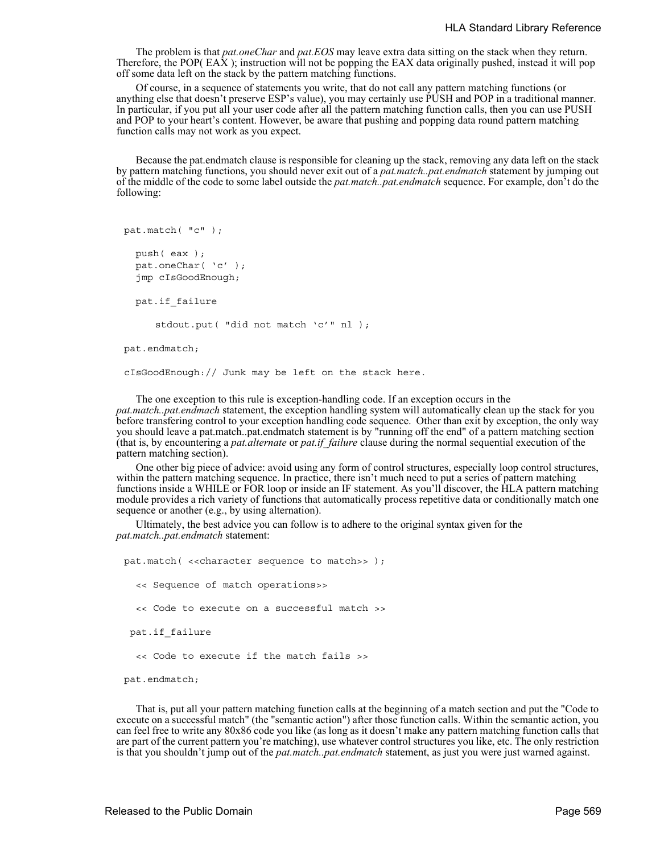The problem is that *pat.oneChar* and *pat.EOS* may leave extra data sitting on the stack when they return. Therefore, the POP( EAX ); instruction will not be popping the EAX data originally pushed, instead it will pop off some data left on the stack by the pattern matching functions.

Of course, in a sequence of statements you write, that do not call any pattern matching functions (or anything else that doesn't preserve ESP's value), you may certainly use PUSH and POP in a traditional manner. In particular, if you put all your user code after all the pattern matching function calls, then you can use PUSH and POP to your heart's content. However, be aware that pushing and popping data round pattern matching function calls may not work as you expect.

Because the pat.endmatch clause is responsible for cleaning up the stack, removing any data left on the stack by pattern matching functions, you should never exit out of a *pat.match..pat.endmatch* statement by jumping out of the middle of the code to some label outside the *pat.match..pat.endmatch* sequence. For example, don't do the following:

```
pat.match( "c" );
```

```
push( eax );
pat.oneChar( 'c' );
jmp cIsGoodEnough;
```
pat.if\_failure

stdout.put( "did not match 'c'" nl );

```
pat.endmatch;
```
cIsGoodEnough:// Junk may be left on the stack here.

The one exception to this rule is exception-handling code. If an exception occurs in the *pat.match..pat.endmach* statement, the exception handling system will automatically clean up the stack for you before transfering control to your exception handling code sequence. Other than exit by exception, the only way you should leave a pat.match..pat.endmatch statement is by "running off the end" of a pattern matching section (that is, by encountering a *pat.alternate* or *pat.if\_failure* clause during the normal sequential execution of the pattern matching section).

One other big piece of advice: avoid using any form of control structures, especially loop control structures, within the pattern matching sequence. In practice, there isn't much need to put a series of pattern matching functions inside a WHILE or FOR loop or inside an IF statement. As you'll discover, the HLA pattern matching module provides a rich variety of functions that automatically process repetitive data or conditionally match one sequence or another (e.g., by using alternation).

Ultimately, the best advice you can follow is to adhere to the original syntax given for the *pat.match..pat.endmatch* statement:

pat.match( <<character sequence to match>> ); << Sequence of match operations>> << Code to execute on a successful match >> pat.if\_failure << Code to execute if the match fails >>

pat.endmatch;

That is, put all your pattern matching function calls at the beginning of a match section and put the "Code to execute on a successful match" (the "semantic action") after those function calls. Within the semantic action, you can feel free to write any 80x86 code you like (as long as it doesn't make any pattern matching function calls that are part of the current pattern you're matching), use whatever control structures you like, etc. The only restriction is that you shouldn't jump out of the *pat.match..pat.endmatch* statement, as just you were just warned against.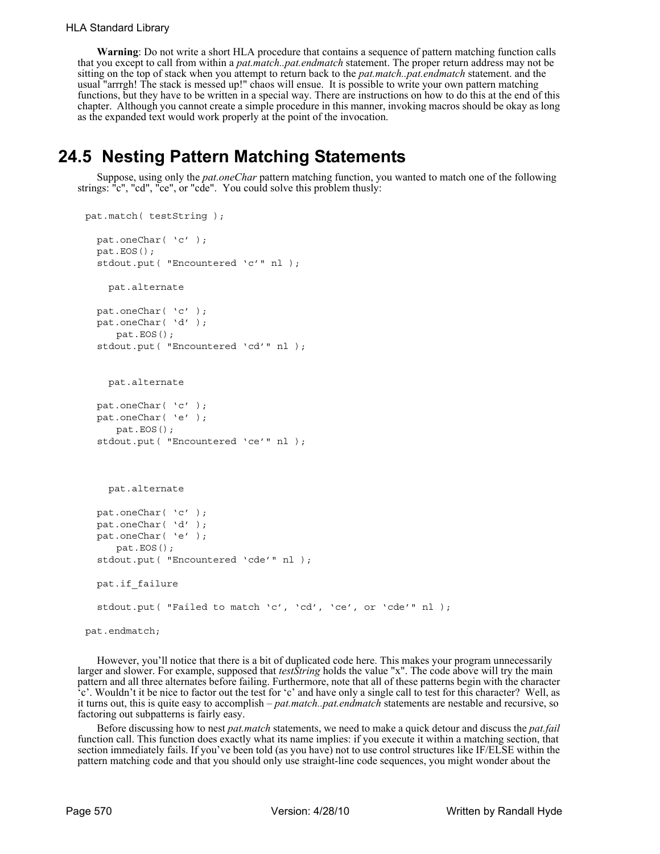**Warning**: Do not write a short HLA procedure that contains a sequence of pattern matching function calls that you except to call from within a *pat.match..pat.endmatch* statement. The proper return address may not be sitting on the top of stack when you attempt to return back to the *pat.match..pat.endmatch* statement. and the usual "arrrgh! The stack is messed up!" chaos will ensue. It is possible to write your own pattern matching functions, but they have to be written in a special way. There are instructions on how to do this at the end of this chapter. Although you cannot create a simple procedure in this manner, invoking macros should be okay as long as the expanded text would work properly at the point of the invocation.

# **24.5 Nesting Pattern Matching Statements**

Suppose, using only the *pat.oneChar* pattern matching function, you wanted to match one of the following strings: "c", "cd", "ce", or "cde". You could solve this problem thusly:

```
pat.match( testString );
  pat.oneChar( 'c' );
  pat.EOS();
  stdout.put( "Encountered 'c'" nl );
     pat.alternate
  pat.oneChar( 'c' );
  pat.oneChar( 'd' );
     pat.EOS();
  stdout.put( "Encountered 'cd'" nl );
     pat.alternate
  pat.oneChar( 'c' );
  pat.oneChar( 'e' );
     pat.EOS();
  stdout.put( "Encountered 'ce'" nl );
     pat.alternate
  pat.oneChar( 'c' );
  pat.oneChar( 'd' );
  pat.oneChar( 'e' );
     pat.EOS();
  stdout.put( "Encountered 'cde'" nl );
   pat.if_failure
  stdout.put( "Failed to match 'c', 'cd', 'ce', or 'cde'" nl );
pat.endmatch;
```
However, you'll notice that there is a bit of duplicated code here. This makes your program unnecessarily larger and slower. For example, supposed that *testString* holds the value "x". The code above will try the main pattern and all three alternates before failing. Furthermore, note that all of these patterns begin with the character 'c'. Wouldn't it be nice to factor out the test for 'c' and have only a single call to test for this character? Well, as it turns out, this is quite easy to accomplish – *pat.match..pat.endmatch* statements are nestable and recursive, so factoring out subpatterns is fairly easy.

Before discussing how to nest *pat.match* statements, we need to make a quick detour and discuss the *pat.fail* function call. This function does exactly what its name implies: if you execute it within a matching section, that section immediately fails. If you've been told (as you have) not to use control structures like IF/ELSE within the pattern matching code and that you should only use straight-line code sequences, you might wonder about the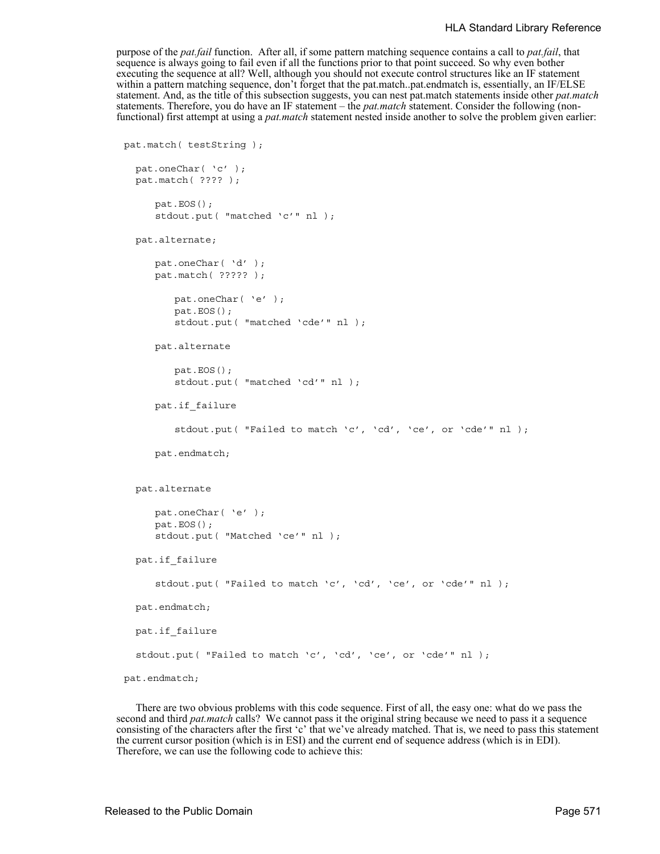purpose of the *pat.fail* function. After all, if some pattern matching sequence contains a call to *pat.fail*, that sequence is always going to fail even if all the functions prior to that point succeed. So why even bother executing the sequence at all? Well, although you should not execute control structures like an IF statement within a pattern matching sequence, don't forget that the pat.match..pat.endmatch is, essentially, an IF/ELSE statement. And, as the title of this subsection suggests, you can nest pat.match statements inside other *pat.match* statements. Therefore, you do have an IF statement – the *pat.match* statement. Consider the following (nonfunctional) first attempt at using a *pat.match* statement nested inside another to solve the problem given earlier:

```
pat.match( testString );
  pat.oneChar( 'c' );
  pat.match( ???? );
     pat.EOS();
     stdout.put( "matched 'c'" nl );
  pat.alternate;
     pat.oneChar( 'd' );
     pat.match( ????? );
         pat.oneChar( 'e' );
        pat.EOS();
         stdout.put( "matched 'cde'" nl );
     pat.alternate
         pat.EOS();
         stdout.put( "matched 'cd'" nl );
     pat.if_failure
         stdout.put( "Failed to match 'c', 'cd', 'ce', or 'cde'" nl );
     pat.endmatch;
  pat.alternate
     pat.oneChar( 'e' );
     pat.EOS();
     stdout.put( "Matched 'ce'" nl );
  pat.if_failure
     stdout.put( "Failed to match 'c', 'cd', 'ce', or 'cde'" nl );
  pat.endmatch;
   pat.if_failure
  stdout.put( "Failed to match 'c', 'cd', 'ce', or 'cde'" nl );
pat.endmatch;
```
There are two obvious problems with this code sequence. First of all, the easy one: what do we pass the second and third *pat.match* calls? We cannot pass it the original string because we need to pass it a sequence consisting of the characters after the first 'c' that we've already matched. That is, we need to pass this statement the current cursor position (which is in ESI) and the current end of sequence address (which is in EDI). Therefore, we can use the following code to achieve this: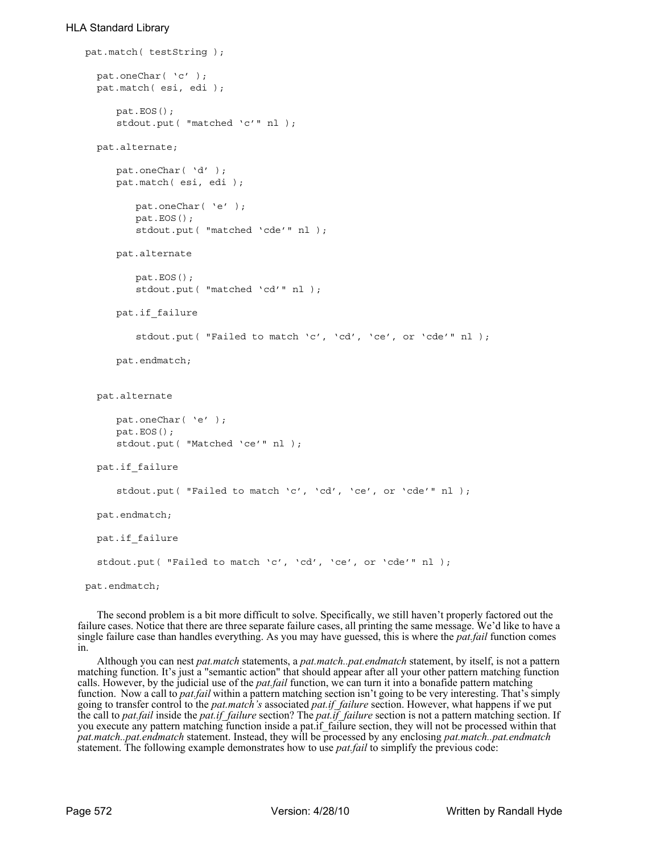## HLA Standard Library

```
pat.match( testString );
  pat.oneChar( 'c' );
  pat.match( esi, edi );
     pat.EOS();
     stdout.put( "matched 'c'" nl );
  pat.alternate;
     pat.oneChar( 'd' );
     pat.match( esi, edi );
        pat.oneChar( 'e' );
        pat.EOS();
         stdout.put( "matched 'cde'" nl );
     pat.alternate
        pat.EOS();
         stdout.put( "matched 'cd'" nl );
     pat.if_failure
         stdout.put( "Failed to match 'c', 'cd', 'ce', or 'cde'" nl );
     pat.endmatch;
  pat.alternate
     pat.oneChar( 'e' );
     pat.EOS();
     stdout.put( "Matched 'ce'" nl );
  pat.if_failure
     stdout.put( "Failed to match 'c', 'cd', 'ce', or 'cde'" nl );
 pat.endmatch;
   pat.if_failure
  stdout.put( "Failed to match 'c', 'cd', 'ce', or 'cde'" nl );
pat.endmatch;
```
The second problem is a bit more difficult to solve. Specifically, we still haven't properly factored out the failure cases. Notice that there are three separate failure cases, all printing the same message. We'd like to have a single failure case than handles everything. As you may have guessed, this is where the *pat.fail* function comes in.

Although you can nest *pat.match* statements, a *pat.match..pat.endmatch* statement, by itself, is not a pattern matching function. It's just a "semantic action" that should appear after all your other pattern matching function calls. However, by the judicial use of the *pat.fail* function, we can turn it into a bonafide pattern matching function. Now a call to *pat.fail* within a pattern matching section isn't going to be very interesting. That's simply going to transfer control to the *pat.match's* associated *pat.if\_failure* section. However, what happens if we put the call to *pat.fail* inside the *pat.if\_failure* section? The *pat.if\_failure* section is not a pattern matching section. If you execute any pattern matching function inside a pat.if failure section, they will not be processed within that *pat.match..pat.endmatch* statement. Instead, they will be processed by any enclosing *pat.match..pat.endmatch* statement. The following example demonstrates how to use *pat.fail* to simplify the previous code: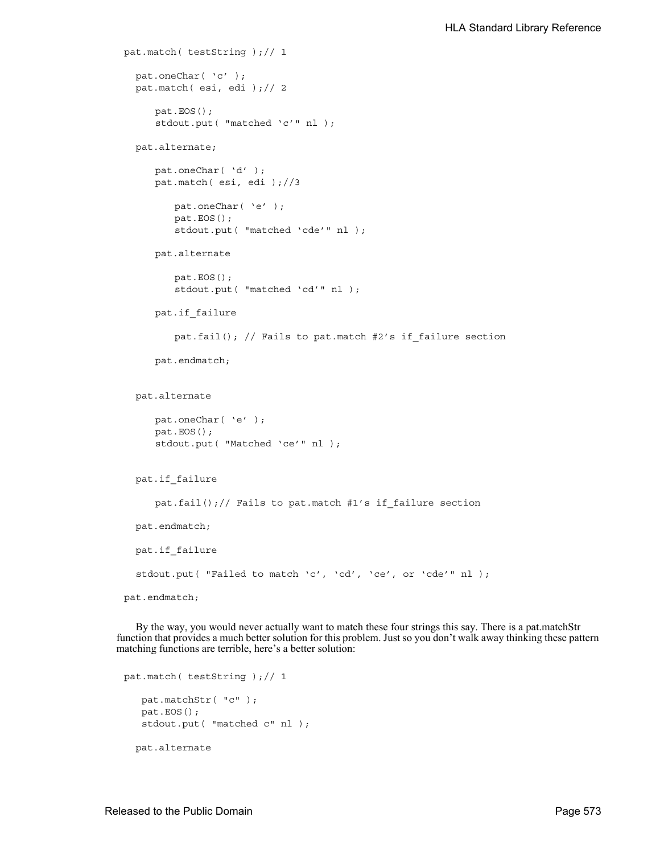```
pat.match( testString );// 1
  pat.oneChar( 'c' );
  pat.match( esi, edi );// 2
     pat.EOS();
     stdout.put( "matched 'c'" nl );
  pat.alternate;
     pat.oneChar( 'd' );
     pat.match( esi, edi );//3
         pat.oneChar( 'e' );
        pat.EOS();
         stdout.put( "matched 'cde'" nl );
     pat.alternate
         pat.EOS();
         stdout.put( "matched 'cd'" nl );
     pat.if_failure
         pat.fail(); // Fails to pat.match #2's if_failure section
     pat.endmatch;
  pat.alternate
     pat.oneChar( 'e' );
     pat.EOS();
     stdout.put( "Matched 'ce'" nl );
  pat.if_failure
     pat.fail();// Fails to pat.match #1's if_failure section
  pat.endmatch;
   pat.if_failure
  stdout.put( "Failed to match 'c', 'cd', 'ce', or 'cde'" nl );
pat.endmatch;
```
By the way, you would never actually want to match these four strings this say. There is a pat.matchStr function that provides a much better solution for this problem. Just so you don't walk away thinking these pattern matching functions are terrible, here's a better solution:

```
pat.match( testString );// 1
    pat.matchStr( "c" );
    pat.EOS();
    stdout.put( "matched c" nl );
   pat.alternate
```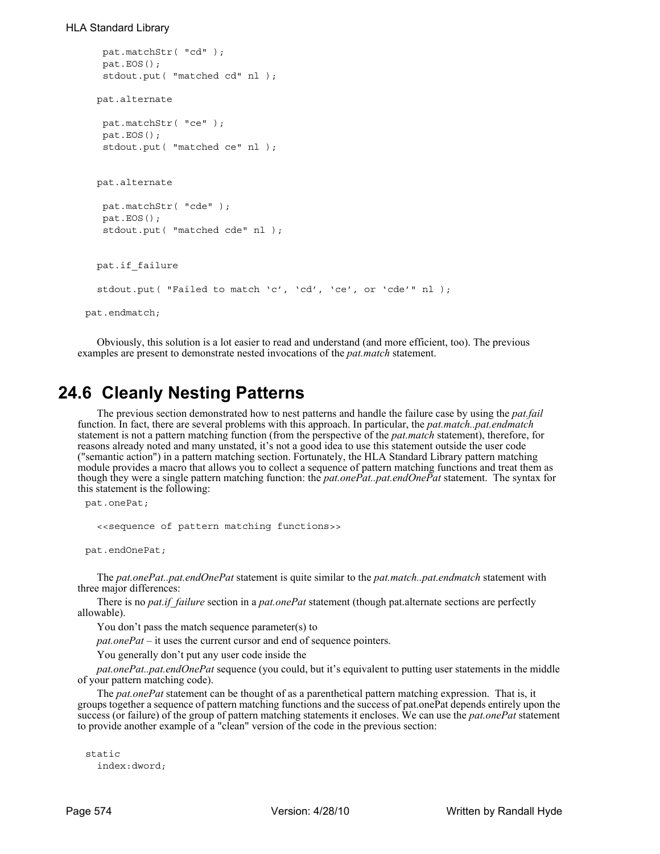## HLA Standard Library

```
 pat.matchStr( "cd" );
    pat.EOS();
    stdout.put( "matched cd" nl );
   pat.alternate
   pat.matchStr( "ce" );
   pat.EOS();
    stdout.put( "matched ce" nl );
   pat.alternate
    pat.matchStr( "cde" );
   pat.EOS();
    stdout.put( "matched cde" nl );
   pat.if_failure
  stdout.put( "Failed to match 'c', 'cd', 'ce', or 'cde'" nl );
pat.endmatch;
```
Obviously, this solution is a lot easier to read and understand (and more efficient, too). The previous examples are present to demonstrate nested invocations of the *pat.match* statement.

## **24.6 Cleanly Nesting Patterns**

The previous section demonstrated how to nest patterns and handle the failure case by using the *pat.fail* function. In fact, there are several problems with this approach. In particular, the *pat.match..pat.endmatch* statement is not a pattern matching function (from the perspective of the *pat.match* statement), therefore, for reasons already noted and many unstated, it's not a good idea to use this statement outside the user code ("semantic action") in a pattern matching section. Fortunately, the HLA Standard Library pattern matching module provides a macro that allows you to collect a sequence of pattern matching functions and treat them as though they were a single pattern matching function: the *pat.onePat..pat.endOnePat* statement. The syntax for this statement is the following:

```
pat.onePat;
```

```
<<sequence of pattern matching functions>>
```
pat.endOnePat;

The *pat.onePat..pat.endOnePat* statement is quite similar to the *pat.match..pat.endmatch* statement with three major differences:

There is no *pat.if\_failure* section in a *pat.onePat* statement (though pat.alternate sections are perfectly allowable).

You don't pass the match sequence parameter(s) to

*pat.onePat* – it uses the current cursor and end of sequence pointers.

You generally don't put any user code inside the

*pat.onePat..pat.endOnePat* sequence (you could, but it's equivalent to putting user statements in the middle of your pattern matching code).

The *pat.onePat* statement can be thought of as a parenthetical pattern matching expression. That is, it groups together a sequence of pattern matching functions and the success of pat.onePat depends entirely upon the success (or failure) of the group of pattern matching statements it encloses. We can use the *pat.onePat* statement to provide another example of a "clean" version of the code in the previous section:

```
static
  index:dword;
```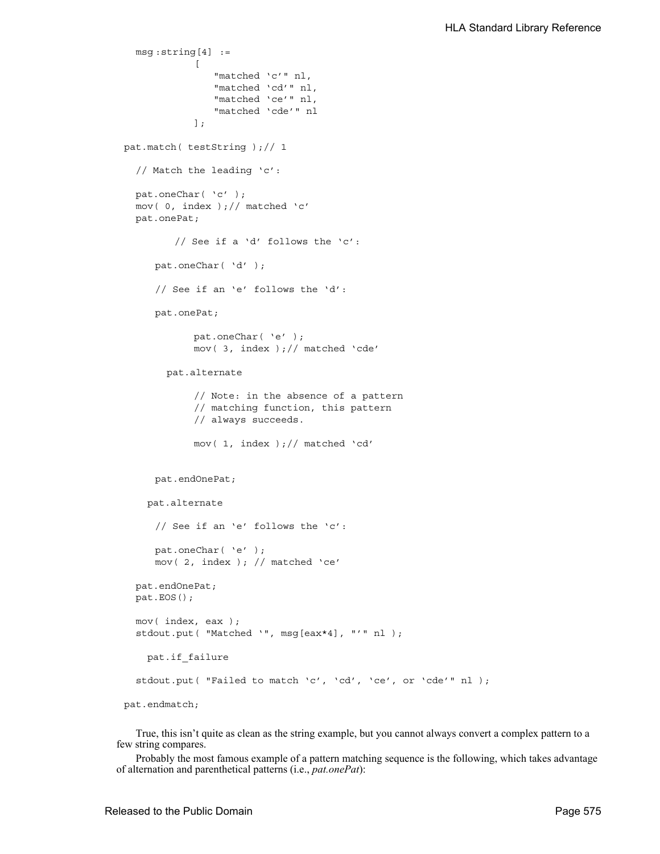```
msg :string[4] :=
            [
               "matched 'c'" nl,
               "matched 'cd'" nl,
               "matched 'ce'" nl,
                "matched 'cde'" nl
            ];
pat.match( testString );// 1
  // Match the leading 'c':
  pat.oneChar( 'c' );
  mov( 0, index );// matched 'c'
  pat.onePat;
         // See if a 'd' follows the 'c':
     pat.oneChar( 'd' );
     // See if an 'e' follows the 'd':
     pat.onePat;
            pat.oneChar( 'e' );
            mov( 3, index );// matched 'cde'
        pat.alternate
            // Note: in the absence of a pattern
            // matching function, this pattern
            // always succeeds.
            mov( 1, index );// matched 'cd' 
     pat.endOnePat;
     pat.alternate
     // See if an 'e' follows the 'c':
     pat.oneChar( 'e' );
     mov( 2, index ); // matched 'ce'
  pat.endOnePat;
  pat.EOS();
  mov( index, eax );
  stdout.put( "Matched '", msg[eax*4], "'" nl );
     pat.if_failure
  stdout.put( "Failed to match 'c', 'cd', 'ce', or 'cde'" nl );
pat.endmatch;
```
True, this isn't quite as clean as the string example, but you cannot always convert a complex pattern to a few string compares.

Probably the most famous example of a pattern matching sequence is the following, which takes advantage of alternation and parenthetical patterns (i.e., *pat.onePat*):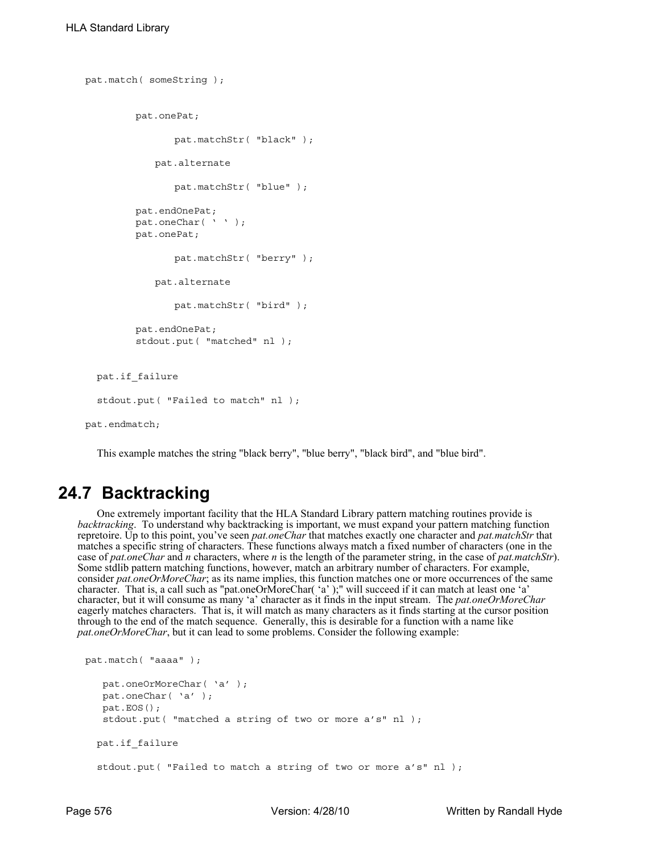```
pat.match( someString );
        pat.onePat;
                pat.matchStr( "black" );
            pat.alternate
                pat.matchStr( "blue" );
         pat.endOnePat;
        pat.oneChar( ' ' );
        pat.onePat;
                pat.matchStr( "berry" );
            pat.alternate
                pat.matchStr( "bird" );
         pat.endOnePat;
         stdout.put( "matched" nl );
   pat.if_failure
  stdout.put( "Failed to match" nl );
pat.endmatch;
```
This example matches the string "black berry", "blue berry", "black bird", and "blue bird".

# **24.7 Backtracking**

One extremely important facility that the HLA Standard Library pattern matching routines provide is *backtracking*. To understand why backtracking is important, we must expand your pattern matching function repretoire. Up to this point, you've seen *pat.oneChar* that matches exactly one character and *pat.matchStr* that matches a specific string of characters. These functions always match a fixed number of characters (one in the case of *pat.oneChar* and *n* characters, where *n* is the length of the parameter string, in the case of *pat.matchStr*). Some stdlib pattern matching functions, however, match an arbitrary number of characters. For example, consider *pat.oneOrMoreChar*; as its name implies, this function matches one or more occurrences of the same character. That is, a call such as "pat.oneOrMoreChar( 'a' );" will succeed if it can match at least one 'a' character, but it will consume as many 'a' character as it finds in the input stream. The *pat.oneOrMoreChar* eagerly matches characters. That is, it will match as many characters as it finds starting at the cursor position through to the end of the match sequence. Generally, this is desirable for a function with a name like *pat.oneOrMoreChar*, but it can lead to some problems. Consider the following example:

```
pat.match( "aaaa" );
    pat.oneOrMoreChar( 'a' );
    pat.oneChar( 'a' );
    pat.EOS();
    stdout.put( "matched a string of two or more a's" nl );
   pat.if_failure
  stdout.put( "Failed to match a string of two or more a's" nl );
```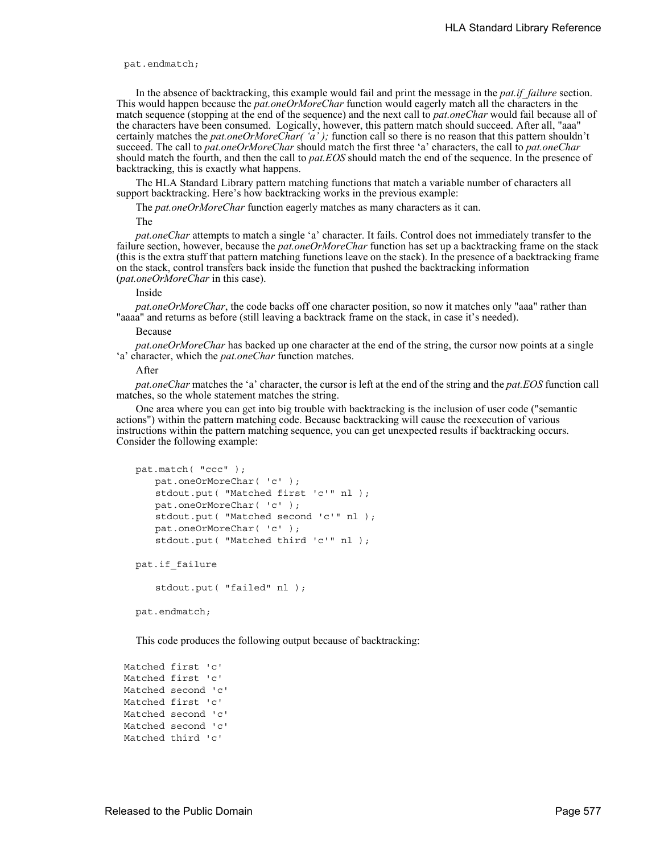pat.endmatch;

In the absence of backtracking, this example would fail and print the message in the *pat.if\_failure* section. This would happen because the *pat.oneOrMoreChar* function would eagerly match all the characters in the match sequence (stopping at the end of the sequence) and the next call to *pat.oneChar* would fail because all of the characters have been consumed. Logically, however, this pattern match should succeed. After all, "aaa" certainly matches the *pat.oneOrMoreChar( 'a' );* function call so there is no reason that this pattern shouldn't succeed. The call to *pat.oneOrMoreChar* should match the first three 'a' characters, the call to *pat.oneChar* should match the fourth, and then the call to *pat.EOS* should match the end of the sequence. In the presence of backtracking, this is exactly what happens.

The HLA Standard Library pattern matching functions that match a variable number of characters all support backtracking. Here's how backtracking works in the previous example:

The *pat.oneOrMoreChar* function eagerly matches as many characters as it can.

The

*pat.oneChar* attempts to match a single 'a' character. It fails. Control does not immediately transfer to the failure section, however, because the *pat.oneOrMoreChar* function has set up a backtracking frame on the stack (this is the extra stuff that pattern matching functions leave on the stack). In the presence of a backtracking frame on the stack, control transfers back inside the function that pushed the backtracking information (*pat.oneOrMoreChar* in this case).

Inside

*pat.oneOrMoreChar*, the code backs off one character position, so now it matches only "aaa" rather than "aaaa" and returns as before (still leaving a backtrack frame on the stack, in case it's needed).

Because

*pat.oneOrMoreChar* has backed up one character at the end of the string, the cursor now points at a single 'a' character, which the *pat.oneChar* function matches.

After

*pat.oneChar* matches the 'a' character, the cursor is left at the end of the string and the *pat.EOS* function call matches, so the whole statement matches the string.

One area where you can get into big trouble with backtracking is the inclusion of user code ("semantic actions") within the pattern matching code. Because backtracking will cause the reexecution of various instructions within the pattern matching sequence, you can get unexpected results if backtracking occurs. Consider the following example:

```
pat.match( "ccc" );
   pat.oneOrMoreChar( 'c' );
   stdout.put( "Matched first 'c'" nl );
   pat.oneOrMoreChar( 'c' );
   stdout.put( "Matched second 'c'" nl );
   pat.oneOrMoreChar( 'c' );
   stdout.put( "Matched third 'c'" nl );
```
pat.if\_failure

```
stdout.put( "failed" nl );
```
pat.endmatch;

This code produces the following output because of backtracking:

Matched first 'c' Matched first 'c' Matched second 'c' Matched first 'c' Matched second 'c' Matched second 'c' Matched third 'c'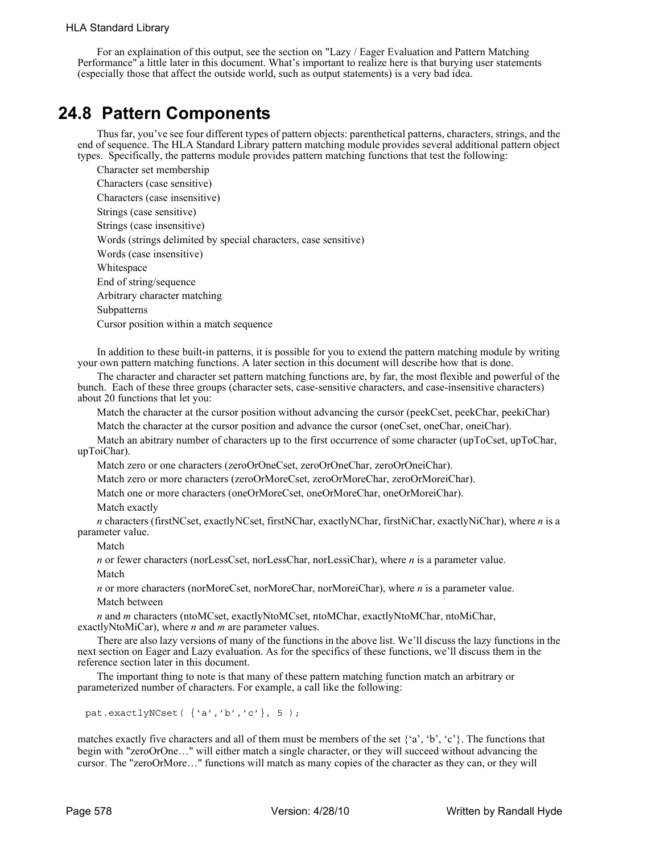For an explaination of this output, see the section on "Lazy / Eager Evaluation and Pattern Matching Performance" a little later in this document. What's important to realize here is that burying user statements (especially those that affect the outside world, such as output statements) is a very bad idea.

# **24.8 Pattern Components**

Thus far, you've see four different types of pattern objects: parenthetical patterns, characters, strings, and the end of sequence. The HLA Standard Library pattern matching module provides several additional pattern object types. Specifically, the patterns module provides pattern matching functions that test the following:

Character set membership Characters (case sensitive) Characters (case insensitive) Strings (case sensitive) Strings (case insensitive) Words (strings delimited by special characters, case sensitive) Words (case insensitive) Whitespace End of string/sequence Arbitrary character matching Subpatterns Cursor position within a match sequence

In addition to these built-in patterns, it is possible for you to extend the pattern matching module by writing your own pattern matching functions. A later section in this document will describe how that is done.

The character and character set pattern matching functions are, by far, the most flexible and powerful of the bunch. Each of these three groups (character sets, case-sensitive characters, and case-insensitive characters) about 20 functions that let you:

Match the character at the cursor position without advancing the cursor (peekCset, peekChar, peekiChar)

Match the character at the cursor position and advance the cursor (oneCset, oneChar, oneiChar).

Match an abitrary number of characters up to the first occurrence of some character (upToCset, upToChar, upToiChar).

Match zero or one characters (zeroOrOneCset, zeroOrOneChar, zeroOrOneiChar).

Match zero or more characters (zeroOrMoreCset, zeroOrMoreChar, zeroOrMoreiChar).

Match one or more characters (oneOrMoreCset, oneOrMoreChar, oneOrMoreiChar).

Match exactly

*n* characters (firstNCset, exactlyNCset, firstNChar, exactlyNChar, firstNiChar, exactlyNiChar), where *n* is a parameter value.

Match

*n* or fewer characters (norLessCset, norLessChar, norLessiChar), where *n* is a parameter value. Match

*n* or more characters (norMoreCset, norMoreChar, norMoreiChar), where *n* is a parameter value. Match between

*n* and *m* characters (ntoMCset, exactlyNtoMCset, ntoMChar, exactlyNtoMChar, ntoMiChar, exactlyNtoMiCar), where *n* and *m* are parameter values.

There are also lazy versions of many of the functions in the above list. We'll discuss the lazy functions in the next section on Eager and Lazy evaluation. As for the specifics of these functions, we'll discuss them in the reference section later in this document.

The important thing to note is that many of these pattern matching function match an arbitrary or parameterized number of characters. For example, a call like the following:

pat.exactlyNCset( {'a','b','c'}, 5 );

matches exactly five characters and all of them must be members of the set {'a', 'b', 'c'}. The functions that begin with "zeroOrOne…" will either match a single character, or they will succeed without advancing the cursor. The "zeroOrMore…" functions will match as many copies of the character as they can, or they will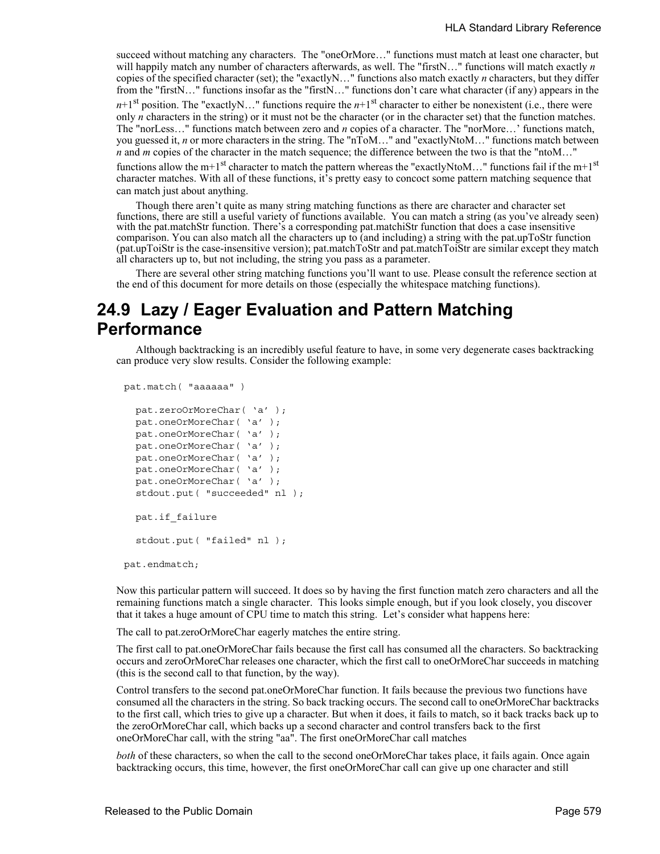succeed without matching any characters. The "oneOrMore..." functions must match at least one character, but will happily match any number of characters afterwards, as well. The "firstN..." functions will match exactly *n* copies of the specified character (set); the "exactlyN…" functions also match exactly *n* characters, but they differ from the "firstN..." functions insofar as the "firstN..." functions don't care what character (if any) appears in the  $n+1$ <sup>st</sup> position. The "exactlyN…" functions require the  $n+1$ <sup>st</sup> character to either be nonexistent (i.e., there were only *n* characters in the string) or it must not be the character (or in the character set) that the function matches. The "norLess…" functions match between zero and *n* copies of a character. The "norMore…' functions match, you guessed it, *n* or more characters in the string. The "nToM…" and "exactlyNtoM…" functions match between *n* and *m* copies of the character in the match sequence; the difference between the two is that the "ntoM..." functions allow the m+1<sup>st</sup> character to match the pattern whereas the "exactlyNtoM..." functions fail if the m+1<sup>st</sup> character matches. With all of these functions, it's pretty easy to concoct some pattern matching sequence that can match just about anything.

Though there aren't quite as many string matching functions as there are character and character set functions, there are still a useful variety of functions available. You can match a string (as you've already seen) with the pat.matchStr function. There's a corresponding pat.matchiStr function that does a case insensitive comparison. You can also match all the characters up to (and including) a string with the pat.upToStr function (pat.upToiStr is the case-insensitive version); pat.matchToStr and pat.matchToiStr are similar except they match all characters up to, but not including, the string you pass as a parameter.

There are several other string matching functions you'll want to use. Please consult the reference section at the end of this document for more details on those (especially the whitespace matching functions).

# **24.9 Lazy / Eager Evaluation and Pattern Matching Performance**

Although backtracking is an incredibly useful feature to have, in some very degenerate cases backtracking can produce very slow results. Consider the following example:

```
pat.match( "aaaaaa" )
```

```
pat.zeroOrMoreChar( 'a' );
pat.oneOrMoreChar( 'a' );
pat.oneOrMoreChar( 'a' );
pat.oneOrMoreChar( 'a' );
pat.oneOrMoreChar( 'a' );
pat.oneOrMoreChar( 'a' );
pat.oneOrMoreChar( 'a' );
stdout.put( "succeeded" nl );
 pat.if_failure
stdout.put( "failed" nl );
```
pat.endmatch;

Now this particular pattern will succeed. It does so by having the first function match zero characters and all the remaining functions match a single character. This looks simple enough, but if you look closely, you discover that it takes a huge amount of CPU time to match this string. Let's consider what happens here:

The call to pat.zeroOrMoreChar eagerly matches the entire string.

The first call to pat.oneOrMoreChar fails because the first call has consumed all the characters. So backtracking occurs and zeroOrMoreChar releases one character, which the first call to oneOrMoreChar succeeds in matching (this is the second call to that function, by the way).

Control transfers to the second pat.oneOrMoreChar function. It fails because the previous two functions have consumed all the characters in the string. So back tracking occurs. The second call to oneOrMoreChar backtracks to the first call, which tries to give up a character. But when it does, it fails to match, so it back tracks back up to the zeroOrMoreChar call, which backs up a second character and control transfers back to the first oneOrMoreChar call, with the string "aa". The first oneOrMoreChar call matches

*both* of these characters, so when the call to the second oneOrMoreChar takes place, it fails again. Once again backtracking occurs, this time, however, the first oneOrMoreChar call can give up one character and still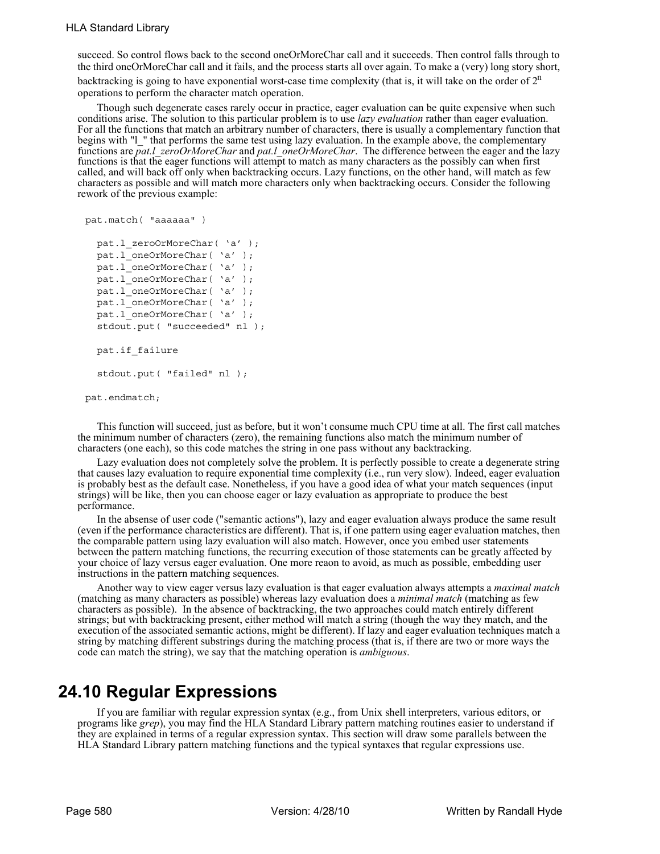succeed. So control flows back to the second oneOrMoreChar call and it succeeds. Then control falls through to the third oneOrMoreChar call and it fails, and the process starts all over again. To make a (very) long story short, backtracking is going to have exponential worst-case time complexity (that is, it will take on the order of  $2<sup>n</sup>$ operations to perform the character match operation.

Though such degenerate cases rarely occur in practice, eager evaluation can be quite expensive when such conditions arise. The solution to this particular problem is to use *lazy evaluation* rather than eager evaluation. For all the functions that match an arbitrary number of characters, there is usually a complementary function that begins with "l\_" that performs the same test using lazy evaluation. In the example above, the complementary functions are *pat.l\_zeroOrMoreChar* and *pat.l\_oneOrMoreChar*. The difference between the eager and the lazy functions is that the eager functions will attempt to match as many characters as the possibly can when first called, and will back off only when backtracking occurs. Lazy functions, on the other hand, will match as few characters as possible and will match more characters only when backtracking occurs. Consider the following rework of the previous example:

```
pat.match( "aaaaaa" )
  pat.l_zeroOrMoreChar( 'a' );
  pat.l oneOrMoreChar( 'a' );
  pat.l oneOrMoreChar( 'a' );
  pat.l oneOrMoreChar( 'a' );
  pat.1 oneOrMoreChar( 'a' );
  pat.l_oneOrMoreChar( 'a' );
  pat.l_oneOrMoreChar( 'a' );
  stdout.put( "succeeded" nl );
   pat.if_failure
  stdout.put( "failed" nl );
pat.endmatch;
```
This function will succeed, just as before, but it won't consume much CPU time at all. The first call matches the minimum number of characters (zero), the remaining functions also match the minimum number of characters (one each), so this code matches the string in one pass without any backtracking.

Lazy evaluation does not completely solve the problem. It is perfectly possible to create a degenerate string that causes lazy evaluation to require exponential time complexity (i.e., run very slow). Indeed, eager evaluation is probably best as the default case. Nonetheless, if you have a good idea of what your match sequences (input strings) will be like, then you can choose eager or lazy evaluation as appropriate to produce the best performance.

In the absense of user code ("semantic actions"), lazy and eager evaluation always produce the same result (even if the performance characteristics are different). That is, if one pattern using eager evaluation matches, then the comparable pattern using lazy evaluation will also match. However, once you embed user statements between the pattern matching functions, the recurring execution of those statements can be greatly affected by your choice of lazy versus eager evaluation. One more reaon to avoid, as much as possible, embedding user instructions in the pattern matching sequences.

Another way to view eager versus lazy evaluation is that eager evaluation always attempts a *maximal match* (matching as many characters as possible) whereas lazy evaluation does a *minimal match* (matching as few characters as possible). In the absence of backtracking, the two approaches could match entirely different strings; but with backtracking present, either method will match a string (though the way they match, and the execution of the associated semantic actions, might be different). If lazy and eager evaluation techniques match a string by matching different substrings during the matching process (that is, if there are two or more ways the code can match the string), we say that the matching operation is *ambiguous*.

# **24.10 Regular Expressions**

If you are familiar with regular expression syntax (e.g., from Unix shell interpreters, various editors, or programs like *grep*), you may find the HLA Standard Library pattern matching routines easier to understand if they are explained in terms of a regular expression syntax. This section will draw some parallels between the HLA Standard Library pattern matching functions and the typical syntaxes that regular expressions use.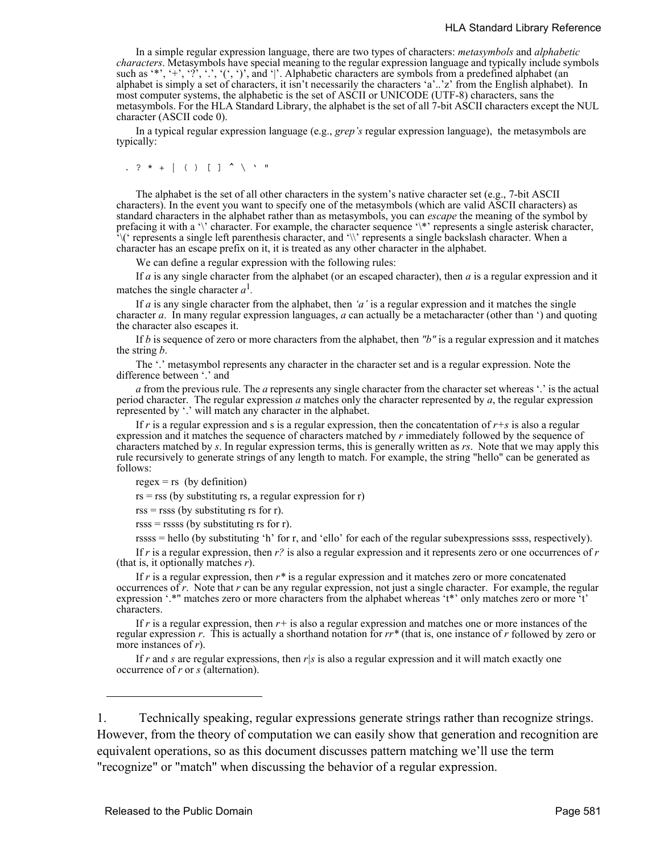#### HLA Standard Library Reference

In a simple regular expression language, there are two types of characters: *metasymbols* and *alphabetic characters*. Metasymbols have special meaning to the regular expression language and typically include symbols such as '\*', '+', '?', '.', '(', ')', and '|'. Alphabetic characters are symbols from a predefined alphabet (an alphabet is simply a set of characters, it isn't necessarily the characters 'a'..'z' from the English alphabet). In most computer systems, the alphabetic is the set of ASCII or UNICODE (UTF-8) characters, sans the metasymbols. For the HLA Standard Library, the alphabet is the set of all 7-bit ASCII characters except the NUL character (ASCII code 0).

In a typical regular expression language (e.g., *grep's* regular expression language), the metasymbols are typically:

. ? \* +  $|$  ( )  $|$   $|$   $\uparrow$   $\searrow$  '"

The alphabet is the set of all other characters in the system's native character set (e.g., 7-bit ASCII characters). In the event you want to specify one of the metasymbols (which are valid ASCII characters) as standard characters in the alphabet rather than as metasymbols, you can *escape* the meaning of the symbol by prefacing it with a '\' character. For example, the character sequence '\\*' represents a single asterisk character,  $\sqrt{\frac{1}{2}}$  represents a single left parenthesis character, and '\\' represents a single backslash character. When a character has an escape prefix on it, it is treated as any other character in the alphabet.

We can define a regular expression with the following rules:

If *a* is any single character from the alphabet (or an escaped character), then *a* is a regular expression and it matches the single character  $a^1$ .

If *a* is any single character from the alphabet, then *'a'* is a regular expression and it matches the single character *a*. In many regular expression languages, *a* can actually be a metacharacter (other than ') and quoting the character also escapes it.

If *b* is sequence of zero or more characters from the alphabet, then *"b"* is a regular expression and it matches the string *b*.

The '.' metasymbol represents any character in the character set and is a regular expression. Note the difference between '.' and

*a* from the previous rule. The *a* represents any single character from the character set whereas '.' is the actual period character. The regular expression *a* matches only the character represented by *a*, the regular expression represented by '.' will match any character in the alphabet.

If  $r$  is a regular expression and s is a regular expression, then the concatentation of  $r+s$  is also a regular expression and it matches the sequence of characters matched by *r* immediately followed by the sequence of characters matched by *s*. In regular expression terms, this is generally written as *rs*. Note that we may apply this rule recursively to generate strings of any length to match. For example, the string "hello" can be generated as follows:

 $regex = rs$  (by definition)

 $rs = rss$  (by substituting rs, a regular expression for r)

 $rss = rsss$  (by substituting rs for r).

 $rsss = rssss$  (by substituting rs for r).

rssss = hello (by substituting 'h' for r, and 'ello' for each of the regular subexpressions ssss, respectively).

If *r* is a regular expression, then *r?* is also a regular expression and it represents zero or one occurrences of *r* (that is, it optionally matches *r*).

If r is a regular expression, then  $r^*$  is a regular expression and it matches zero or more concatenated occurrences of *r*. Note that *r* can be any regular expression, not just a single character. For example, the regular expression '.\*" matches zero or more characters from the alphabet whereas 't\*' only matches zero or more 't' characters.

If *r* is a regular expression, then *r+* is also a regular expression and matches one or more instances of the regular expression *r*. This is actually a shorthand notation for *rr\** (that is, one instance of *r* followed by zero or more instances of *r*).

If *r* and *s* are regular expressions, then *r|s* is also a regular expression and it will match exactly one occurrence of *r* or *s* (alternation).

1. Technically speaking, regular expressions generate strings rather than recognize strings. However, from the theory of computation we can easily show that generation and recognition are equivalent operations, so as this document discusses pattern matching we'll use the term "recognize" or "match" when discussing the behavior of a regular expression.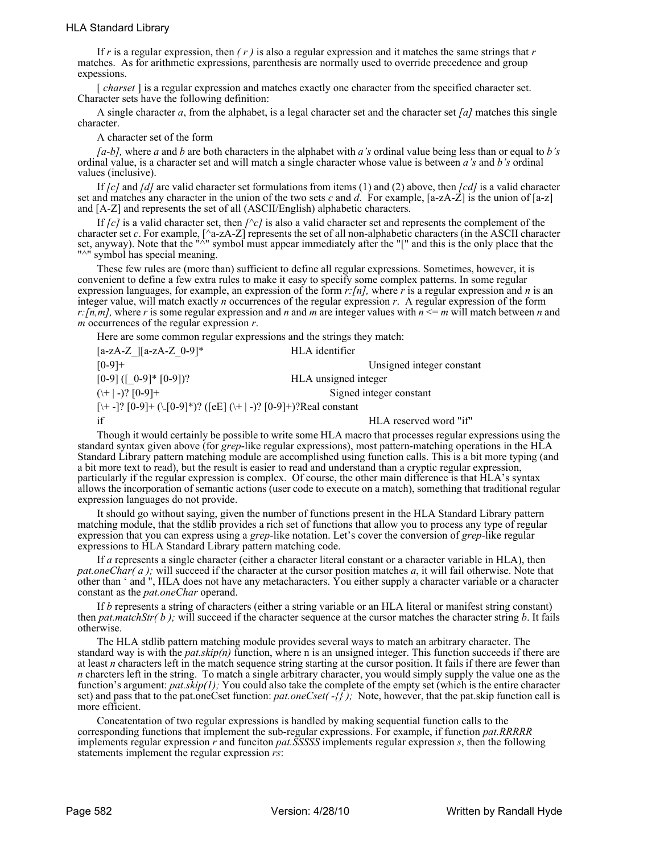If  $r$  is a regular expression, then  $(r)$  is also a regular expression and it matches the same strings that  $r$ matches. As for arithmetic expressions, parenthesis are normally used to override precedence and group expessions.

[ *charset* ] is a regular expression and matches exactly one character from the specified character set. Character sets have the following definition:

A single character *a*, from the alphabet, is a legal character set and the character set *[a]* matches this single character.

A character set of the form

*[a-b],* where *a* and *b* are both characters in the alphabet with *a's* ordinal value being less than or equal to *b's* ordinal value, is a character set and will match a single character whose value is between *a's* and *b's* ordinal values (inclusive).

If *[c]* and *[d]* are valid character set formulations from items (1) and (2) above, then *[cd]* is a valid character set and matches any character in the union of the two sets *c* and *d*. For example,  $[a-zA-Z]$  is the union of  $[a-z]$ and [A-Z] and represents the set of all (ASCII/English) alphabetic characters.

If *[c]* is a valid character set, then *[^c]* is also a valid character set and represents the complement of the character set *c*. For example, [^a-zA-Z] represents the set of all non-alphabetic characters (in the ASCII character set, anyway). Note that the "<sup> $\bar{\wedge}$ " symbol must appear immediately after the "[" and this is the only place that the</sup> "<sup>^"</sup> symbol has special meaning.

These few rules are (more than) sufficient to define all regular expressions. Sometimes, however, it is convenient to define a few extra rules to make it easy to specify some complex patterns. In some regular expression languages, for example, an expression of the form *r:[n],* where *r* is a regular expression and *n* is an integer value, will match exactly *n* occurrences of the regular expression *r*. A regular expression of the form *r*: [n,m], where *r* is some regular expression and *n* and *m* are integer values with  $n \le m$  will match between *n* and *m* occurrences of the regular expression *r*.

Here are some common regular expressions and the strings they match:

 $[a-zA-Z$   $][a-zA-Z$  0-9]\* HLA identifier [0-9]+ Unsigned integer constant  $[0-9] ([0-9]^{*} [0-9])$ ? HLA unsigned integer  $(\ + | -)?$  [0-9]  $+$  Signed integer constant [\+ -]? [0-9]+ (\.[0-9]\*)? ([eE] (\+ | -)? [0-9]+)?Real constant if HLA reserved word "if"

Though it would certainly be possible to write some HLA macro that processes regular expressions using the standard syntax given above (for *grep*-like regular expressions), most pattern-matching operations in the HLA Standard Library pattern matching module are accomplished using function calls. This is a bit more typing (and a bit more text to read), but the result is easier to read and understand than a cryptic regular expression, particularly if the regular expression is complex. Of course, the other main difference is that HLA's syntax allows the incorporation of semantic actions (user code to execute on a match), something that traditional regular expression languages do not provide.

It should go without saying, given the number of functions present in the HLA Standard Library pattern matching module, that the stdlib provides a rich set of functions that allow you to process any type of regular expression that you can express using a *grep*-like notation. Let's cover the conversion of *grep*-like regular expressions to HLA Standard Library pattern matching code.

If *a* represents a single character (either a character literal constant or a character variable in HLA), then *pat.oneChar(a);* will succeed if the character at the cursor position matches *a*, it will fail otherwise. Note that other than ' and ", HLA does not have any metacharacters. You either supply a character variable or a character constant as the *pat.oneChar* operand.

If *b* represents a string of characters (either a string variable or an HLA literal or manifest string constant) then *pat.matchStr( b );* will succeed if the character sequence at the cursor matches the character string *b*. It fails otherwise.

The HLA stdlib pattern matching module provides several ways to match an arbitrary character. The standard way is with the *pat.skip(n)* function, where n is an unsigned integer. This function succeeds if there are at least *n* characters left in the match sequence string starting at the cursor position. It fails if there are fewer than *n* charcters left in the string. To match a single arbitrary character, you would simply supply the value one as the function's argument: *pat.skip(1);* You could also take the complete of the empty set (which is the entire character set) and pass that to the pat.oneCset function: *pat.oneCset( -{} );* Note, however, that the pat.skip function call is more efficient.

Concatentation of two regular expressions is handled by making sequential function calls to the corresponding functions that implement the sub-regular expressions. For example, if function *pat.RRRRR* implements regular expression *r* and funciton *pat.SSSSS* implements regular expression *s*, then the following statements implement the regular expression *rs*: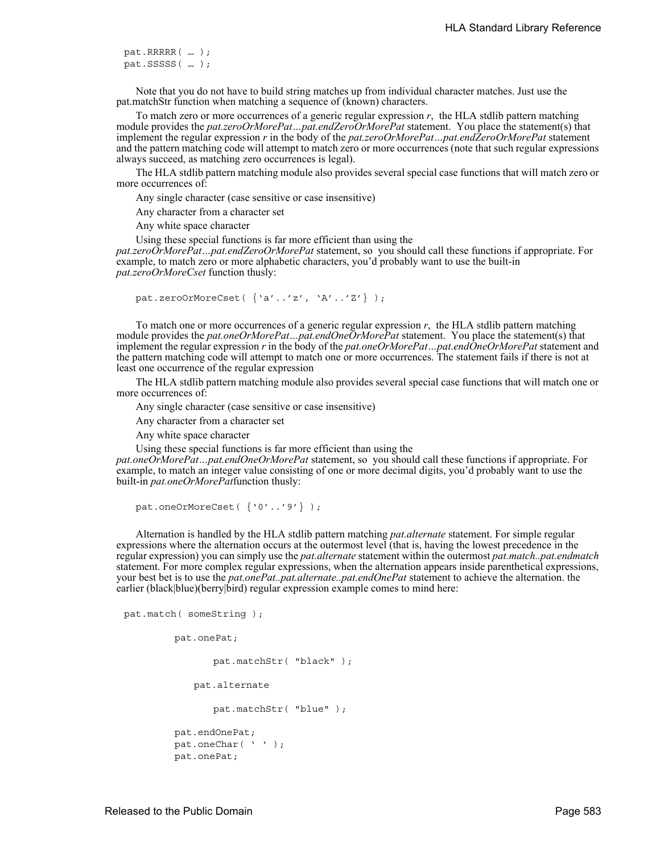```
pat.RRRRR( … );
pat.SSSSS( … );
```
Note that you do not have to build string matches up from individual character matches. Just use the pat.matchStr function when matching a sequence of (known) characters.

To match zero or more occurrences of a generic regular expression *r*, the HLA stdlib pattern matching module provides the *pat.zeroOrMorePat…pat.endZeroOrMorePat* statement. You place the statement(s) that implement the regular expression *r* in the body of the *pat.zeroOrMorePat…pat.endZeroOrMorePat* statement and the pattern matching code will attempt to match zero or more occurrences (note that such regular expressions always succeed, as matching zero occurrences is legal).

The HLA stdlib pattern matching module also provides several special case functions that will match zero or more occurrences of:

Any single character (case sensitive or case insensitive)

Any character from a character set

Any white space character

Using these special functions is far more efficient than using the

*pat.zeroOrMorePat…pat.endZeroOrMorePat* statement, so you should call these functions if appropriate. For example, to match zero or more alphabetic characters, you'd probably want to use the built-in *pat.zeroOrMoreCset* function thusly:

pat.zeroOrMoreCset( {'a'..'z', 'A'..'Z'} );

To match one or more occurrences of a generic regular expression *r*, the HLA stdlib pattern matching module provides the *pat.oneOrMorePat…pat.endOneOrMorePat* statement. You place the statement(s) that implement the regular expression *r* in the body of the *pat.oneOrMorePat…pat.endOneOrMorePat* statement and the pattern matching code will attempt to match one or more occurrences. The statement fails if there is not at least one occurrence of the regular expression

The HLA stdlib pattern matching module also provides several special case functions that will match one or more occurrences of:

Any single character (case sensitive or case insensitive)

Any character from a character set

Any white space character

Using these special functions is far more efficient than using the

*pat.oneOrMorePat…pat.endOneOrMorePat* statement, so you should call these functions if appropriate. For example, to match an integer value consisting of one or more decimal digits, you'd probably want to use the built-in *pat.oneOrMorePat*function thusly:

```
pat.oneOrMoreCset( {'0'..'9'} );
```
Alternation is handled by the HLA stdlib pattern matching *pat.alternate* statement. For simple regular expressions where the alternation occurs at the outermost level (that is, having the lowest precedence in the regular expression) you can simply use the *pat.alternate* statement within the outermost *pat.match..pat.endmatch* statement. For more complex regular expressions, when the alternation appears inside parenthetical expressions, your best bet is to use the *pat.onePat..pat.alternate..pat.endOnePat* statement to achieve the alternation. the earlier (black|blue)(berry|bird) regular expression example comes to mind here:

```
pat.match( someString );
```

```
pat.onePat;
      pat.matchStr( "black" );
   pat.alternate
      pat.matchStr( "blue" );
pat.endOnePat;
pat.oneChar( ' ' );
pat.onePat;
```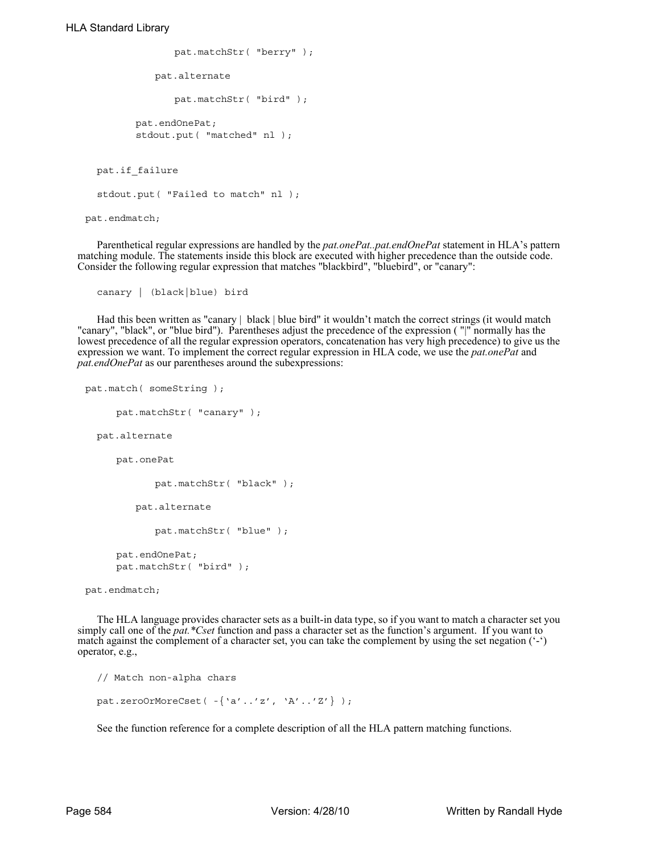```
pat.matchStr( "berry" );
            pat.alternate
                pat.matchStr( "bird" );
         pat.endOnePat;
         stdout.put( "matched" nl );
   pat.if_failure
  stdout.put( "Failed to match" nl );
pat.endmatch;
```
Parenthetical regular expressions are handled by the *pat.onePat..pat.endOnePat* statement in HLA's pattern matching module. The statements inside this block are executed with higher precedence than the outside code. Consider the following regular expression that matches "blackbird", "bluebird", or "canary":

```
canary | (black|blue) bird
```
Had this been written as "canary | black | blue bird" it wouldn't match the correct strings (it would match "canary", "black", or "blue bird"). Parentheses adjust the precedence of the expression ( "|" normally has the lowest precedence of all the regular expression operators, concatenation has very high precedence) to give us the expression we want. To implement the correct regular expression in HLA code, we use the *pat.onePat* and *pat.endOnePat* as our parentheses around the subexpressions:

```
pat.match( someString );
     pat.matchStr( "canary" );
  pat.alternate
     pat.onePat
            pat.matchStr( "black" );
        pat.alternate
            pat.matchStr( "blue" );
     pat.endOnePat;
     pat.matchStr( "bird" );
```
The HLA language provides character sets as a built-in data type, so if you want to match a character set you simply call one of the *pat.\*Cset* function and pass a character set as the function's argument. If you want to match against the complement of a character set, you can take the complement by using the set negation  $(·)$ operator, e.g.,

```
// Match non-alpha chars
pat.zeroOrMoreCset( -{'a'..'z', 'A'..'Z'} );
```
See the function reference for a complete description of all the HLA pattern matching functions.

pat.endmatch;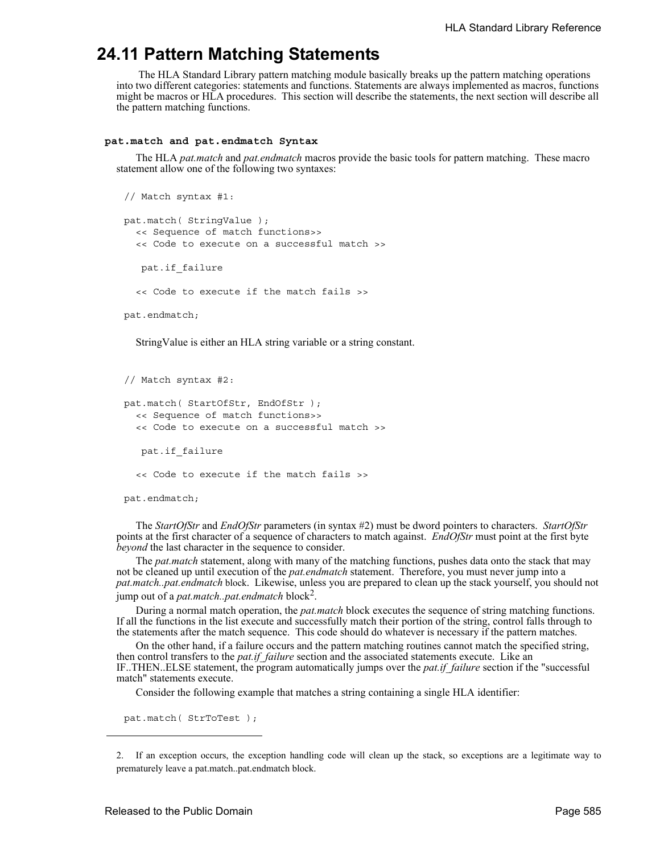## **24.11 Pattern Matching Statements**

 The HLA Standard Library pattern matching module basically breaks up the pattern matching operations into two different categories: statements and functions. Statements are always implemented as macros, functions might be macros or HLA procedures. This section will describe the statements, the next section will describe all the pattern matching functions.

### **pat.match and pat.endmatch Syntax**

The HLA *pat.match* and *pat.endmatch* macros provide the basic tools for pattern matching. These macro statement allow one of the following two syntaxes:

```
// Match syntax #1:
pat.match( StringValue );
  << Sequence of match functions>>
  << Code to execute on a successful match >>
    pat.if_failure
  << Code to execute if the match fails >>
```
pat.endmatch;

StringValue is either an HLA string variable or a string constant.

```
// Match syntax #2:
pat.match( StartOfStr, EndOfStr );
  << Sequence of match functions>>
  << Code to execute on a successful match >>
    pat.if_failure
  << Code to execute if the match fails >>
```
pat.endmatch;

The *StartOfStr* and *EndOfStr* parameters (in syntax #2) must be dword pointers to characters. *StartOfStr* points at the first character of a sequence of characters to match against. *EndOfStr* must point at the first byte *beyond* the last character in the sequence to consider.

The *pat.match* statement, along with many of the matching functions, pushes data onto the stack that may not be cleaned up until execution of the *pat.endmatch* statement. Therefore, you must never jump into a *pat.match..pat.endmatch* block. Likewise, unless you are prepared to clean up the stack yourself, you should not jump out of a *pat.match..pat.endmatch* block<sup>2</sup>.

During a normal match operation, the *pat.match* block executes the sequence of string matching functions. If all the functions in the list execute and successfully match their portion of the string, control falls through to the statements after the match sequence. This code should do whatever is necessary if the pattern matches.

On the other hand, if a failure occurs and the pattern matching routines cannot match the specified string, then control transfers to the *pat.if\_failure* section and the associated statements execute. Like an IF..THEN..ELSE statement, the program automatically jumps over the *pat.if\_failure* section if the "successful match" statements execute.

Consider the following example that matches a string containing a single HLA identifier:

pat.match( StrToTest );

<sup>2.</sup> If an exception occurs, the exception handling code will clean up the stack, so exceptions are a legitimate way to prematurely leave a pat.match..pat.endmatch block.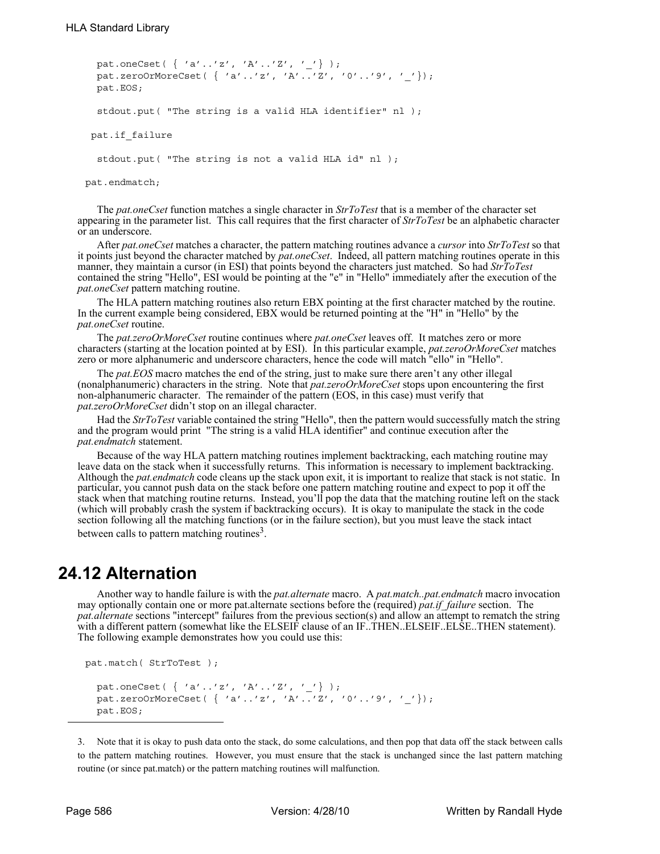```
 pat.oneCset( { 'a'..'z', 'A'..'Z', '_'} );
  pat.zeroOrMoreCset( { 'a'..'z', 'A'..'Z', '0'..'9', '_'});
  pat.EOS;
  stdout.put( "The string is a valid HLA identifier" nl );
 pat.if_failure
  stdout.put( "The string is not a valid HLA id" nl );
```
pat.endmatch;

The *pat.oneCset* function matches a single character in *StrToTest* that is a member of the character set appearing in the parameter list. This call requires that the first character of *StrToTest* be an alphabetic character or an underscore.

After *pat.oneCset* matches a character, the pattern matching routines advance a *cursor* into *StrToTest* so that it points just beyond the character matched by *pat.oneCset*. Indeed, all pattern matching routines operate in this manner, they maintain a cursor (in ESI) that points beyond the characters just matched. So had *StrToTest* contained the string "Hello", ESI would be pointing at the "e" in "Hello" immediately after the execution of the *pat.oneCset* pattern matching routine.

The HLA pattern matching routines also return EBX pointing at the first character matched by the routine. In the current example being considered, EBX would be returned pointing at the "H" in "Hello" by the *pat.oneCset* routine.

The *pat.zeroOrMoreCset* routine continues where *pat.oneCset* leaves off. It matches zero or more characters (starting at the location pointed at by ESI). In this particular example, *pat.zeroOrMoreCset* matches zero or more alphanumeric and underscore characters, hence the code will match "ello" in "Hello".

The *pat.EOS* macro matches the end of the string, just to make sure there aren't any other illegal (nonalphanumeric) characters in the string. Note that *pat.zeroOrMoreCset* stops upon encountering the first non-alphanumeric character. The remainder of the pattern (EOS, in this case) must verify that *pat.zeroOrMoreCset* didn't stop on an illegal character.

Had the *StrToTest* variable contained the string "Hello", then the pattern would successfully match the string and the program would print "The string is a valid HLA identifier" and continue execution after the *pat.endmatch* statement.

Because of the way HLA pattern matching routines implement backtracking, each matching routine may leave data on the stack when it successfully returns. This information is necessary to implement backtracking. Although the *pat.endmatch* code cleans up the stack upon exit, it is important to realize that stack is not static. In particular, you cannot push data on the stack before one pattern matching routine and expect to pop it off the stack when that matching routine returns. Instead, you'll pop the data that the matching routine left on the stack (which will probably crash the system if backtracking occurs). It is okay to manipulate the stack in the code section following all the matching functions (or in the failure section), but you must leave the stack intact between calls to pattern matching routines<sup>3</sup>.

## **24.12 Alternation**

pat.EOS;

Another way to handle failure is with the *pat.alternate* macro. A *pat.match..pat.endmatch* macro invocation may optionally contain one or more pat.alternate sections before the (required) *pat.if\_failure* section. The *pat.alternate* sections "intercept" failures from the previous section(s) and allow an attempt to rematch the string with a different pattern (somewhat like the ELSEIF clause of an IF..THEN..ELSEIF..ELSE..THEN statement). The following example demonstrates how you could use this:

```
pat.match( StrToTest );
pat.oneCset( \{ 'a'..'z', 'A'..'Z', '-''\} );
 pat.zeroOrMoreCset( { 'a'..'z', 'A'..'Z', '0'..'9', '_'});
```
routine (or since pat.match) or the pattern matching routines will malfunction.

```
3. Note that it is okay to push data onto the stack, do some calculations, and then pop that data off the stack between calls
to the pattern matching routines. However, you must ensure that the stack is unchanged since the last pattern matching
```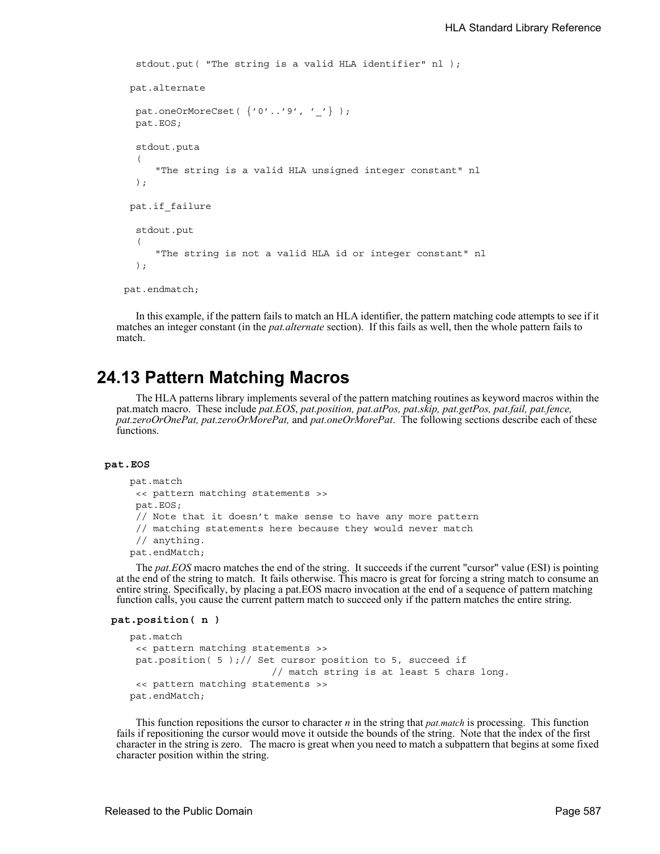```
 stdout.put( "The string is a valid HLA identifier" nl );
  pat.alternate
  pat.oneOrMoreCset( {'0'..'9', ''} );
  pat.EOS;
  stdout.puta
  ( 
      "The string is a valid HLA unsigned integer constant" nl 
  );
  pat.if_failure
  stdout.put
  ( 
     "The string is not a valid HLA id or integer constant" nl 
  );
pat.endmatch;
```
In this example, if the pattern fails to match an HLA identifier, the pattern matching code attempts to see if it matches an integer constant (in the *pat.alternate* section). If this fails as well, then the whole pattern fails to match.

## **24.13 Pattern Matching Macros**

The HLA patterns library implements several of the pattern matching routines as keyword macros within the pat.match macro. These include *pat.EOS*, *pat.position, pat.atPos, pat.skip, pat.getPos, pat.fail, pat.fence, pat.zeroOrOnePat, pat.zeroOrMorePat,* and *pat.oneOrMorePat*. The following sections describe each of these functions.

## **pat.EOS**

```
 pat.match
 << pattern matching statements >>
pat.EOS;
 // Note that it doesn't make sense to have any more pattern
 // matching statements here because they would never match
 // anything.
 pat.endMatch;
```
The *pat.EOS* macro matches the end of the string. It succeeds if the current "cursor" value (ESI) is pointing at the end of the string to match. It fails otherwise. This macro is great for forcing a string match to consume an entire string. Specifically, by placing a pat.EOS macro invocation at the end of a sequence of pattern matching function calls, you cause the current pattern match to succeed only if the pattern matches the entire string.

```
 pat.position( n )
```

```
 pat.match
 << pattern matching statements >>
pat.position( 5 );// Set cursor position to 5, succeed if
                         // match string is at least 5 chars long.
 << pattern matching statements >>
 pat.endMatch;
```
This function repositions the cursor to character *n* in the string that *pat.match* is processing. This function fails if repositioning the cursor would move it outside the bounds of the string. Note that the index of the first character in the string is zero. The macro is great when you need to match a subpattern that begins at some fixed character position within the string.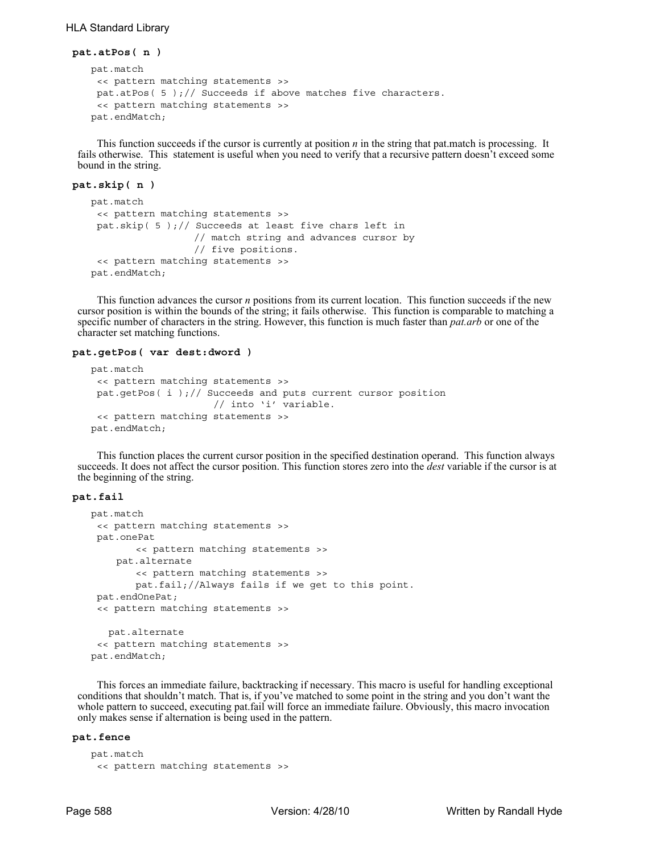## HLA Standard Library

```
 pat.atPos( n )
    pat.match
    << pattern matching statements >>
    pat.atPos( 5 );// Succeeds if above matches five characters. 
    << pattern matching statements >>
    pat.endMatch;
```
This function succeeds if the cursor is currently at position *n* in the string that pat.match is processing. It fails otherwise. This statement is useful when you need to verify that a recursive pattern doesn't exceed some bound in the string.

### **pat.skip( n )**

```
 pat.match
 << pattern matching statements >>
 pat.skip( 5 );// Succeeds at least five chars left in
                  // match string and advances cursor by
                  // five positions. 
 << pattern matching statements >>
 pat.endMatch;
```
This function advances the cursor *n* positions from its current location. This function succeeds if the new cursor position is within the bounds of the string; it fails otherwise. This function is comparable to matching a specific number of characters in the string. However, this function is much faster than *pat.arb* or one of the character set matching functions.

#### **pat.getPos( var dest:dword )**

```
 pat.match
 << pattern matching statements >>
 pat.getPos(i);// Succeeds and puts current cursor position
                     // into 'i' variable. 
 << pattern matching statements >>
 pat.endMatch;
```
This function places the current cursor position in the specified destination operand. This function always succeeds. It does not affect the cursor position. This function stores zero into the *dest* variable if the cursor is at the beginning of the string.

## **pat.fail**

```
 pat.match
 << pattern matching statements >>
 pat.onePat
       << pattern matching statements >>
    pat.alternate
        << pattern matching statements >>
       pat.fail;//Always fails if we get to this point.
 pat.endOnePat; 
 << pattern matching statements >>
    pat.alternate
 << pattern matching statements >>
 pat.endMatch;
```
This forces an immediate failure, backtracking if necessary. This macro is useful for handling exceptional conditions that shouldn't match. That is, if you've matched to some point in the string and you don't want the whole pattern to succeed, executing pat.fail will force an immediate failure. Obviously, this macro invocation only makes sense if alternation is being used in the pattern.

#### **pat.fence**

```
 pat.match
 << pattern matching statements >>
```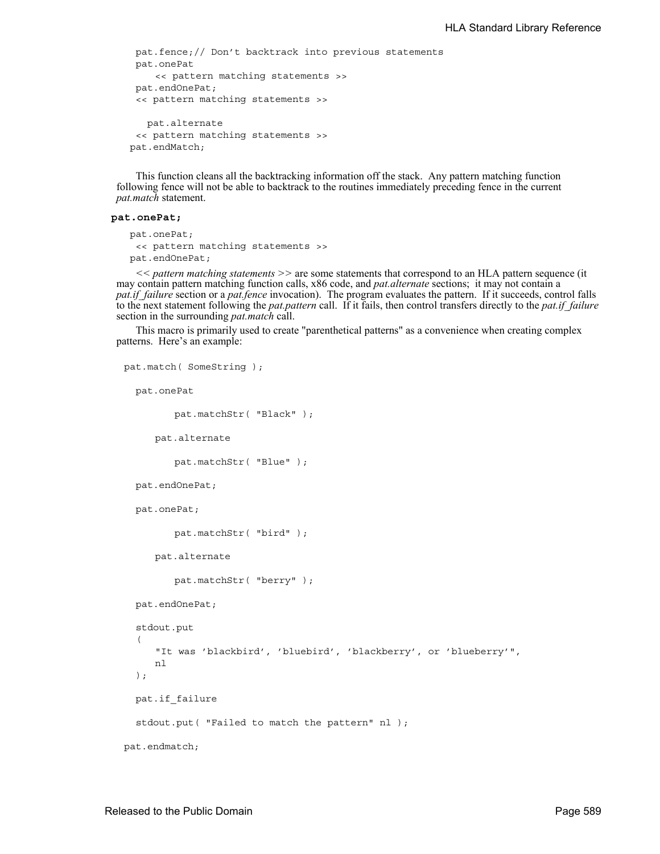```
pat.fence;// Don't backtrack into previous statements
pat.onePat
    << pattern matching statements >>
pat.endOnePat; 
 << pattern matching statements >>
   pat.alternate
 << pattern matching statements >>
 pat.endMatch;
```
This function cleans all the backtracking information off the stack. Any pattern matching function following fence will not be able to backtrack to the routines immediately preceding fence in the current *pat.match* statement.

#### **pat.onePat;**

```
 pat.onePat;
 << pattern matching statements >>
 pat.endOnePat;
```
*<< pattern matching statements >>* are some statements that correspond to an HLA pattern sequence (it may contain pattern matching function calls, x86 code, and *pat.alternate* sections; it may not contain a *pat.if failure* section or a *pat.fence* invocation). The program evaluates the pattern. If it succeeds, control falls to the next statement following the *pat.pattern* call. If it fails, then control transfers directly to the *pat.if\_failure* section in the surrounding *pat.match* call.

This macro is primarily used to create "parenthetical patterns" as a convenience when creating complex patterns. Here's an example:

```
pat.match( SomeString );
  pat.onePat
         pat.matchStr( "Black" );
     pat.alternate
         pat.matchStr( "Blue" );
  pat.endOnePat;
  pat.onePat;
         pat.matchStr( "bird" );
     pat.alternate
         pat.matchStr( "berry" );
  pat.endOnePat;
  stdout.put
  ( 
     "It was 'blackbird', 'bluebird', 'blackberry', or 'blueberry'",
     nl 
  );
   pat.if_failure
  stdout.put ( "Failed to match the pattern" nl );
pat.endmatch;
```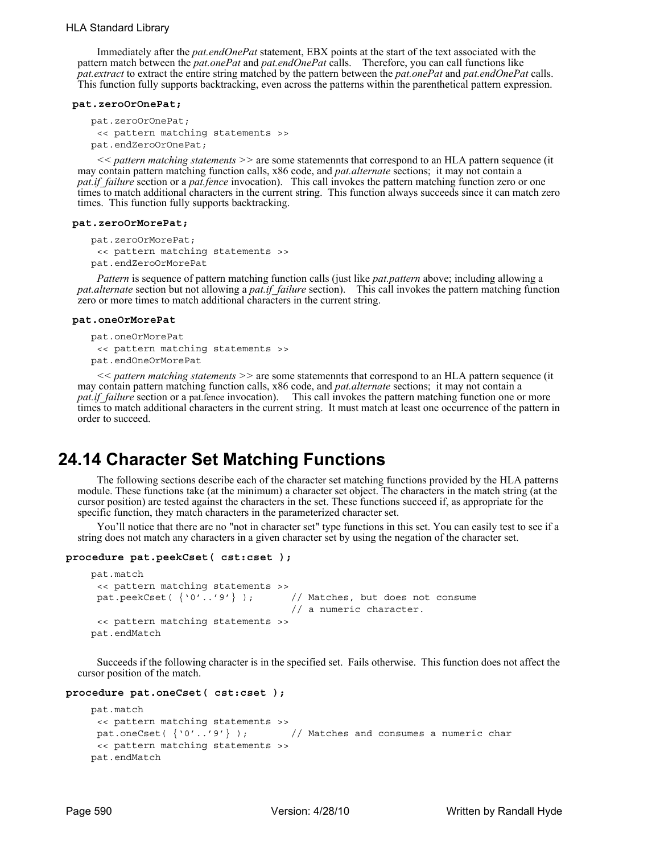Immediately after the *pat.endOnePat* statement, EBX points at the start of the text associated with the pattern match between the *pat.onePat* and *pat.endOnePat* calls. Therefore, you can call functions like *pat.extract* to extract the entire string matched by the pattern between the *pat.onePat* and *pat.endOnePat* calls. This function fully supports backtracking, even across the patterns within the parenthetical pattern expression.

#### **pat.zeroOrOnePat;**

```
 pat.zeroOrOnePat;
 << pattern matching statements >>
 pat.endZeroOrOnePat;
```
*<< pattern matching statements >>* are some statemennts that correspond to an HLA pattern sequence (it may contain pattern matching function calls, x86 code, and *pat.alternate* sections; it may not contain a *pat.if\_failure* section or a *pat.fence* invocation). This call invokes the pattern matching function zero or one times to match additional characters in the current string. This function always succeeds since it can match zero times. This function fully supports backtracking.

#### **pat.zeroOrMorePat;**

```
 pat.zeroOrMorePat;
 << pattern matching statements >>
 pat.endZeroOrMorePat
```
*Pattern* is sequence of pattern matching function calls (just like *pat.pattern* above; including allowing a *pat.alternate* section but not allowing a *pat.if\_failure* section). This call invokes the pattern matching function zero or more times to match additional characters in the current string.

#### **pat.oneOrMorePat**

```
 pat.oneOrMorePat
 << pattern matching statements >>
 pat.endOneOrMorePat
```
*<< pattern matching statements >>* are some statemennts that correspond to an HLA pattern sequence (it may contain pattern matching function calls, x86 code, and *pat.alternate* sections; it may not contain a *pat.if failure* section or a pat.fence invocation). This call invokes the pattern matching function one or more times to match additional characters in the current string. It must match at least one occurrence of the pattern in order to succeed.

# **24.14 Character Set Matching Functions**

The following sections describe each of the character set matching functions provided by the HLA patterns module. These functions take (at the minimum) a character set object. The characters in the match string (at the cursor position) are tested against the characters in the set. These functions succeed if, as appropriate for the specific function, they match characters in the parameterized character set.

You'll notice that there are no "not in character set" type functions in this set. You can easily test to see if a string does not match any characters in a given character set by using the negation of the character set.

#### **procedure pat.peekCset( cst:cset );**

```
 pat.match
 << pattern matching statements >>
 pat.peekCset(\{0' \ldots 9'\}); // Matches, but does not consume
                                   // a numeric character.
 << pattern matching statements >>
 pat.endMatch
```
Succeeds if the following character is in the specified set. Fails otherwise. This function does not affect the cursor position of the match.

#### **procedure pat.oneCset( cst:cset );**

```
 pat.match
 << pattern matching statements >>
 pat.oneCset( \{ '0' \ldots '9' \} ); // Matches and consumes a numeric char
 << pattern matching statements >>
 pat.endMatch
```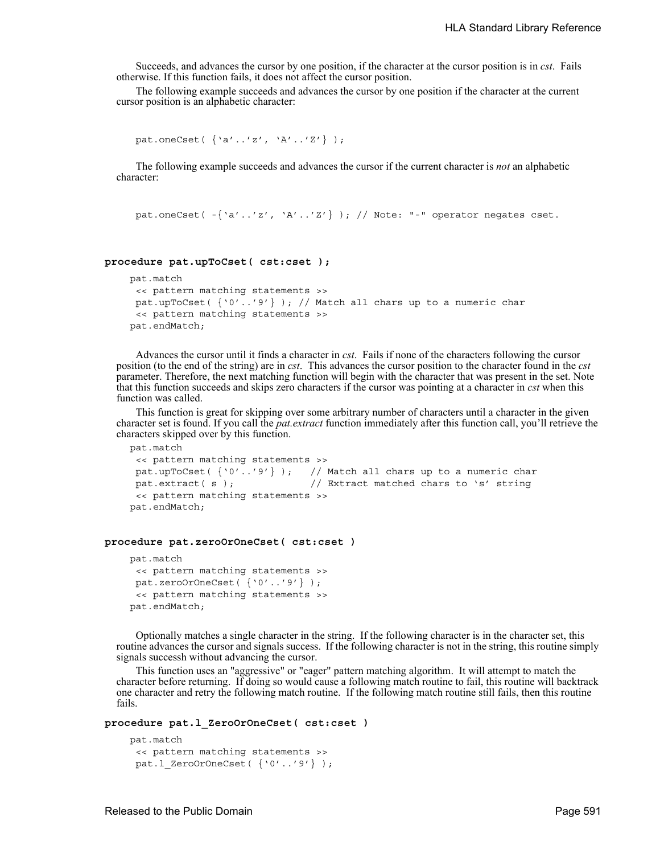Succeeds, and advances the cursor by one position, if the character at the cursor position is in *cst*. Fails otherwise. If this function fails, it does not affect the cursor position.

The following example succeeds and advances the cursor by one position if the character at the current cursor position is an alphabetic character:

```
pat.oneCset( {'a'..'z', 'A'..'Z'} );
```
The following example succeeds and advances the cursor if the current character is *not* an alphabetic character:

pat.oneCset(  $-\{a' \ldots' a', b' \ldots' a'\}$  ); // Note: "-" operator negates cset.

### **procedure pat.upToCset( cst:cset );**

```
 pat.match
 << pattern matching statements >>
pat.upToCset(\{Y0'..Y9'\}); // Match all chars up to a numeric char
 << pattern matching statements >>
 pat.endMatch;
```
Advances the cursor until it finds a character in *cst*. Fails if none of the characters following the cursor position (to the end of the string) are in *cst*. This advances the cursor position to the character found in the *cst* parameter. Therefore, the next matching function will begin with the character that was present in the set. Note that this function succeeds and skips zero characters if the cursor was pointing at a character in *cst* when this function was called.

This function is great for skipping over some arbitrary number of characters until a character in the given character set is found. If you call the *pat.extract* function immediately after this function call, you'll retrieve the characters skipped over by this function.

```
 pat.match
 << pattern matching statements >>
pat.upToCset( {'0'..'9'} ); // Match all chars up to a numeric char
pat.extract( s ); // Extract matched chars to 's' string
 << pattern matching statements >>
 pat.endMatch;
```
## **procedure pat.zeroOrOneCset( cst:cset )**

```
 pat.match
 << pattern matching statements >>
pat.zeroOrOneCset( {'0'..'9'} );
 << pattern matching statements >>
 pat.endMatch;
```
Optionally matches a single character in the string. If the following character is in the character set, this routine advances the cursor and signals success. If the following character is not in the string, this routine simply signals successh without advancing the cursor.

This function uses an "aggressive" or "eager" pattern matching algorithm. It will attempt to match the character before returning. If doing so would cause a following match routine to fail, this routine will backtrack one character and retry the following match routine. If the following match routine still fails, then this routine fails.

## **procedure pat.l\_ZeroOrOneCset( cst:cset )**

```
 pat.match
 << pattern matching statements >>
pat.1 ZeroOrOneCset( {'0'..'9'} );
```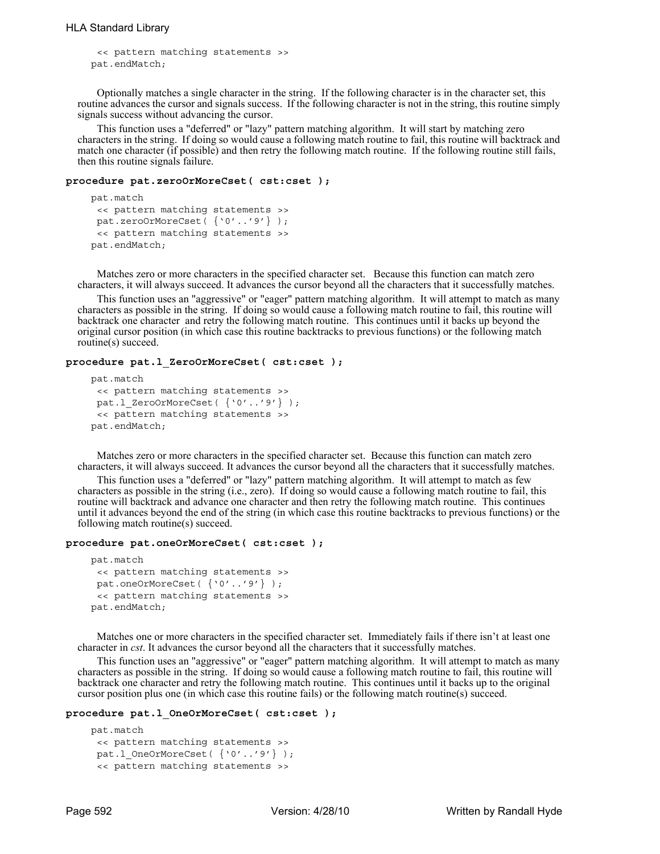```
<< pattern matching statements >>
 pat.endMatch;
```
Optionally matches a single character in the string. If the following character is in the character set, this routine advances the cursor and signals success. If the following character is not in the string, this routine simply signals success without advancing the cursor.

This function uses a "deferred" or "lazy" pattern matching algorithm. It will start by matching zero characters in the string. If doing so would cause a following match routine to fail, this routine will backtrack and match one character (if possible) and then retry the following match routine. If the following routine still fails, then this routine signals failure.

#### **procedure pat.zeroOrMoreCset( cst:cset );**

```
 pat.match
 << pattern matching statements >>
 pat.zeroOrMoreCset( {'0'..'9'} );
 << pattern matching statements >>
 pat.endMatch;
```
Matches zero or more characters in the specified character set. Because this function can match zero characters, it will always succeed. It advances the cursor beyond all the characters that it successfully matches.

This function uses an "aggressive" or "eager" pattern matching algorithm. It will attempt to match as many characters as possible in the string. If doing so would cause a following match routine to fail, this routine will backtrack one character and retry the following match routine. This continues until it backs up beyond the original cursor position (in which case this routine backtracks to previous functions) or the following match routine(s) succeed.

## **procedure pat.l\_ZeroOrMoreCset( cst:cset );**

```
 pat.match
 << pattern matching statements >>
 pat.1 ZeroOrMoreCset( {'0'..'9'} );
 << pattern matching statements >>
 pat.endMatch;
```
Matches zero or more characters in the specified character set. Because this function can match zero characters, it will always succeed. It advances the cursor beyond all the characters that it successfully matches.

This function uses a "deferred" or "lazy" pattern matching algorithm. It will attempt to match as few characters as possible in the string (i.e., zero). If doing so would cause a following match routine to fail, this routine will backtrack and advance one character and then retry the following match routine. This continues until it advances beyond the end of the string (in which case this routine backtracks to previous functions) or the following match routine(s) succeed.

#### **procedure pat.oneOrMoreCset( cst:cset );**

```
 pat.match
 << pattern matching statements >>
 pat.oneOrMoreCset( {'0'..'9'} );
 << pattern matching statements >>
 pat.endMatch;
```
Matches one or more characters in the specified character set. Immediately fails if there isn't at least one character in *cst*. It advances the cursor beyond all the characters that it successfully matches.

This function uses an "aggressive" or "eager" pattern matching algorithm. It will attempt to match as many characters as possible in the string. If doing so would cause a following match routine to fail, this routine will backtrack one character and retry the following match routine. This continues until it backs up to the original cursor position plus one (in which case this routine fails) or the following match routine(s) succeed.

#### **procedure pat.l\_OneOrMoreCset( cst:cset );**

```
 pat.match
<< pattern matching statements >>
pat.1 OneOrMoreCset( {'0'..'9'} );
 << pattern matching statements >>
```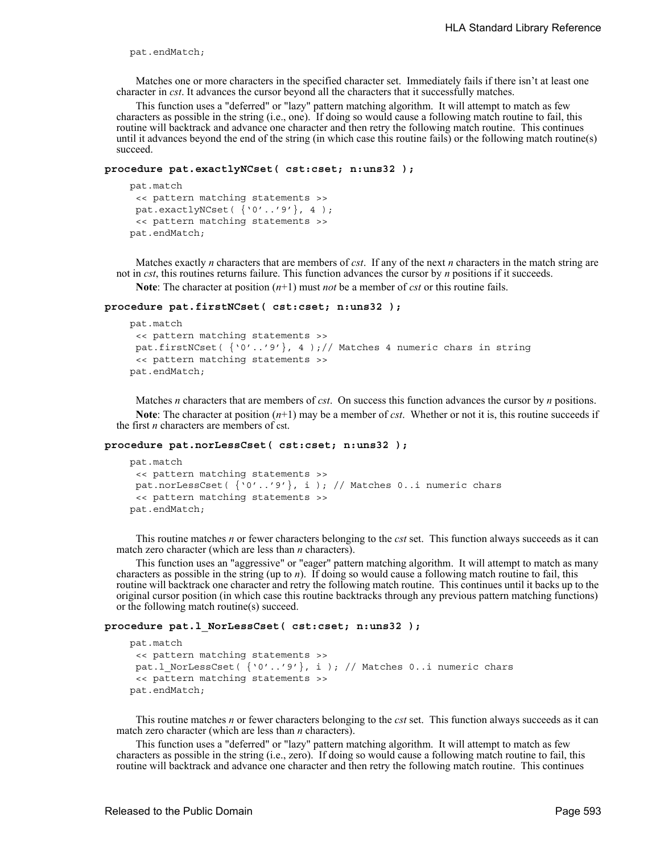pat.endMatch;

Matches one or more characters in the specified character set. Immediately fails if there isn't at least one character in *cst*. It advances the cursor beyond all the characters that it successfully matches.

This function uses a "deferred" or "lazy" pattern matching algorithm. It will attempt to match as few characters as possible in the string (i.e., one). If doing so would cause a following match routine to fail, this routine will backtrack and advance one character and then retry the following match routine. This continues until it advances beyond the end of the string (in which case this routine fails) or the following match routine(s) succeed.

#### **procedure pat.exactlyNCset( cst:cset; n:uns32 );**

```
 pat.match
 << pattern matching statements >>
pat.exactlyNCset( {'0'..'9'}, 4 );
 << pattern matching statements >>
 pat.endMatch;
```
Matches exactly *n* characters that are members of *cst*. If any of the next *n* characters in the match string are not in *cst*, this routines returns failure. This function advances the cursor by *n* positions if it succeeds.

**Note**: The character at position (*n*+1) must *not* be a member of *cst* or this routine fails.

## **procedure pat.firstNCset( cst:cset; n:uns32 );**

```
 pat.match
 << pattern matching statements >>
pat.firstNCset(\{0' \ldots 9'\}, 4);// Matches 4 numeric chars in string
 << pattern matching statements >>
 pat.endMatch;
```
Matches *n* characters that are members of *cst*. On success this function advances the cursor by *n* positions. **Note**: The character at position (*n*+1) may be a member of *cst*. Whether or not it is, this routine succeeds if the first *n* characters are members of cst.

#### **procedure pat.norLessCset( cst:cset; n:uns32 );**

```
 pat.match
 << pattern matching statements >>
pat.norLessCset( {'0'..'9'}, i ); // Matches 0..i numeric chars
 << pattern matching statements >>
 pat.endMatch;
```
This routine matches *n* or fewer characters belonging to the *cst* set. This function always succeeds as it can match zero character (which are less than *n* characters).

This function uses an "aggressive" or "eager" pattern matching algorithm. It will attempt to match as many characters as possible in the string (up to *n*). If doing so would cause a following match routine to fail, this routine will backtrack one character and retry the following match routine. This continues until it backs up to the original cursor position (in which case this routine backtracks through any previous pattern matching functions) or the following match routine(s) succeed.

#### **procedure pat.l\_NorLessCset( cst:cset; n:uns32 );**

```
 pat.match
 << pattern matching statements >>
pat.l_NorLessCset( {'0'..'9'}, i ); // Matches 0..i numeric chars
 << pattern matching statements >>
 pat.endMatch;
```
This routine matches *n* or fewer characters belonging to the *cst* set. This function always succeeds as it can match zero character (which are less than *n* characters).

This function uses a "deferred" or "lazy" pattern matching algorithm. It will attempt to match as few characters as possible in the string (i.e., zero). If doing so would cause a following match routine to fail, this routine will backtrack and advance one character and then retry the following match routine. This continues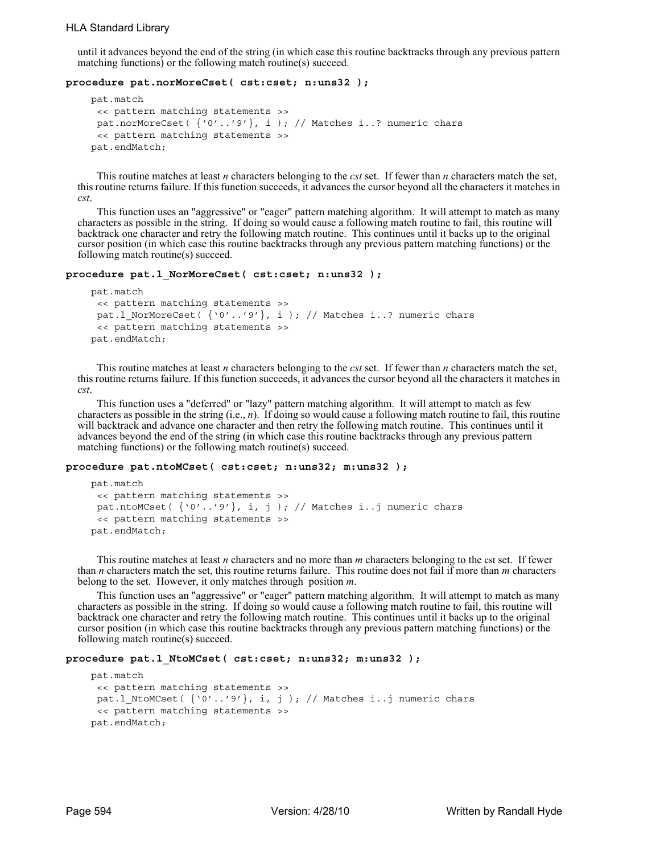until it advances beyond the end of the string (in which case this routine backtracks through any previous pattern matching functions) or the following match routine(s) succeed.

## **procedure pat.norMoreCset( cst:cset; n:uns32 );**

```
 pat.match
 << pattern matching statements >>
 pat.norMoreCset( {'0'..'9'}, i ); // Matches i..? numeric chars
 << pattern matching statements >>
 pat.endMatch;
```
This routine matches at least *n* characters belonging to the *cst* set. If fewer than *n* characters match the set, this routine returns failure. If this function succeeds, it advances the cursor beyond all the characters it matches in *cst*.

This function uses an "aggressive" or "eager" pattern matching algorithm. It will attempt to match as many characters as possible in the string. If doing so would cause a following match routine to fail, this routine will backtrack one character and retry the following match routine. This continues until it backs up to the original cursor position (in which case this routine backtracks through any previous pattern matching functions) or the following match routine(s) succeed.

#### **procedure pat.l\_NorMoreCset( cst:cset; n:uns32 );**

```
 pat.match
 << pattern matching statements >>
 pat.l NorMoreCset( {'0'..'9'}, i ); // Matches i..? numeric chars
 << pattern matching statements >>
 pat.endMatch;
```
This routine matches at least *n* characters belonging to the *cst* set. If fewer than *n* characters match the set, this routine returns failure. If this function succeeds, it advances the cursor beyond all the characters it matches in *cst*.

This function uses a "deferred" or "lazy" pattern matching algorithm. It will attempt to match as few characters as possible in the string (i.e., *n*). If doing so would cause a following match routine to fail, this routine will backtrack and advance one character and then retry the following match routine. This continues until it advances beyond the end of the string (in which case this routine backtracks through any previous pattern matching functions) or the following match routine(s) succeed.

#### **procedure pat.ntoMCset( cst:cset; n:uns32; m:uns32 );**

```
 pat.match
 << pattern matching statements >>
 pat.ntoMCset(\{0' \ldots 9'\}, i, j \}, \neq Matches i..j numeric chars
 << pattern matching statements >>
 pat.endMatch;
```
This routine matches at least *n* characters and no more than *m* characters belonging to the cst set. If fewer than *n* characters match the set, this routine returns failure. This routine does not fail if more than *m* characters belong to the set. However, it only matches through position *m*.

This function uses an "aggressive" or "eager" pattern matching algorithm. It will attempt to match as many characters as possible in the string. If doing so would cause a following match routine to fail, this routine will backtrack one character and retry the following match routine. This continues until it backs up to the original cursor position (in which case this routine backtracks through any previous pattern matching functions) or the following match routine(s) succeed.

## **procedure pat.l\_NtoMCset( cst:cset; n:uns32; m:uns32 );**

```
 pat.match
 << pattern matching statements >>
 pat.l_NtoMCset( {'0'..'9'}, i, j ); // Matches i..j numeric chars
 << pattern matching statements >>
 pat.endMatch;
```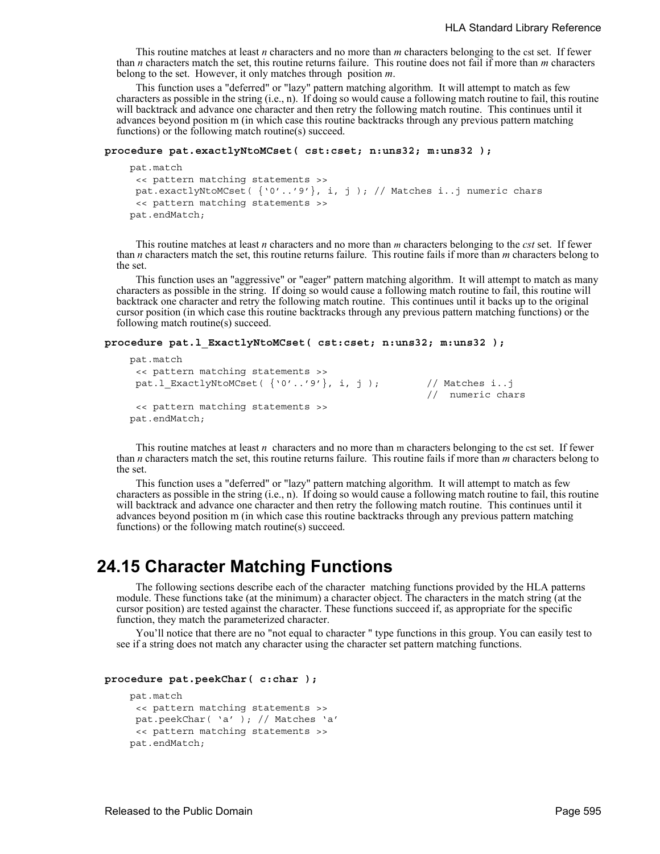This routine matches at least *n* characters and no more than *m* characters belonging to the cst set. If fewer than *n* characters match the set, this routine returns failure. This routine does not fail if more than *m* characters belong to the set. However, it only matches through position *m*.

This function uses a "deferred" or "lazy" pattern matching algorithm. It will attempt to match as few characters as possible in the string (i.e., n). If doing so would cause a following match routine to fail, this routine will backtrack and advance one character and then retry the following match routine. This continues until it advances beyond position m (in which case this routine backtracks through any previous pattern matching functions) or the following match routine(s) succeed.

#### **procedure pat.exactlyNtoMCset( cst:cset; n:uns32; m:uns32 );**

```
 pat.match
 << pattern matching statements >>
 pat.exactlyNtoMCset( {'0'..'9'}, i, j ); // Matches i..j numeric chars
 << pattern matching statements >>
 pat.endMatch;
```
This routine matches at least *n* characters and no more than *m* characters belonging to the *cst* set. If fewer than *n* characters match the set, this routine returns failure. This routine fails if more than *m* characters belong to the set.

This function uses an "aggressive" or "eager" pattern matching algorithm. It will attempt to match as many characters as possible in the string. If doing so would cause a following match routine to fail, this routine will backtrack one character and retry the following match routine. This continues until it backs up to the original cursor position (in which case this routine backtracks through any previous pattern matching functions) or the following match routine(s) succeed.

```
procedure pat.l_ExactlyNtoMCset( cst:cset; n:uns32; m:uns32 );
```

```
 pat.match
 << pattern matching statements >>
pat.l ExactlyNtoMCset(\{ '0'...'9' \}, i, j \}; // Matches i..j
                                                   // numeric chars
<< pattern matching statements >>
 pat.endMatch;
```
This routine matches at least *n* characters and no more than m characters belonging to the cst set. If fewer than *n* characters match the set, this routine returns failure. This routine fails if more than *m* characters belong to the set.

This function uses a "deferred" or "lazy" pattern matching algorithm. It will attempt to match as few characters as possible in the string (i.e., n). If doing so would cause a following match routine to fail, this routine will backtrack and advance one character and then retry the following match routine. This continues until it advances beyond position m (in which case this routine backtracks through any previous pattern matching functions) or the following match routine(s) succeed.

## **24.15 Character Matching Functions**

The following sections describe each of the character matching functions provided by the HLA patterns module. These functions take (at the minimum) a character object. The characters in the match string (at the cursor position) are tested against the character. These functions succeed if, as appropriate for the specific function, they match the parameterized character.

You'll notice that there are no "not equal to character " type functions in this group. You can easily test to see if a string does not match any character using the character set pattern matching functions.

```
procedure pat.peekChar( c:char );
```

```
 pat.match
 << pattern matching statements >>
pat.peekChar( 'a' ); // Matches 'a' 
 << pattern matching statements >>
 pat.endMatch;
```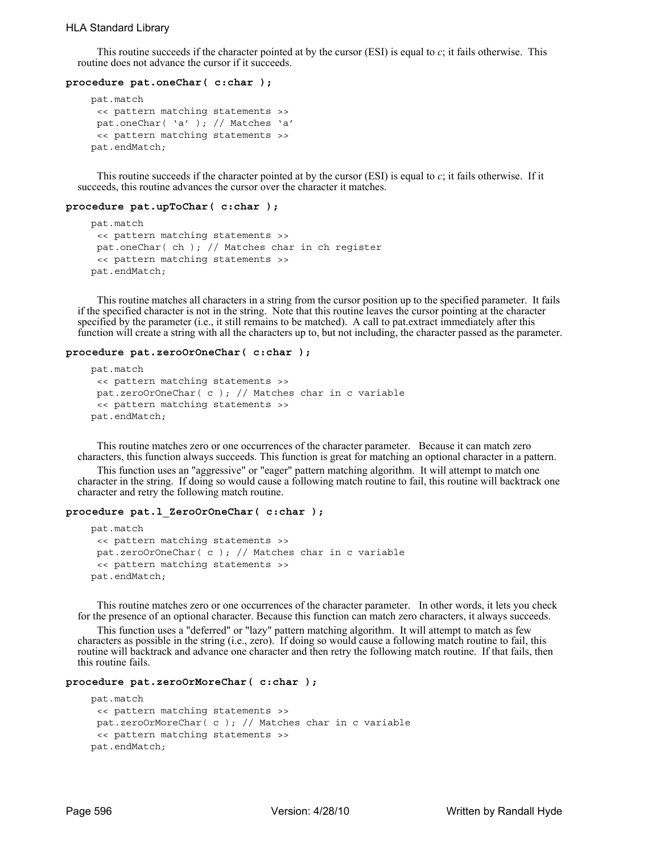## HLA Standard Library

This routine succeeds if the character pointed at by the cursor (ESI) is equal to  $c$ ; it fails otherwise. This routine does not advance the cursor if it succeeds.

#### **procedure pat.oneChar( c:char );**

```
 pat.match
 << pattern matching statements >>
 pat.oneChar( 'a' ); // Matches 'a' 
 << pattern matching statements >>
 pat.endMatch;
```
This routine succeeds if the character pointed at by the cursor (ESI) is equal to *c*; it fails otherwise. If it succeeds, this routine advances the cursor over the character it matches.

#### **procedure pat.upToChar( c:char );**

```
 pat.match
 << pattern matching statements >>
 pat.oneChar( ch ); // Matches char in ch register 
 << pattern matching statements >>
 pat.endMatch;
```
This routine matches all characters in a string from the cursor position up to the specified parameter. It fails if the specified character is not in the string. Note that this routine leaves the cursor pointing at the character specified by the parameter (i.e., it still remains to be matched). A call to pat.extract immediately after this function will create a string with all the characters up to, but not including, the character passed as the parameter.

#### **procedure pat.zeroOrOneChar( c:char );**

```
 pat.match
 << pattern matching statements >>
 pat.zeroOrOneChar( c ); // Matches char in c variable 
 << pattern matching statements >>
 pat.endMatch;
```
This routine matches zero or one occurrences of the character parameter. Because it can match zero characters, this function always succeeds. This function is great for matching an optional character in a pattern.

This function uses an "aggressive" or "eager" pattern matching algorithm. It will attempt to match one character in the string. If doing so would cause a following match routine to fail, this routine will backtrack one character and retry the following match routine.

#### **procedure pat.l\_ZeroOrOneChar( c:char );**

```
 pat.match
 << pattern matching statements >>
 pat.zeroOrOneChar( c ); // Matches char in c variable 
 << pattern matching statements >>
 pat.endMatch;
```
This routine matches zero or one occurrences of the character parameter. In other words, it lets you check for the presence of an optional character. Because this function can match zero characters, it always succeeds.

This function uses a "deferred" or "lazy" pattern matching algorithm. It will attempt to match as few characters as possible in the string (i.e., zero). If doing so would cause a following match routine to fail, this routine will backtrack and advance one character and then retry the following match routine. If that fails, then this routine fails.

#### **procedure pat.zeroOrMoreChar( c:char );**

```
 pat.match
 << pattern matching statements >>
 pat.zeroOrMoreChar( c ); // Matches char in c variable 
 << pattern matching statements >>
 pat.endMatch;
```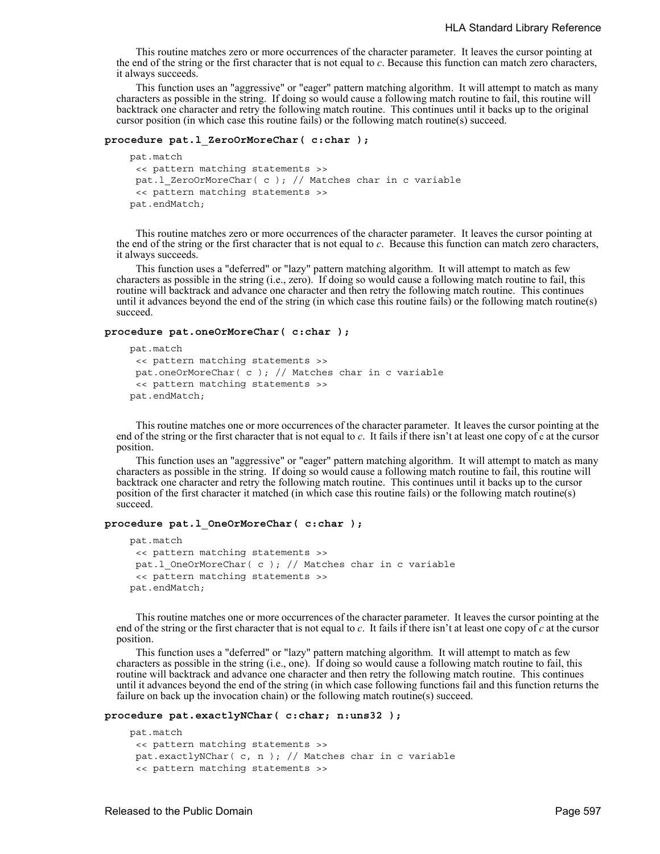This routine matches zero or more occurrences of the character parameter. It leaves the cursor pointing at the end of the string or the first character that is not equal to *c*. Because this function can match zero characters, it always succeeds.

This function uses an "aggressive" or "eager" pattern matching algorithm. It will attempt to match as many characters as possible in the string. If doing so would cause a following match routine to fail, this routine will backtrack one character and retry the following match routine. This continues until it backs up to the original cursor position (in which case this routine fails) or the following match routine(s) succeed.

### **procedure pat.l\_ZeroOrMoreChar( c:char );**

```
 pat.match
 << pattern matching statements >>
pat.l_ZeroOrMoreChar( c ); // Matches char in c variable 
 << pattern matching statements >>
 pat.endMatch;
```
This routine matches zero or more occurrences of the character parameter. It leaves the cursor pointing at the end of the string or the first character that is not equal to *c*. Because this function can match zero characters, it always succeeds.

This function uses a "deferred" or "lazy" pattern matching algorithm. It will attempt to match as few characters as possible in the string (i.e., zero). If doing so would cause a following match routine to fail, this routine will backtrack and advance one character and then retry the following match routine. This continues until it advances beyond the end of the string (in which case this routine fails) or the following match routine(s) succeed.

#### **procedure pat.oneOrMoreChar( c:char );**

```
 pat.match
 << pattern matching statements >>
pat.oneOrMoreChar( c ); // Matches char in c variable 
 << pattern matching statements >>
 pat.endMatch;
```
This routine matches one or more occurrences of the character parameter. It leaves the cursor pointing at the end of the string or the first character that is not equal to *c*. It fails if there isn't at least one copy of c at the cursor position.

This function uses an "aggressive" or "eager" pattern matching algorithm. It will attempt to match as many characters as possible in the string. If doing so would cause a following match routine to fail, this routine will backtrack one character and retry the following match routine. This continues until it backs up to the cursor position of the first character it matched (in which case this routine fails) or the following match routine(s) succeed.

#### **procedure pat.l\_OneOrMoreChar( c:char );**

```
 pat.match
 << pattern matching statements >>
pat.l OneOrMoreChar( c ); // Matches char in c variable
 << pattern matching statements >>
 pat.endMatch;
```
This routine matches one or more occurrences of the character parameter. It leaves the cursor pointing at the end of the string or the first character that is not equal to *c*. It fails if there isn't at least one copy of *c* at the cursor position.

This function uses a "deferred" or "lazy" pattern matching algorithm. It will attempt to match as few characters as possible in the string (i.e., one). If doing so would cause a following match routine to fail, this routine will backtrack and advance one character and then retry the following match routine. This continues until it advances beyond the end of the string (in which case following functions fail and this function returns the failure on back up the invocation chain) or the following match routine(s) succeed.

## **procedure pat.exactlyNChar( c:char; n:uns32 );**

```
 pat.match
 << pattern matching statements >>
pat.exactlyNChar( c, n ); // Matches char in c variable 
 << pattern matching statements >>
```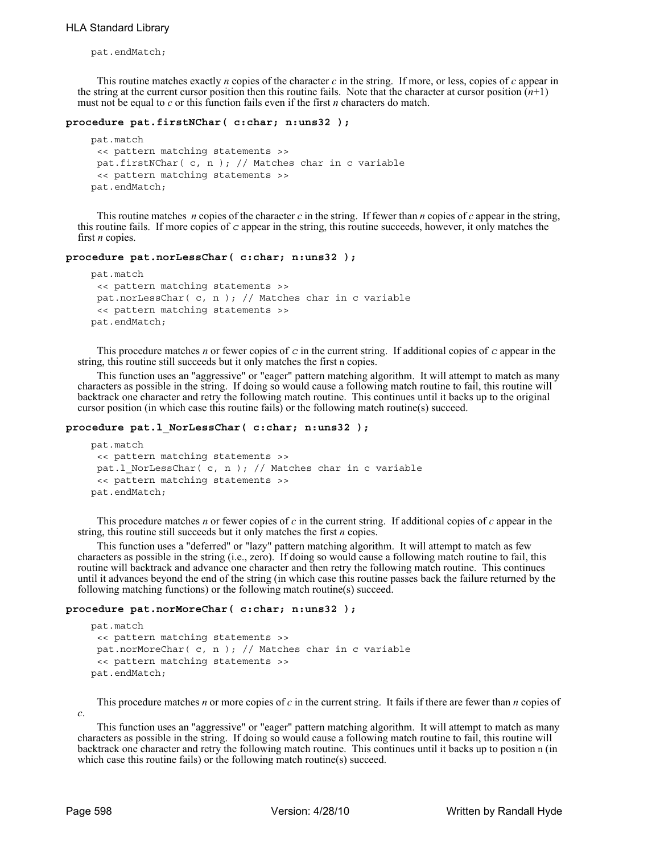pat.endMatch;

This routine matches exactly *n* copies of the character *c* in the string. If more, or less, copies of *c* appear in the string at the current cursor position then this routine fails. Note that the character at cursor position  $(n+1)$ must not be equal to *c* or this function fails even if the first *n* characters do match.

## **procedure pat.firstNChar( c:char; n:uns32 );**

```
 pat.match
 << pattern matching statements >>
 pat.firstNChar( c, n ); // Matches char in c variable 
 << pattern matching statements >>
 pat.endMatch;
```
This routine matches *n* copies of the character *c* in the string. If fewer than *n* copies of *c* appear in the string, this routine fails. If more copies of *c* appear in the string, this routine succeeds, however, it only matches the first *n* copies.

## **procedure pat.norLessChar( c:char; n:uns32 );**

```
 pat.match
 << pattern matching statements >>
 pat.norLessChar( c, n ); // Matches char in c variable 
 << pattern matching statements >>
 pat.endMatch;
```
This procedure matches *n* or fewer copies of *c* in the current string. If additional copies of *c* appear in the string, this routine still succeeds but it only matches the first n copies.

This function uses an "aggressive" or "eager" pattern matching algorithm. It will attempt to match as many characters as possible in the string. If doing so would cause a following match routine to fail, this routine will backtrack one character and retry the following match routine. This continues until it backs up to the original cursor position (in which case this routine fails) or the following match routine(s) succeed.

### **procedure pat.l\_NorLessChar( c:char; n:uns32 );**

```
 pat.match
 << pattern matching statements >>
 pat.l_NorLessChar( c, n ); // Matches char in c variable 
 << pattern matching statements >>
 pat.endMatch;
```
This procedure matches *n* or fewer copies of *c* in the current string. If additional copies of *c* appear in the string, this routine still succeeds but it only matches the first *n* copies.

This function uses a "deferred" or "lazy" pattern matching algorithm. It will attempt to match as few characters as possible in the string (i.e., zero). If doing so would cause a following match routine to fail, this routine will backtrack and advance one character and then retry the following match routine. This continues until it advances beyond the end of the string (in which case this routine passes back the failure returned by the following matching functions) or the following match routine(s) succeed.

#### **procedure pat.norMoreChar( c:char; n:uns32 );**

```
 pat.match
 << pattern matching statements >>
 pat.norMoreChar( c, n ); // Matches char in c variable 
 << pattern matching statements >>
 pat.endMatch;
```
This procedure matches *n* or more copies of *c* in the current string. It fails if there are fewer than *n* copies of

This function uses an "aggressive" or "eager" pattern matching algorithm. It will attempt to match as many characters as possible in the string. If doing so would cause a following match routine to fail, this routine will backtrack one character and retry the following match routine. This continues until it backs up to position n (in which case this routine fails) or the following match routine(s) succeed.

*c*.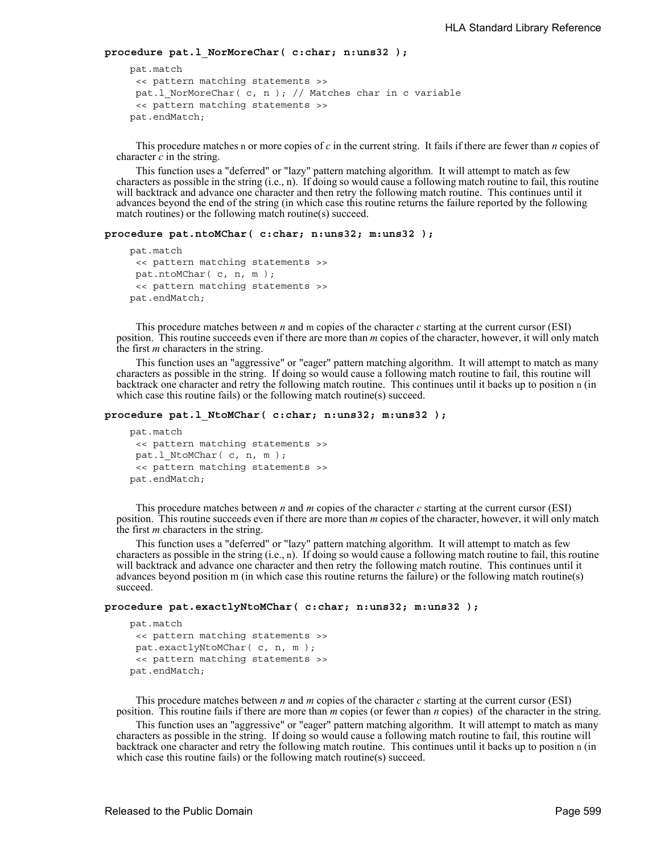**procedure pat.l\_NorMoreChar( c:char; n:uns32 );** 

```
 pat.match
 << pattern matching statements >>
pat.l_NorMoreChar( c, n ); // Matches char in c variable 
 << pattern matching statements >>
 pat.endMatch;
```
This procedure matches n or more copies of *c* in the current string. It fails if there are fewer than *n* copies of character *c* in the string.

This function uses a "deferred" or "lazy" pattern matching algorithm. It will attempt to match as few characters as possible in the string (i.e., n). If doing so would cause a following match routine to fail, this routine will backtrack and advance one character and then retry the following match routine. This continues until it advances beyond the end of the string (in which case this routine returns the failure reported by the following match routines) or the following match routine(s) succeed.

```
procedure pat.ntoMChar( c:char; n:uns32; m:uns32 );
```

```
 pat.match
 << pattern matching statements >>
pat.ntoMChar( c, n, m );
 << pattern matching statements >>
 pat.endMatch;
```
This procedure matches between *n* and m copies of the character *c* starting at the current cursor (ESI) position. This routine succeeds even if there are more than *m* copies of the character, however, it will only match the first *m* characters in the string.

This function uses an "aggressive" or "eager" pattern matching algorithm. It will attempt to match as many characters as possible in the string. If doing so would cause a following match routine to fail, this routine will backtrack one character and retry the following match routine. This continues until it backs up to position n (in which case this routine fails) or the following match routine(s) succeed.

```
procedure pat.l_NtoMChar( c:char; n:uns32; m:uns32 );
```

```
 pat.match
 << pattern matching statements >>
pat.1 NtoMChar( c, n, m );
 << pattern matching statements >>
 pat.endMatch;
```
This procedure matches between *n* and *m* copies of the character *c* starting at the current cursor (ESI) position. This routine succeeds even if there are more than *m* copies of the character, however, it will only match the first *m* characters in the string.

This function uses a "deferred" or "lazy" pattern matching algorithm. It will attempt to match as few characters as possible in the string (i.e., n). If doing so would cause a following match routine to fail, this routine will backtrack and advance one character and then retry the following match routine. This continues until it advances beyond position m (in which case this routine returns the failure) or the following match routine(s) succeed.

```
procedure pat.exactlyNtoMChar( c:char; n:uns32; m:uns32 );
```

```
 pat.match
 << pattern matching statements >>
pat.exactlyNtoMChar( c, n, m );
 << pattern matching statements >>
 pat.endMatch;
```
This procedure matches between *n* and *m* copies of the character *c* starting at the current cursor (ESI) position. This routine fails if there are more than *m* copies (or fewer than *n* copies) of the character in the string.

This function uses an "aggressive" or "eager" pattern matching algorithm. It will attempt to match as many characters as possible in the string. If doing so would cause a following match routine to fail, this routine will backtrack one character and retry the following match routine. This continues until it backs up to position n (in which case this routine fails) or the following match routine(s) succeed.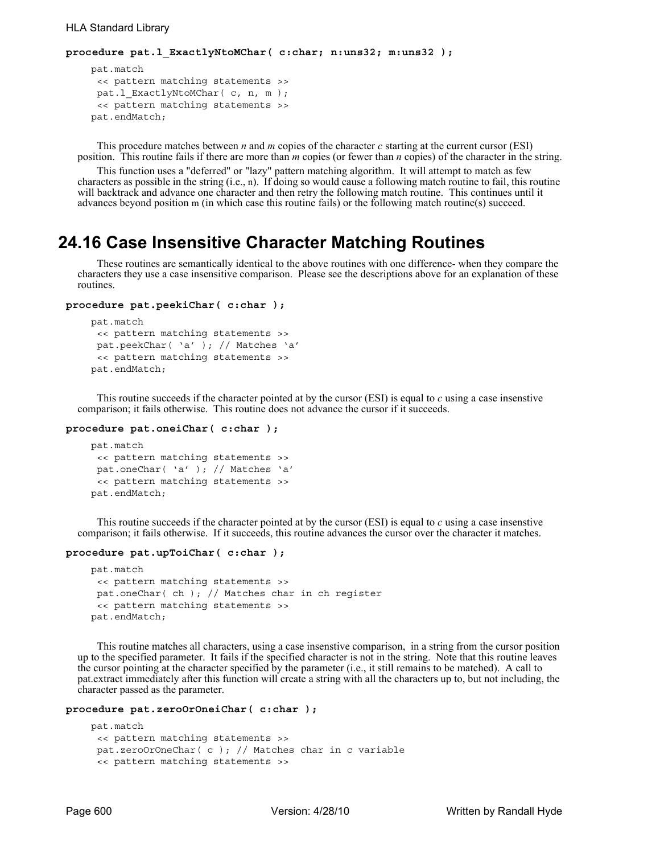```
procedure pat.l_ExactlyNtoMChar( c:char; n:uns32; m:uns32 );
```

```
 pat.match
 << pattern matching statements >>
 pat.l_ExactlyNtoMChar( c, n, m );
 << pattern matching statements >>
 pat.endMatch;
```
This procedure matches between *n* and *m* copies of the character *c* starting at the current cursor (ESI) position. This routine fails if there are more than *m* copies (or fewer than *n* copies) of the character in the string.

This function uses a "deferred" or "lazy" pattern matching algorithm. It will attempt to match as few characters as possible in the string (i.e., n). If doing so would cause a following match routine to fail, this routine will backtrack and advance one character and then retry the following match routine. This continues until it advances beyond position m (in which case this routine fails) or the following match routine(s) succeed.

## **24.16 Case Insensitive Character Matching Routines**

These routines are semantically identical to the above routines with one difference- when they compare the characters they use a case insensitive comparison. Please see the descriptions above for an explanation of these routines.

```
procedure pat.peekiChar( c:char );
```

```
 pat.match
 << pattern matching statements >>
 pat.peekChar( 'a' ); // Matches 'a' 
 << pattern matching statements >>
 pat.endMatch;
```
This routine succeeds if the character pointed at by the cursor (ESI) is equal to *c* using a case insenstive comparison; it fails otherwise. This routine does not advance the cursor if it succeeds.

```
procedure pat.oneiChar( c:char );
```

```
 pat.match
 << pattern matching statements >>
 pat.oneChar( 'a' ); // Matches 'a' 
 << pattern matching statements >>
 pat.endMatch;
```
This routine succeeds if the character pointed at by the cursor (ESI) is equal to *c* using a case insenstive comparison; it fails otherwise. If it succeeds, this routine advances the cursor over the character it matches.

## **procedure pat.upToiChar( c:char );**

```
 pat.match
 << pattern matching statements >>
 pat.oneChar( ch ); // Matches char in ch register 
 << pattern matching statements >>
 pat.endMatch;
```
This routine matches all characters, using a case insenstive comparison, in a string from the cursor position up to the specified parameter. It fails if the specified character is not in the string. Note that this routine leaves the cursor pointing at the character specified by the parameter (i.e., it still remains to be matched). A call to pat.extract immediately after this function will create a string with all the characters up to, but not including, the character passed as the parameter.

```
procedure pat.zeroOrOneiChar( c:char );
```

```
 pat.match
 << pattern matching statements >>
 pat.zeroOrOneChar( c ); // Matches char in c variable 
 << pattern matching statements >>
```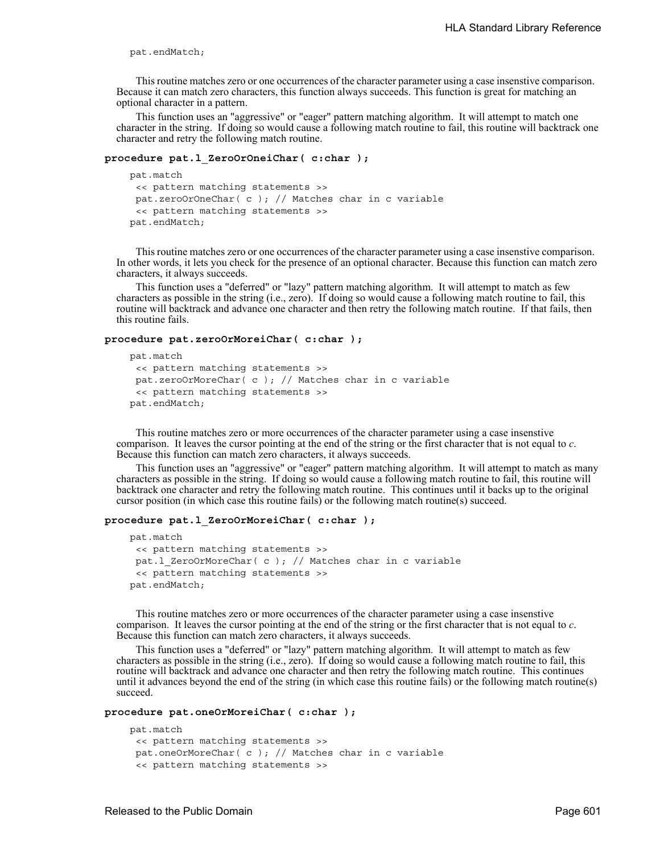pat.endMatch;

This routine matches zero or one occurrences of the character parameter using a case insenstive comparison. Because it can match zero characters, this function always succeeds. This function is great for matching an optional character in a pattern.

This function uses an "aggressive" or "eager" pattern matching algorithm. It will attempt to match one character in the string. If doing so would cause a following match routine to fail, this routine will backtrack one character and retry the following match routine.

## **procedure pat.l\_ZeroOrOneiChar( c:char );**

```
 pat.match
 << pattern matching statements >>
pat.zeroOrOneChar( c ); // Matches char in c variable 
 << pattern matching statements >>
 pat.endMatch;
```
This routine matches zero or one occurrences of the character parameter using a case insenstive comparison. In other words, it lets you check for the presence of an optional character. Because this function can match zero characters, it always succeeds.

This function uses a "deferred" or "lazy" pattern matching algorithm. It will attempt to match as few characters as possible in the string (i.e., zero). If doing so would cause a following match routine to fail, this routine will backtrack and advance one character and then retry the following match routine. If that fails, then this routine fails.

#### **procedure pat.zeroOrMoreiChar( c:char );**

```
 pat.match
 << pattern matching statements >>
pat.zeroOrMoreChar( c ); // Matches char in c variable 
 << pattern matching statements >>
 pat.endMatch;
```
This routine matches zero or more occurrences of the character parameter using a case insenstive comparison. It leaves the cursor pointing at the end of the string or the first character that is not equal to *c*. Because this function can match zero characters, it always succeeds.

This function uses an "aggressive" or "eager" pattern matching algorithm. It will attempt to match as many characters as possible in the string. If doing so would cause a following match routine to fail, this routine will backtrack one character and retry the following match routine. This continues until it backs up to the original cursor position (in which case this routine fails) or the following match routine(s) succeed.

### **procedure pat.l\_ZeroOrMoreiChar( c:char );**

```
 pat.match
 << pattern matching statements >>
pat.l_ZeroOrMoreChar( c ); // Matches char in c variable 
 << pattern matching statements >>
 pat.endMatch;
```
This routine matches zero or more occurrences of the character parameter using a case insenstive comparison. It leaves the cursor pointing at the end of the string or the first character that is not equal to *c*. Because this function can match zero characters, it always succeeds.

This function uses a "deferred" or "lazy" pattern matching algorithm. It will attempt to match as few characters as possible in the string (i.e., zero). If doing so would cause a following match routine to fail, this routine will backtrack and advance one character and then retry the following match routine. This continues until it advances beyond the end of the string (in which case this routine fails) or the following match routine(s) succeed.

**procedure pat.oneOrMoreiChar( c:char );** 

```
 pat.match
 << pattern matching statements >>
 pat.oneOrMoreChar( c ); // Matches char in c variable 
 << pattern matching statements >>
```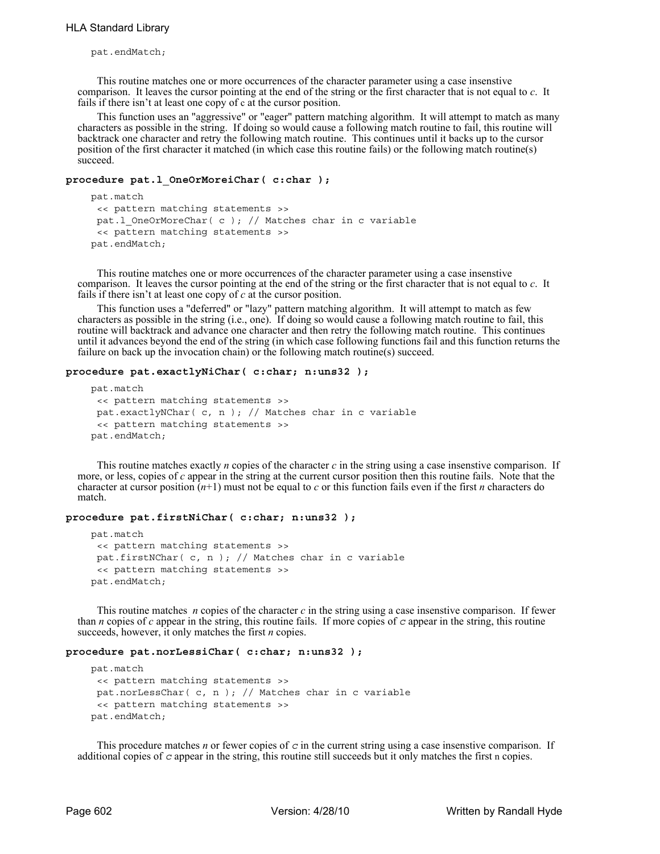pat.endMatch;

This routine matches one or more occurrences of the character parameter using a case insenstive comparison. It leaves the cursor pointing at the end of the string or the first character that is not equal to *c*. It fails if there isn't at least one copy of c at the cursor position.

This function uses an "aggressive" or "eager" pattern matching algorithm. It will attempt to match as many characters as possible in the string. If doing so would cause a following match routine to fail, this routine will backtrack one character and retry the following match routine. This continues until it backs up to the cursor position of the first character it matched (in which case this routine fails) or the following match routine(s) succeed.

## **procedure pat.l\_OneOrMoreiChar( c:char );**

```
 pat.match
 << pattern matching statements >>
 pat.l OneOrMoreChar( c ); // Matches char in c variable
 << pattern matching statements >>
 pat.endMatch;
```
This routine matches one or more occurrences of the character parameter using a case insenstive comparison. It leaves the cursor pointing at the end of the string or the first character that is not equal to *c*. It fails if there isn't at least one copy of *c* at the cursor position.

This function uses a "deferred" or "lazy" pattern matching algorithm. It will attempt to match as few characters as possible in the string (i.e., one). If doing so would cause a following match routine to fail, this routine will backtrack and advance one character and then retry the following match routine. This continues until it advances beyond the end of the string (in which case following functions fail and this function returns the failure on back up the invocation chain) or the following match routine(s) succeed.

## **procedure pat.exactlyNiChar( c:char; n:uns32 );**

```
 pat.match
 << pattern matching statements >>
 pat.exactlyNChar( c, n ); // Matches char in c variable 
 << pattern matching statements >>
 pat.endMatch;
```
This routine matches exactly *n* copies of the character *c* in the string using a case insenstive comparison. If more, or less, copies of *c* appear in the string at the current cursor position then this routine fails. Note that the character at cursor position (*n*+1) must not be equal to *c* or this function fails even if the first *n* characters do match.

## **procedure pat.firstNiChar( c:char; n:uns32 );**

```
 pat.match
 << pattern matching statements >>
 pat.firstNChar( c, n ); // Matches char in c variable 
 << pattern matching statements >>
 pat.endMatch;
```
This routine matches *n* copies of the character *c* in the string using a case insenstive comparison. If fewer than *n* copies of *c* appear in the string, this routine fails. If more copies of *c* appear in the string, this routine succeeds, however, it only matches the first *n* copies.

#### **procedure pat.norLessiChar( c:char; n:uns32 );**

```
 pat.match
 << pattern matching statements >>
 pat.norLessChar( c, n ); // Matches char in c variable 
 << pattern matching statements >>
 pat.endMatch;
```
This procedure matches *n* or fewer copies of  $c$  in the current string using a case insenstive comparison. If additional copies of *c* appear in the string, this routine still succeeds but it only matches the first n copies.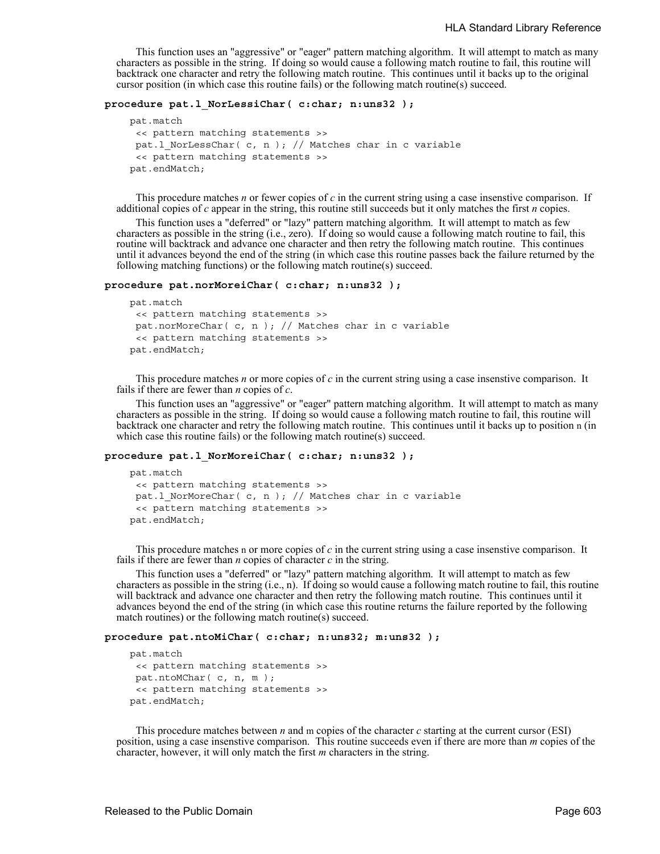This function uses an "aggressive" or "eager" pattern matching algorithm. It will attempt to match as many characters as possible in the string. If doing so would cause a following match routine to fail, this routine will backtrack one character and retry the following match routine. This continues until it backs up to the original cursor position (in which case this routine fails) or the following match routine(s) succeed.

## **procedure pat.l\_NorLessiChar( c:char; n:uns32 );**

```
 pat.match
 << pattern matching statements >>
 pat.l NorLessChar( c, n ); // Matches char in c variable
 << pattern matching statements >>
 pat.endMatch;
```
This procedure matches *n* or fewer copies of *c* in the current string using a case insenstive comparison. If additional copies of *c* appear in the string, this routine still succeeds but it only matches the first *n* copies.

This function uses a "deferred" or "lazy" pattern matching algorithm. It will attempt to match as few characters as possible in the string (i.e., zero). If doing so would cause a following match routine to fail, this routine will backtrack and advance one character and then retry the following match routine. This continues until it advances beyond the end of the string (in which case this routine passes back the failure returned by the following matching functions) or the following match routine(s) succeed.

#### **procedure pat.norMoreiChar( c:char; n:uns32 );**

```
 pat.match
 << pattern matching statements >>
pat.norMoreChar( c, n ); // Matches char in c variable 
 << pattern matching statements >>
 pat.endMatch;
```
This procedure matches *n* or more copies of *c* in the current string using a case insenstive comparison. It fails if there are fewer than *n* copies of *c*.

This function uses an "aggressive" or "eager" pattern matching algorithm. It will attempt to match as many characters as possible in the string. If doing so would cause a following match routine to fail, this routine will backtrack one character and retry the following match routine. This continues until it backs up to position n (in which case this routine fails) or the following match routine(s) succeed.

## **procedure pat.l\_NorMoreiChar( c:char; n:uns32 );**

```
 pat.match
 << pattern matching statements >>
pat.l NorMoreChar( c, n ); // Matches char in c variable
 << pattern matching statements >>
 pat.endMatch;
```
This procedure matches n or more copies of *c* in the current string using a case insenstive comparison. It fails if there are fewer than *n* copies of character *c* in the string.

This function uses a "deferred" or "lazy" pattern matching algorithm. It will attempt to match as few characters as possible in the string (i.e., n). If doing so would cause a following match routine to fail, this routine will backtrack and advance one character and then retry the following match routine. This continues until it advances beyond the end of the string (in which case this routine returns the failure reported by the following match routines) or the following match routine(s) succeed.

#### **procedure pat.ntoMiChar( c:char; n:uns32; m:uns32 );**

```
 pat.match
 << pattern matching statements >>
pat.ntoMChar( c, n, m );
 << pattern matching statements >>
 pat.endMatch;
```
This procedure matches between *n* and m copies of the character *c* starting at the current cursor (ESI) position, using a case insenstive comparison. This routine succeeds even if there are more than *m* copies of the character, however, it will only match the first *m* characters in the string.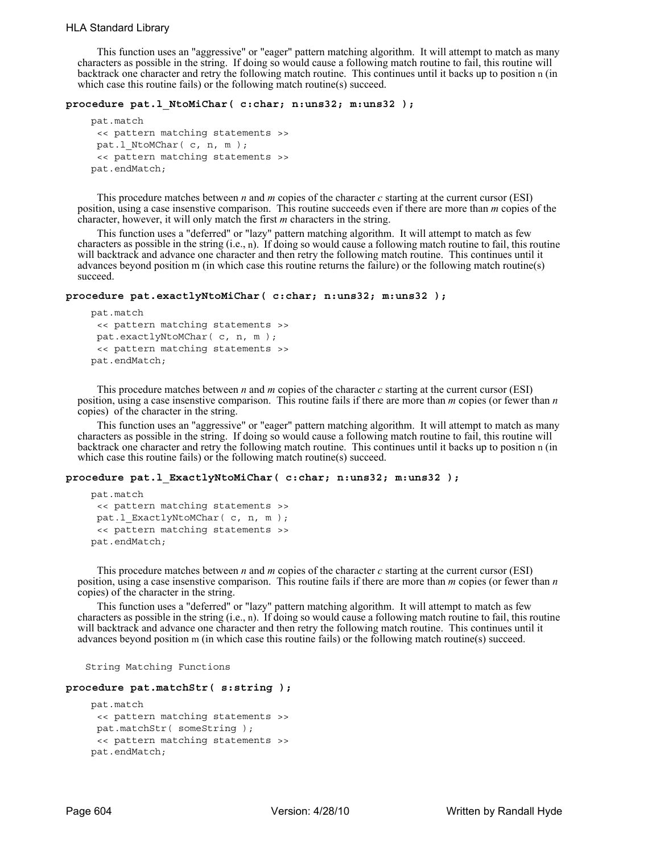## HLA Standard Library

This function uses an "aggressive" or "eager" pattern matching algorithm. It will attempt to match as many characters as possible in the string. If doing so would cause a following match routine to fail, this routine will backtrack one character and retry the following match routine. This continues until it backs up to position n (in which case this routine fails) or the following match routine(s) succeed.

#### **procedure pat.l\_NtoMiChar( c:char; n:uns32; m:uns32 );**

```
 pat.match
 << pattern matching statements >>
 pat.1 NtoMChar( c, n, m );
 << pattern matching statements >>
 pat.endMatch;
```
This procedure matches between *n* and *m* copies of the character *c* starting at the current cursor (ESI) position, using a case insenstive comparison. This routine succeeds even if there are more than *m* copies of the character, however, it will only match the first *m* characters in the string.

This function uses a "deferred" or "lazy" pattern matching algorithm. It will attempt to match as few characters as possible in the string (i.e., n). If doing so would cause a following match routine to fail, this routine will backtrack and advance one character and then retry the following match routine. This continues until it advances beyond position m (in which case this routine returns the failure) or the following match routine(s) succeed.

## **procedure pat.exactlyNtoMiChar( c:char; n:uns32; m:uns32 );**

```
 pat.match
 << pattern matching statements >>
 pat.exactlyNtoMChar( c, n, m );
 << pattern matching statements >>
 pat.endMatch;
```
This procedure matches between *n* and *m* copies of the character *c* starting at the current cursor (ESI) position, using a case insenstive comparison. This routine fails if there are more than *m* copies (or fewer than *n* copies) of the character in the string.

This function uses an "aggressive" or "eager" pattern matching algorithm. It will attempt to match as many characters as possible in the string. If doing so would cause a following match routine to fail, this routine will backtrack one character and retry the following match routine. This continues until it backs up to position n (in which case this routine fails) or the following match routine(s) succeed.

### **procedure pat.l\_ExactlyNtoMiChar( c:char; n:uns32; m:uns32 );**

```
 pat.match
 << pattern matching statements >>
 pat.1 ExactlyNtoMChar( c, n, m );
 << pattern matching statements >>
 pat.endMatch;
```
This procedure matches between *n* and *m* copies of the character *c* starting at the current cursor (ESI) position, using a case insenstive comparison. This routine fails if there are more than *m* copies (or fewer than *n* copies) of the character in the string.

This function uses a "deferred" or "lazy" pattern matching algorithm. It will attempt to match as few characters as possible in the string (i.e., n). If doing so would cause a following match routine to fail, this routine will backtrack and advance one character and then retry the following match routine. This continues until it advances beyond position m (in which case this routine fails) or the following match routine(s) succeed.

String Matching Functions

#### **procedure pat.matchStr( s:string );**

```
 pat.match
 << pattern matching statements >>
 pat.matchStr( someString );
 << pattern matching statements >>
 pat.endMatch;
```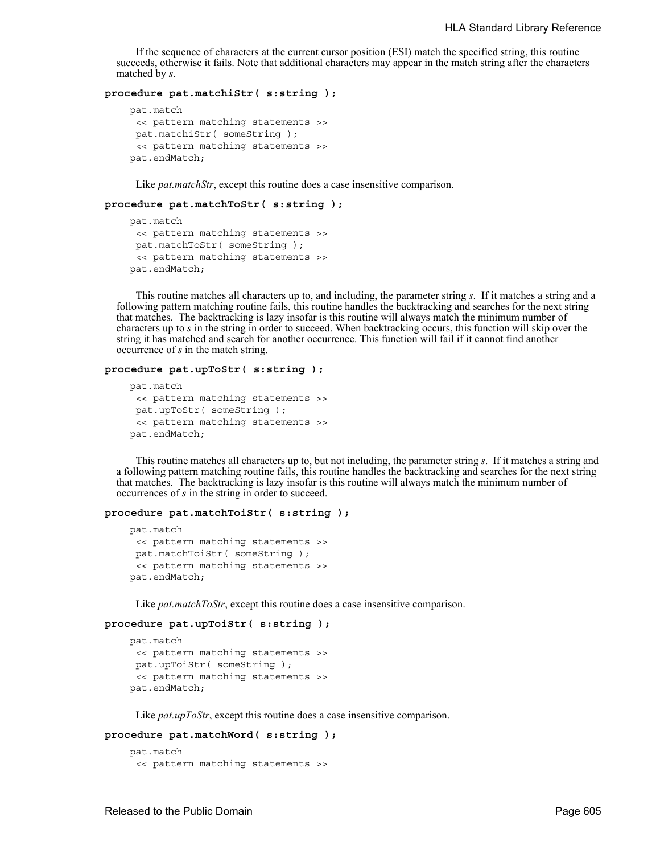If the sequence of characters at the current cursor position (ESI) match the specified string, this routine succeeds, otherwise it fails. Note that additional characters may appear in the match string after the characters matched by *s*.

## **procedure pat.matchiStr( s:string );**

```
 pat.match
 << pattern matching statements >>
pat.matchiStr( someString );
 << pattern matching statements >>
 pat.endMatch;
```
Like *pat.matchStr*, except this routine does a case insensitive comparison.

### **procedure pat.matchToStr( s:string );**

```
 pat.match
 << pattern matching statements >>
pat.matchToStr( someString );
 << pattern matching statements >>
 pat.endMatch;
```
This routine matches all characters up to, and including, the parameter string *s*. If it matches a string and a following pattern matching routine fails, this routine handles the backtracking and searches for the next string that matches. The backtracking is lazy insofar is this routine will always match the minimum number of characters up to *s* in the string in order to succeed. When backtracking occurs, this function will skip over the string it has matched and search for another occurrence. This function will fail if it cannot find another occurrence of *s* in the match string.

### **procedure pat.upToStr( s:string );**

```
 pat.match
 << pattern matching statements >>
pat.upToStr( someString );
 << pattern matching statements >>
 pat.endMatch;
```
This routine matches all characters up to, but not including, the parameter string *s*. If it matches a string and a following pattern matching routine fails, this routine handles the backtracking and searches for the next string that matches. The backtracking is lazy insofar is this routine will always match the minimum number of occurrences of *s* in the string in order to succeed.

#### **procedure pat.matchToiStr( s:string );**

```
 pat.match
 << pattern matching statements >>
pat.matchToiStr( someString );
 << pattern matching statements >>
 pat.endMatch;
```
Like *pat.matchToStr*, except this routine does a case insensitive comparison.

```
procedure pat.upToiStr( s:string );
```

```
 pat.match
 << pattern matching statements >>
pat.upToiStr( someString );
 << pattern matching statements >>
 pat.endMatch;
```
Like *pat.upToStr*, except this routine does a case insensitive comparison.

## **procedure pat.matchWord( s:string );**

```
 pat.match
 << pattern matching statements >>
```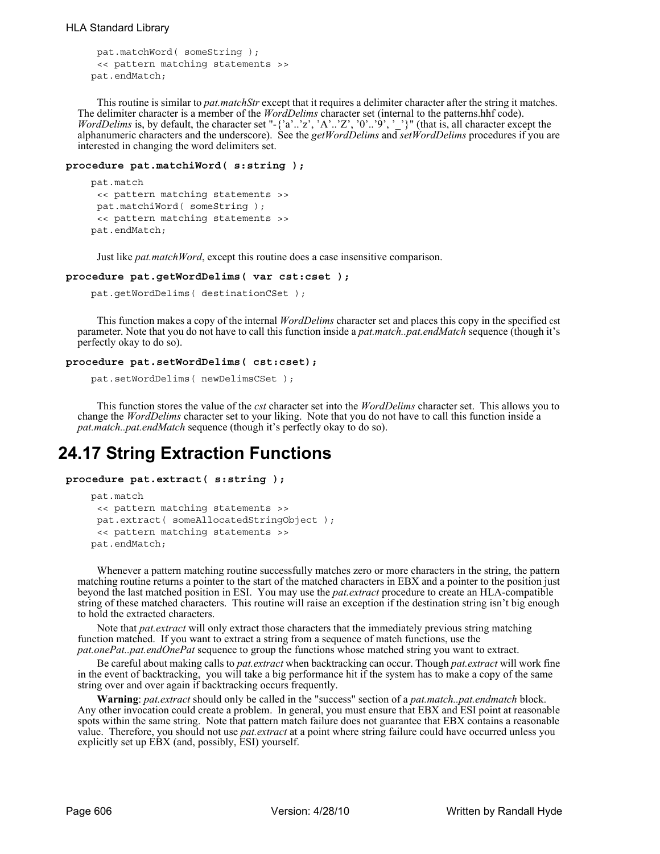```
pat.matchWord( someString );
 << pattern matching statements >>
 pat.endMatch;
```
This routine is similar to *pat.matchStr* except that it requires a delimiter character after the string it matches. The delimiter character is a member of the *WordDelims* character set (internal to the patterns.hhf code). *WordDelims* is, by default, the character set "-{'a'..'z', 'A'..'Z', '0'..'9', '\_'}" (that is, all character except the alphanumeric characters and the underscore). See the *getWordDelims* and *setWordDelims* procedures if you are interested in changing the word delimiters set.

## **procedure pat.matchiWord( s:string );**

```
 pat.match
 << pattern matching statements >>
 pat.matchiWord( someString );
 << pattern matching statements >>
 pat.endMatch;
```
Just like *pat.matchWord*, except this routine does a case insensitive comparison.

#### **procedure pat.getWordDelims( var cst:cset );**

```
 pat.getWordDelims( destinationCSet );
```
This function makes a copy of the internal *WordDelims* character set and places this copy in the specified cst parameter. Note that you do not have to call this function inside a *pat.match..pat.endMatch* sequence (though it's perfectly okay to do so).

## **procedure pat.setWordDelims( cst:cset);**

```
 pat.setWordDelims( newDelimsCSet );
```
This function stores the value of the *cst* character set into the *WordDelims* character set. This allows you to change the *WordDelims* character set to your liking. Note that you do not have to call this function inside a *pat.match..pat.endMatch* sequence (though it's perfectly okay to do so).

# **24.17 String Extraction Functions**

```
procedure pat.extract( s:string );
```

```
 pat.match
 << pattern matching statements >>
 pat.extract( someAllocatedStringObject );
 << pattern matching statements >>
 pat.endMatch;
```
Whenever a pattern matching routine successfully matches zero or more characters in the string, the pattern matching routine returns a pointer to the start of the matched characters in EBX and a pointer to the position just beyond the last matched position in ESI. You may use the *pat.extract* procedure to create an HLA-compatible string of these matched characters. This routine will raise an exception if the destination string isn't big enough to hold the extracted characters.

Note that *pat.extract* will only extract those characters that the immediately previous string matching function matched. If you want to extract a string from a sequence of match functions, use the *pat.onePat..pat.endOnePat* sequence to group the functions whose matched string you want to extract.

Be careful about making calls to *pat.extract* when backtracking can occur. Though *pat.extract* will work fine in the event of backtracking, you will take a big performance hit if the system has to make a copy of the same string over and over again if backtracking occurs frequently.

**Warning**: *pat.extract* should only be called in the "success" section of a *pat.match..pat.endmatch* block. Any other invocation could create a problem. In general, you must ensure that EBX and ESI point at reasonable spots within the same string. Note that pattern match failure does not guarantee that EBX contains a reasonable value. Therefore, you should not use *pat.extract* at a point where string failure could have occurred unless you explicitly set up EBX (and, possibly, ESI) yourself.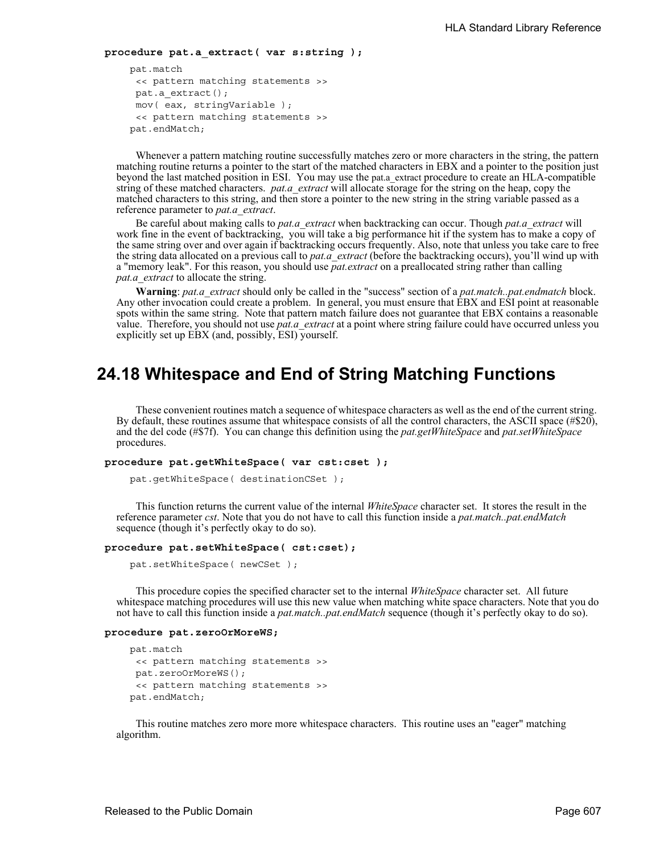```
procedure pat.a_extract( var s:string );
```

```
 pat.match
 << pattern matching statements >>
pat.a_extract();
mov( eax, stringVariable );
 << pattern matching statements >>
 pat.endMatch;
```
Whenever a pattern matching routine successfully matches zero or more characters in the string, the pattern matching routine returns a pointer to the start of the matched characters in EBX and a pointer to the position just beyond the last matched position in ESI. You may use the pat.a\_extract procedure to create an HLA-compatible string of these matched characters. *pat.a\_extract* will allocate storage for the string on the heap, copy the matched characters to this string, and then store a pointer to the new string in the string variable passed as a reference parameter to *pat.a\_extract*.

Be careful about making calls to *pat.a\_extract* when backtracking can occur. Though *pat.a\_extract* will work fine in the event of backtracking, you will take a big performance hit if the system has to make a copy of the same string over and over again if backtracking occurs frequently. Also, note that unless you take care to free the string data allocated on a previous call to *pat.a\_extract* (before the backtracking occurs), you'll wind up with a "memory leak". For this reason, you should use *pat.extract* on a preallocated string rather than calling *pat.a\_extract* to allocate the string.

**Warning**: *pat.a\_extract* should only be called in the "success" section of a *pat.match..pat.endmatch* block. Any other invocation could create a problem. In general, you must ensure that EBX and ESI point at reasonable spots within the same string. Note that pattern match failure does not guarantee that EBX contains a reasonable value. Therefore, you should not use *pat.a\_extract* at a point where string failure could have occurred unless you explicitly set up EBX (and, possibly, ESI) yourself.

# **24.18 Whitespace and End of String Matching Functions**

These convenient routines match a sequence of whitespace characters as well as the end of the current string. By default, these routines assume that whitespace consists of all the control characters, the ASCII space (#\$20), and the del code (#\$7f). You can change this definition using the *pat.getWhiteSpace* and *pat.setWhiteSpace* procedures.

```
procedure pat.getWhiteSpace( var cst:cset );
```
pat.getWhiteSpace( destinationCSet );

This function returns the current value of the internal *WhiteSpace* character set. It stores the result in the reference parameter *cst*. Note that you do not have to call this function inside a *pat.match..pat.endMatch* sequence (though it's perfectly okay to do so).

### **procedure pat.setWhiteSpace( cst:cset);**

pat.setWhiteSpace( newCSet );

This procedure copies the specified character set to the internal *WhiteSpace* character set. All future whitespace matching procedures will use this new value when matching white space characters. Note that you do not have to call this function inside a *pat.match..pat.endMatch* sequence (though it's perfectly okay to do so).

#### **procedure pat.zeroOrMoreWS;**

```
 pat.match
 << pattern matching statements >>
pat.zeroOrMoreWS();
 << pattern matching statements >>
 pat.endMatch;
```
This routine matches zero more more whitespace characters. This routine uses an "eager" matching algorithm.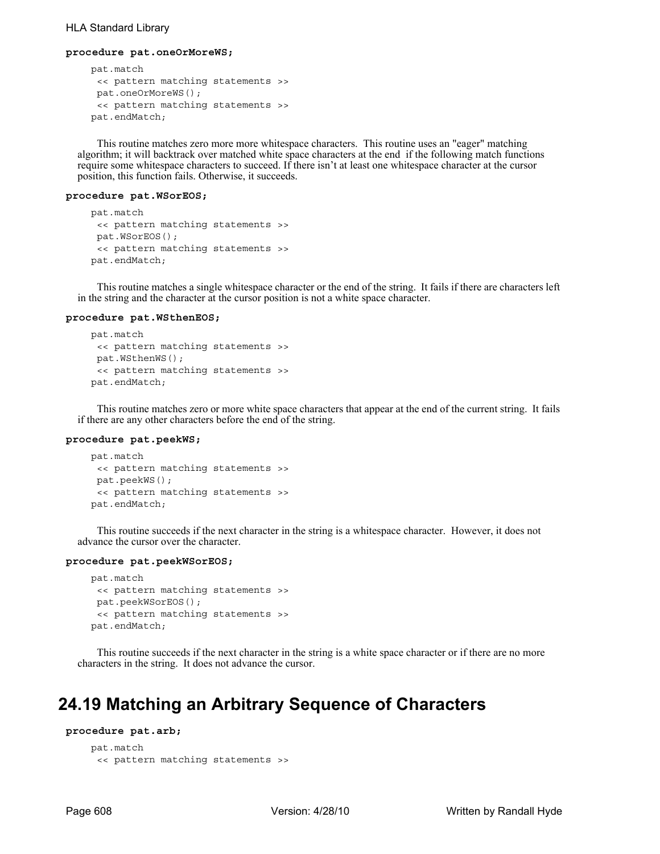## HLA Standard Library

#### **procedure pat.oneOrMoreWS;**

```
 pat.match
 << pattern matching statements >>
 pat.oneOrMoreWS();
 << pattern matching statements >>
 pat.endMatch;
```
This routine matches zero more more whitespace characters. This routine uses an "eager" matching algorithm; it will backtrack over matched white space characters at the end if the following match functions require some whitespace characters to succeed. If there isn't at least one whitespace character at the cursor position, this function fails. Otherwise, it succeeds.

#### **procedure pat.WSorEOS;**

```
 pat.match
 << pattern matching statements >>
 pat.WSorEOS();
 << pattern matching statements >>
 pat.endMatch;
```
This routine matches a single whitespace character or the end of the string. It fails if there are characters left in the string and the character at the cursor position is not a white space character.

#### **procedure pat.WSthenEOS;**

```
 pat.match
 << pattern matching statements >>
 pat.WSthenWS();
 << pattern matching statements >>
 pat.endMatch;
```
This routine matches zero or more white space characters that appear at the end of the current string. It fails if there are any other characters before the end of the string.

#### **procedure pat.peekWS;**

```
 pat.match
 << pattern matching statements >>
 pat.peekWS();
 << pattern matching statements >>
 pat.endMatch;
```
This routine succeeds if the next character in the string is a whitespace character. However, it does not advance the cursor over the character.

#### **procedure pat.peekWSorEOS;**

```
 pat.match
 << pattern matching statements >>
 pat.peekWSorEOS();
 << pattern matching statements >>
 pat.endMatch;
```
This routine succeeds if the next character in the string is a white space character or if there are no more characters in the string. It does not advance the cursor.

## **24.19 Matching an Arbitrary Sequence of Characters**

```
procedure pat.arb;
```

```
 pat.match
 << pattern matching statements >>
```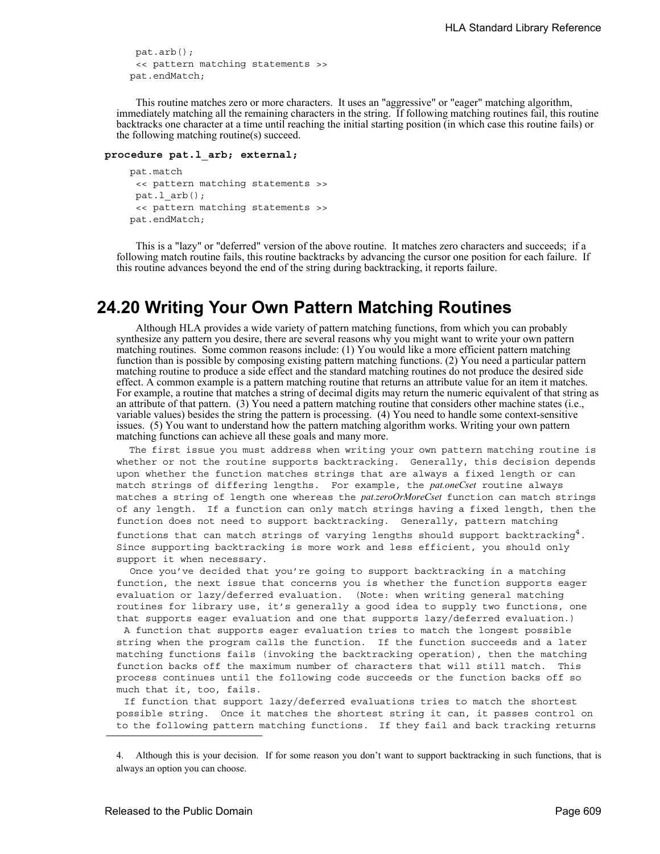```
pat.arb();
 << pattern matching statements >>
 pat.endMatch;
```
This routine matches zero or more characters. It uses an "aggressive" or "eager" matching algorithm, immediately matching all the remaining characters in the string. If following matching routines fail, this routine backtracks one character at a time until reaching the initial starting position (in which case this routine fails) or the following matching routine(s) succeed.

#### **procedure pat.l\_arb; external;**

```
 pat.match
 << pattern matching statements >>
pat.l arb();
 << pattern matching statements >>
 pat.endMatch;
```
This is a "lazy" or "deferred" version of the above routine. It matches zero characters and succeeds; if a following match routine fails, this routine backtracks by advancing the cursor one position for each failure. If this routine advances beyond the end of the string during backtracking, it reports failure.

## **24.20 Writing Your Own Pattern Matching Routines**

Although HLA provides a wide variety of pattern matching functions, from which you can probably synthesize any pattern you desire, there are several reasons why you might want to write your own pattern matching routines. Some common reasons include: (1) You would like a more efficient pattern matching function than is possible by composing existing pattern matching functions. (2) You need a particular pattern matching routine to produce a side effect and the standard matching routines do not produce the desired side effect. A common example is a pattern matching routine that returns an attribute value for an item it matches. For example, a routine that matches a string of decimal digits may return the numeric equivalent of that string as an attribute of that pattern. (3) You need a pattern matching routine that considers other machine states (i.e., variable values) besides the string the pattern is processing. (4) You need to handle some context-sensitive issues. (5) You want to understand how the pattern matching algorithm works. Writing your own pattern matching functions can achieve all these goals and many more.

 The first issue you must address when writing your own pattern matching routine is whether or not the routine supports backtracking. Generally, this decision depends upon whether the function matches strings that are always a fixed length or can match strings of differing lengths. For example, the *pat.oneCset* routine always matches a string of length one whereas the *pat.zeroOrMoreCset* function can match strings of any length. If a function can only match strings having a fixed length, then the function does not need to support backtracking. Generally, pattern matching functions that can match strings of varying lengths should support backtracking<sup>4</sup>. Since supporting backtracking is more work and less efficient, you should only support it when necessary.

 Once you've decided that you're going to support backtracking in a matching function, the next issue that concerns you is whether the function supports eager evaluation or lazy/deferred evaluation. (Note: when writing general matching routines for library use, it's generally a good idea to supply two functions, one that supports eager evaluation and one that supports lazy/deferred evaluation.)

A function that supports eager evaluation tries to match the longest possible string when the program calls the function. If the function succeeds and a later matching functions fails (invoking the backtracking operation), then the matching function backs off the maximum number of characters that will still match. This process continues until the following code succeeds or the function backs off so much that it, too, fails.

If function that support lazy/deferred evaluations tries to match the shortest possible string. Once it matches the shortest string it can, it passes control on to the following pattern matching functions. If they fail and back tracking returns

<sup>4.</sup> Although this is your decision. If for some reason you don't want to support backtracking in such functions, that is always an option you can choose.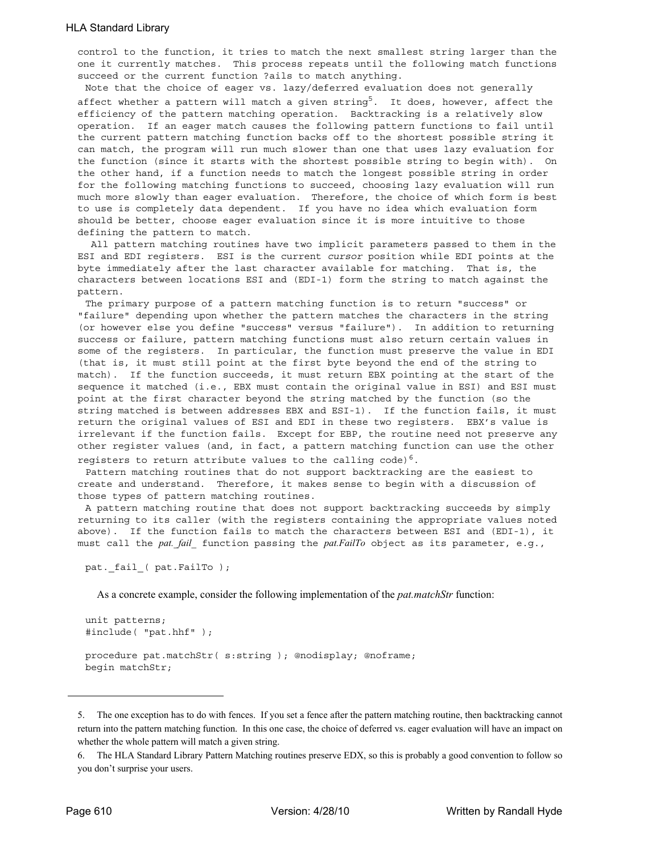control to the function, it tries to match the next smallest string larger than the one it currently matches. This process repeats until the following match functions succeed or the current function ?ails to match anything.

Note that the choice of eager vs. lazy/deferred evaluation does not generally affect whether a pattern will match a given string<sup>5</sup>. It does, however, affect the efficiency of the pattern matching operation. Backtracking is a relatively slow operation. If an eager match causes the following pattern functions to fail until the current pattern matching function backs off to the shortest possible string it can match, the program will run much slower than one that uses lazy evaluation for the function (since it starts with the shortest possible string to begin with). On the other hand, if a function needs to match the longest possible string in order for the following matching functions to succeed, choosing lazy evaluation will run much more slowly than eager evaluation. Therefore, the choice of which form is best to use is completely data dependent. If you have no idea which evaluation form should be better, choose eager evaluation since it is more intuitive to those defining the pattern to match.

 All pattern matching routines have two implicit parameters passed to them in the ESI and EDI registers. ESI is the current *cursor* position while EDI points at the byte immediately after the last character available for matching. That is, the characters between locations ESI and (EDI-1) form the string to match against the pattern.

The primary purpose of a pattern matching function is to return "success" or "failure" depending upon whether the pattern matches the characters in the string (or however else you define "success" versus "failure"). In addition to returning success or failure, pattern matching functions must also return certain values in some of the registers. In particular, the function must preserve the value in EDI (that is, it must still point at the first byte beyond the end of the string to match). If the function succeeds, it must return EBX pointing at the start of the sequence it matched (i.e., EBX must contain the original value in ESI) and ESI must point at the first character beyond the string matched by the function (so the string matched is between addresses EBX and ESI-1). If the function fails, it must return the original values of ESI and EDI in these two registers. EBX's value is irrelevant if the function fails. Except for EBP, the routine need not preserve any other register values (and, in fact, a pattern matching function can use the other

registers to return attribute values to the calling code)<sup>6</sup>. Pattern matching routines that do not support backtracking are the easiest to

create and understand. Therefore, it makes sense to begin with a discussion of those types of pattern matching routines.

A pattern matching routine that does not support backtracking succeeds by simply returning to its caller (with the registers containing the appropriate values noted above). If the function fails to match the characters between ESI and (EDI-1), it must call the *pat. fail* function passing the *pat.FailTo* object as its parameter, e.g.,

```
pat. fail ( pat.FailTo );
```
As a concrete example, consider the following implementation of the *pat.matchStr* function:

```
unit patterns;
#include( "pat.hhf" );
procedure pat.matchStr( s:string ); @nodisplay; @noframe;
begin matchStr;
```
<sup>5.</sup> The one exception has to do with fences. If you set a fence after the pattern matching routine, then backtracking cannot return into the pattern matching function. In this one case, the choice of deferred vs. eager evaluation will have an impact on whether the whole pattern will match a given string.

<sup>6.</sup> The HLA Standard Library Pattern Matching routines preserve EDX, so this is probably a good convention to follow so you don't surprise your users.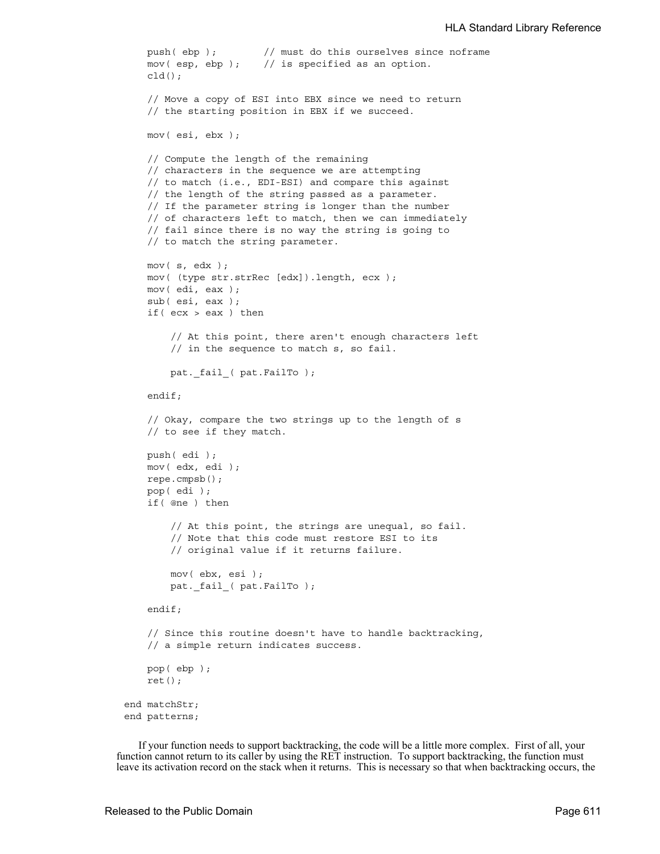```
 push( ebp ); // must do this ourselves since noframe
     mov( esp, ebp ); // is specified as an option.
    cld();
     // Move a copy of ESI into EBX since we need to return
     // the starting position in EBX if we succeed.
     mov( esi, ebx );
     // Compute the length of the remaining
     // characters in the sequence we are attempting
     // to match (i.e., EDI-ESI) and compare this against
     // the length of the string passed as a parameter.
     // If the parameter string is longer than the number
     // of characters left to match, then we can immediately
     // fail since there is no way the string is going to
     // to match the string parameter.
     mov( s, edx );
     mov( (type str.strRec [edx]).length, ecx );
     mov( edi, eax );
     sub( esi, eax );
     if( ecx > eax ) then
         // At this point, there aren't enough characters left
         // in the sequence to match s, so fail.
        pat. fail ( pat.FailTo );
     endif;
     // Okay, compare the two strings up to the length of s
     // to see if they match.
     push( edi );
     mov( edx, edi );
     repe.cmpsb();
     pop( edi );
     if( @ne ) then
         // At this point, the strings are unequal, so fail.
         // Note that this code must restore ESI to its
         // original value if it returns failure.
         mov( ebx, esi );
        pat. fail ( pat.FailTo );
     endif;
     // Since this routine doesn't have to handle backtracking,
     // a simple return indicates success.
     pop( ebp );
     ret();
end matchStr;
end patterns;
```
 If your function needs to support backtracking, the code will be a little more complex. First of all, your function cannot return to its caller by using the RET instruction. To support backtracking, the function must leave its activation record on the stack when it returns. This is necessary so that when backtracking occurs, the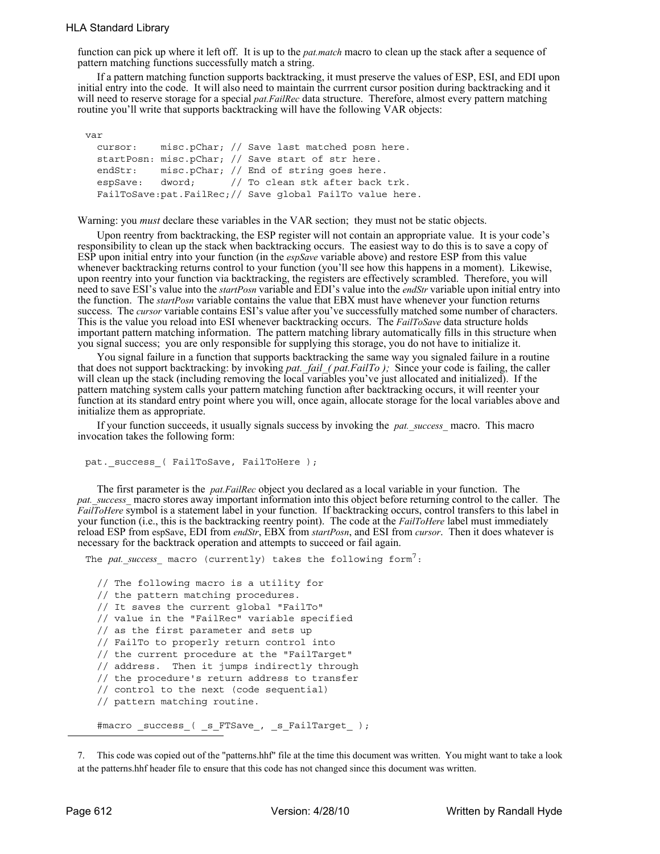## HLA Standard Library

function can pick up where it left off. It is up to the *pat.match* macro to clean up the stack after a sequence of pattern matching functions successfully match a string.

If a pattern matching function supports backtracking, it must preserve the values of ESP, ESI, and EDI upon initial entry into the code. It will also need to maintain the currrent cursor position during backtracking and it will need to reserve storage for a special *pat.FailRec* data structure. Therefore, almost every pattern matching routine you'll write that supports backtracking will have the following VAR objects:

var cursor: misc.pChar; // Save last matched posn here. startPosn: misc.pChar; // Save start of str here. endStr: misc.pChar; // End of string goes here. espSave: dword; // To clean stk after back trk. FailToSave:pat.FailRec;// Save global FailTo value here.

Warning: you *must* declare these variables in the VAR section; they must not be static objects.

Upon reentry from backtracking, the ESP register will not contain an appropriate value. It is your code's responsibility to clean up the stack when backtracking occurs. The easiest way to do this is to save a copy of ESP upon initial entry into your function (in the *espSave* variable above) and restore ESP from this value whenever backtracking returns control to your function (you'll see how this happens in a moment). Likewise, upon reentry into your function via backtracking, the registers are effectively scrambled. Therefore, you will need to save ESI's value into the *startPosn* variable and EDI's value into the *endStr* variable upon initial entry into the function. The *startPosn* variable contains the value that EBX must have whenever your function returns success. The *cursor* variable contains ESI's value after you've successfully matched some number of characters. This is the value you reload into ESI whenever backtracking occurs. The *FailToSave* data structure holds important pattern matching information. The pattern matching library automatically fills in this structure when you signal success; you are only responsible for supplying this storage, you do not have to initialize it.

You signal failure in a function that supports backtracking the same way you signaled failure in a routine that does not support backtracking: by invoking *pat. fail* ( *pat.FailTo )*; Since your code is failing, the caller will clean up the stack (including removing the local variables you've just allocated and initialized). If the pattern matching system calls your pattern matching function after backtracking occurs, it will reenter your function at its standard entry point where you will, once again, allocate storage for the local variables above and initialize them as appropriate.

If your function succeeds, it usually signals success by invoking the *pat.\_success\_* macro. This macro invocation takes the following form:

```
pat._success_( FailToSave, FailToHere );
```
The first parameter is the *pat.FailRec* object you declared as a local variable in your function. The *pat. success* macro stores away important information into this object before returning control to the caller. The *FailToHere* symbol is a statement label in your function. If backtracking occurs, control transfers to this label in your function (i.e., this is the backtracking reentry point). The code at the *FailToHere* label must immediately reload ESP from espSave, EDI from *endStr*, EBX from *startPosn*, and ESI from *cursor*. Then it does whatever is necessary for the backtrack operation and attempts to succeed or fail again.

The *pat. success* macro (currently) takes the following form<sup>7</sup>:

```
// The following macro is a utility for
// the pattern matching procedures.
// It saves the current global "FailTo"
// value in the "FailRec" variable specified
// as the first parameter and sets up
// FailTo to properly return control into
// the current procedure at the "FailTarget"
// address. Then it jumps indirectly through
// the procedure's return address to transfer
// control to the next (code sequential)
// pattern matching routine.
#macro _success_( _s_FTSave_, _s_FailTarget_ );
```
<sup>7.</sup> This code was copied out of the "patterns.hhf" file at the time this document was written. You might want to take a look at the patterns.hhf header file to ensure that this code has not changed since this document was written.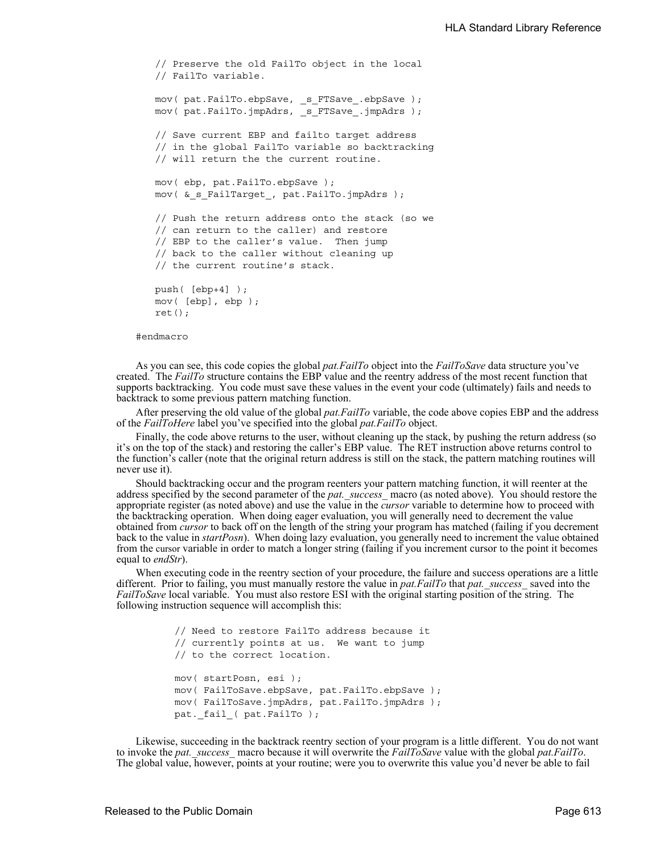```
// Preserve the old FailTo object in the local
// FailTo variable.
mov( pat.FailTo.ebpSave, _s_FTSave_.ebpSave );
mov( pat.FailTo.jmpAdrs, s FTSave .jmpAdrs );
// Save current EBP and failto target address
// in the global FailTo variable so backtracking
// will return the the current routine.
mov( ebp, pat.FailTo.ebpSave );
mov( & s FailTarget, pat.FailTo.jmpAdrs );
// Push the return address onto the stack (so we
// can return to the caller) and restore
// EBP to the caller's value. Then jump
// back to the caller without cleaning up
// the current routine's stack.
push( [ebp+4] );
mov( [ebp], ebp );
ret();
```
#endmacro

As you can see, this code copies the global *pat.FailTo* object into the *FailToSave* data structure you've created. The *FailTo* structure contains the EBP value and the reentry address of the most recent function that supports backtracking. You code must save these values in the event your code (ultimately) fails and needs to backtrack to some previous pattern matching function.

After preserving the old value of the global *pat.FailTo* variable, the code above copies EBP and the address of the *FailToHere* label you've specified into the global *pat.FailTo* object.

Finally, the code above returns to the user, without cleaning up the stack, by pushing the return address (so it's on the top of the stack) and restoring the caller's EBP value. The RET instruction above returns control to the function's caller (note that the original return address is still on the stack, the pattern matching routines will never use it).

Should backtracking occur and the program reenters your pattern matching function, it will reenter at the address specified by the second parameter of the *pat.* success macro (as noted above). You should restore the appropriate register (as noted above) and use the value in the *cursor* variable to determine how to proceed with the backtracking operation. When doing eager evaluation, you will generally need to decrement the value obtained from *cursor* to back off on the length of the string your program has matched (failing if you decrement back to the value in *startPosn*). When doing lazy evaluation, you generally need to increment the value obtained from the cursor variable in order to match a longer string (failing if you increment cursor to the point it becomes equal to *endStr*).

When executing code in the reentry section of your procedure, the failure and success operations are a little different. Prior to failing, you must manually restore the value in *pat.FailTo* that *pat.\_success\_* saved into the *FailToSave* local variable. You must also restore ESI with the original starting position of the string. The following instruction sequence will accomplish this:

> // Need to restore FailTo address because it // currently points at us. We want to jump // to the correct location. mov( startPosn, esi ); mov( FailToSave.ebpSave, pat.FailTo.ebpSave ); mov( FailToSave.jmpAdrs, pat.FailTo.jmpAdrs ); pat. fail ( pat.FailTo );

Likewise, succeeding in the backtrack reentry section of your program is a little different. You do not want to invoke the *pat.\_success\_* macro because it will overwrite the *FailToSave* value with the global *pat.FailTo*. The global value, however, points at your routine; were you to overwrite this value you'd never be able to fail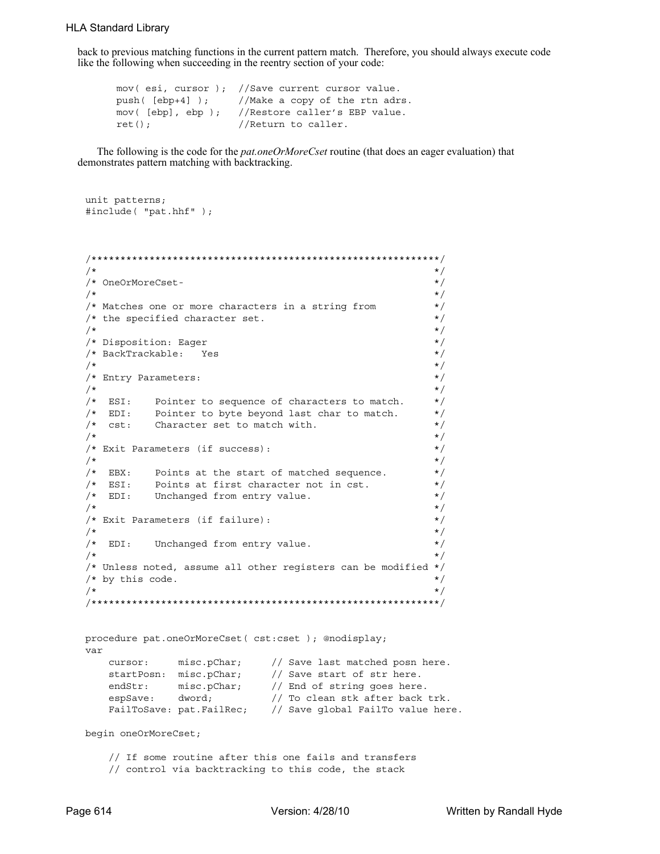back to previous matching functions in the current pattern match. Therefore, you should always execute code like the following when succeeding in the reentry section of your code:

```
mov( esi, cursor ); //Save current cursor value.
push( [ebp+4] ); //Make a copy of the rtn adrs.
mov( [ebp], ebp ); //Restore caller's EBP value.
ret(); //Return to caller.
```
The following is the code for the *pat.oneOrMoreCset* routine (that does an eager evaluation) that demonstrates pattern matching with backtracking.

```
unit patterns;
#include( "pat.hhf" );
```

```
/************************************************************/
 \sqrt{\frac{1}{\pi}} \frac{1}{\sqrt{2}}/* OneOrMoreCset- */
 \frac{1}{\sqrt{2}} \frac{1}{\sqrt{2}} \frac{1}{\sqrt{2}} \frac{1}{\sqrt{2}} \frac{1}{\sqrt{2}} \frac{1}{\sqrt{2}} \frac{1}{\sqrt{2}} \frac{1}{\sqrt{2}} \frac{1}{\sqrt{2}} \frac{1}{\sqrt{2}} \frac{1}{\sqrt{2}} \frac{1}{\sqrt{2}} \frac{1}{\sqrt{2}} \frac{1}{\sqrt{2}} \frac{1}{\sqrt{2}} \frac{1}{\sqrt{2}} \frac{1}{\sqrt{2}} 
/* Matches one or more characters in a string from */
/* the specified character set. */\frac{1}{\sqrt{2}} \frac{1}{\sqrt{2}} \frac{1}{\sqrt{2}} \frac{1}{\sqrt{2}} \frac{1}{\sqrt{2}} \frac{1}{\sqrt{2}} \frac{1}{\sqrt{2}} \frac{1}{\sqrt{2}} \frac{1}{\sqrt{2}} \frac{1}{\sqrt{2}} \frac{1}{\sqrt{2}} \frac{1}{\sqrt{2}} \frac{1}{\sqrt{2}} \frac{1}{\sqrt{2}} \frac{1}{\sqrt{2}} \frac{1}{\sqrt{2}} \frac{1}{\sqrt{2}} 
/* Disposition: Eager */
\begin{array}{ccc} \text{\hspace{0.5cm}}{\times}\end{array}\qquad \text{\hspace{0.5cm}} \begin{array}{ccc} \text{\hspace{0.5cm}}{\times}\end{array}\qquad \text{\hspace{0.5cm}} \begin{array}{ccc} \text{\hspace{0.5cm}}{\times}\end{array}\qquad \begin{array}{ccc} \text{\hspace{0.5cm}}{\times}\end{array}\qquad \begin{array}{ccc} \text{\hspace{0.5cm}}{\times}\end{array}\qquad \begin{array}{ccc} \text{\hspace{0.5cm}}{\times}\end{array}\qquad \begin{array}{ccc} \text{\hspace{0.5cm}}{\times}\end{array}\qquad \begin{array}{ccc} \text\frac{1}{\sqrt{2}} \frac{1}{\sqrt{2}} \frac{1}{\sqrt{2}} \frac{1}{\sqrt{2}} \frac{1}{\sqrt{2}} \frac{1}{\sqrt{2}} \frac{1}{\sqrt{2}} \frac{1}{\sqrt{2}} \frac{1}{\sqrt{2}} \frac{1}{\sqrt{2}} \frac{1}{\sqrt{2}} \frac{1}{\sqrt{2}} \frac{1}{\sqrt{2}} \frac{1}{\sqrt{2}} \frac{1}{\sqrt{2}} \frac{1}{\sqrt{2}} \frac{1}{\sqrt{2}} 
/* Entry Parameters: */
 \frac{1}{\sqrt{2}} \frac{1}{\sqrt{2}} \frac{1}{\sqrt{2}} \frac{1}{\sqrt{2}} \frac{1}{\sqrt{2}} \frac{1}{\sqrt{2}} \frac{1}{\sqrt{2}} \frac{1}{\sqrt{2}} \frac{1}{\sqrt{2}} \frac{1}{\sqrt{2}} \frac{1}{\sqrt{2}} \frac{1}{\sqrt{2}} \frac{1}{\sqrt{2}} \frac{1}{\sqrt{2}} \frac{1}{\sqrt{2}} \frac{1}{\sqrt{2}} \frac{1}{\sqrt{2}} 
/* ESI: Pointer to sequence of characters to match. *//* EDI: Pointer to byte beyond last char to match. */
/* cst: Character set to match with. \begin{array}{ccc} \star \end{array} /* \begin{array}{ccc} \star \end{array}\frac{1}{\sqrt{2}} \frac{1}{\sqrt{2}} \frac{1}{\sqrt{2}} \frac{1}{\sqrt{2}} \frac{1}{\sqrt{2}} \frac{1}{\sqrt{2}} \frac{1}{\sqrt{2}} \frac{1}{\sqrt{2}} \frac{1}{\sqrt{2}} \frac{1}{\sqrt{2}} \frac{1}{\sqrt{2}} \frac{1}{\sqrt{2}} \frac{1}{\sqrt{2}} \frac{1}{\sqrt{2}} \frac{1}{\sqrt{2}} \frac{1}{\sqrt{2}} \frac{1}{\sqrt{2}} 
/* Exit Parameters (if success): */
 \frac{1}{\sqrt{2}} \frac{1}{\sqrt{2}} \frac{1}{\sqrt{2}} \frac{1}{\sqrt{2}} \frac{1}{\sqrt{2}} \frac{1}{\sqrt{2}} \frac{1}{\sqrt{2}} \frac{1}{\sqrt{2}} \frac{1}{\sqrt{2}} \frac{1}{\sqrt{2}} \frac{1}{\sqrt{2}} \frac{1}{\sqrt{2}} \frac{1}{\sqrt{2}} \frac{1}{\sqrt{2}} \frac{1}{\sqrt{2}} \frac{1}{\sqrt{2}} \frac{1}{\sqrt{2}} 
/* EBX: Points at the start of matched sequence. * //* ESI: Points at first character not in cst. */
/* EDI: Unchanged from entry value. */
 \frac{1}{\sqrt{2}} \frac{1}{\sqrt{2}} \frac{1}{\sqrt{2}} \frac{1}{\sqrt{2}} \frac{1}{\sqrt{2}} \frac{1}{\sqrt{2}} \frac{1}{\sqrt{2}} \frac{1}{\sqrt{2}} \frac{1}{\sqrt{2}} \frac{1}{\sqrt{2}} \frac{1}{\sqrt{2}} \frac{1}{\sqrt{2}} \frac{1}{\sqrt{2}} \frac{1}{\sqrt{2}} \frac{1}{\sqrt{2}} \frac{1}{\sqrt{2}} \frac{1}{\sqrt{2}} 
/* Exit Parameters (if failure): */
 \frac{1}{\sqrt{2}} \frac{1}{\sqrt{2}} \frac{1}{\sqrt{2}} \frac{1}{\sqrt{2}} \frac{1}{\sqrt{2}} \frac{1}{\sqrt{2}} \frac{1}{\sqrt{2}} \frac{1}{\sqrt{2}} \frac{1}{\sqrt{2}} \frac{1}{\sqrt{2}} \frac{1}{\sqrt{2}} \frac{1}{\sqrt{2}} \frac{1}{\sqrt{2}} \frac{1}{\sqrt{2}} \frac{1}{\sqrt{2}} \frac{1}{\sqrt{2}} \frac{1}{\sqrt{2}} 
/* EDI: Unchanged from entry value. \begin{array}{ccc} & & \star \end{array} /* \begin{array}{ccc} & & \star \end{array}\sqrt{\frac{1}{\pi}} \frac{1}{\sqrt{2}}/* Unless noted, assume all other registers can be modified */
/* by this code. */\sqrt{\frac{1}{\pi}} \frac{1}{\sqrt{2}}/************************************************************/
procedure pat.oneOrMoreCset( cst:cset ); @nodisplay;
var
  cursor: misc.pChar; // Save last matched posn here.
  startPosn: misc.pChar; // Save start of str here.
  endStr: misc.pChar; // End of string goes here.
  espSave: dword; // To clean stk after back trk.
  FailToSave: pat.FailRec; // Save global FailTo value here.
```
begin oneOrMoreCset;

 // If some routine after this one fails and transfers // control via backtracking to this code, the stack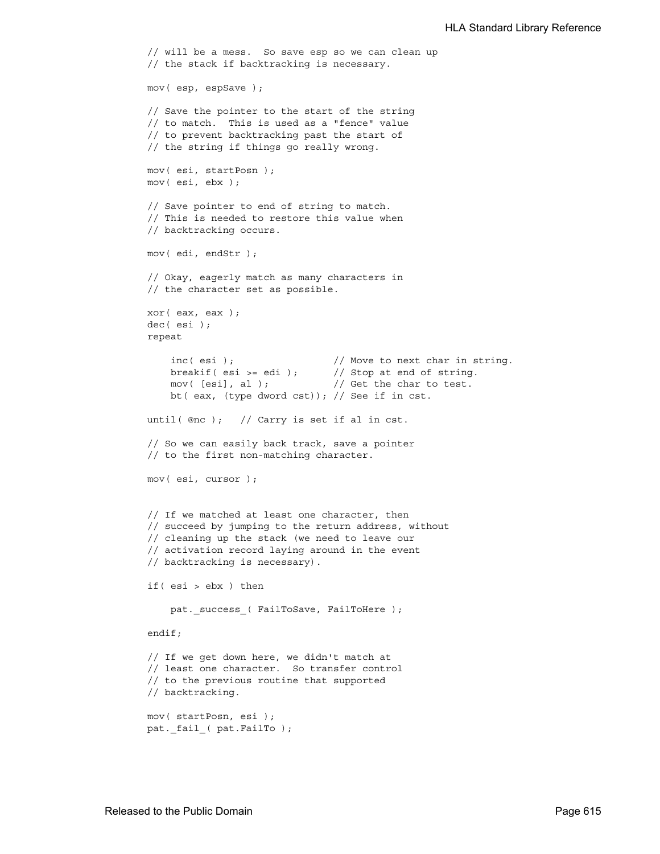```
 // will be a mess. So save esp so we can clean up
 // the stack if backtracking is necessary.
 mov( esp, espSave );
 // Save the pointer to the start of the string
 // to match. This is used as a "fence" value
 // to prevent backtracking past the start of
 // the string if things go really wrong.
 mov( esi, startPosn );
 mov( esi, ebx );
 // Save pointer to end of string to match.
 // This is needed to restore this value when
 // backtracking occurs.
 mov( edi, endStr );
 // Okay, eagerly match as many characters in
 // the character set as possible.
 xor( eax, eax );
 dec( esi );
 repeat
    inc( esi ); // Move to next char in string.
    breakif( esi >= edi ); // Stop at end of string.
    mov( [esi], al ); // Get the char to test. bt( eax, (type dword cst)); // See if in cst.
until( @nc ); // Carry is set if al in cst.
 // So we can easily back track, save a pointer
 // to the first non-matching character.
 mov( esi, cursor );
 // If we matched at least one character, then
 // succeed by jumping to the return address, without
 // cleaning up the stack (we need to leave our
 // activation record laying around in the event
 // backtracking is necessary).
 if( esi > ebx ) then
    pat. success ( FailToSave, FailToHere );
 endif;
 // If we get down here, we didn't match at
 // least one character. So transfer control
 // to the previous routine that supported
 // backtracking.
 mov( startPosn, esi );
pat. fail ( pat.FailTo );
```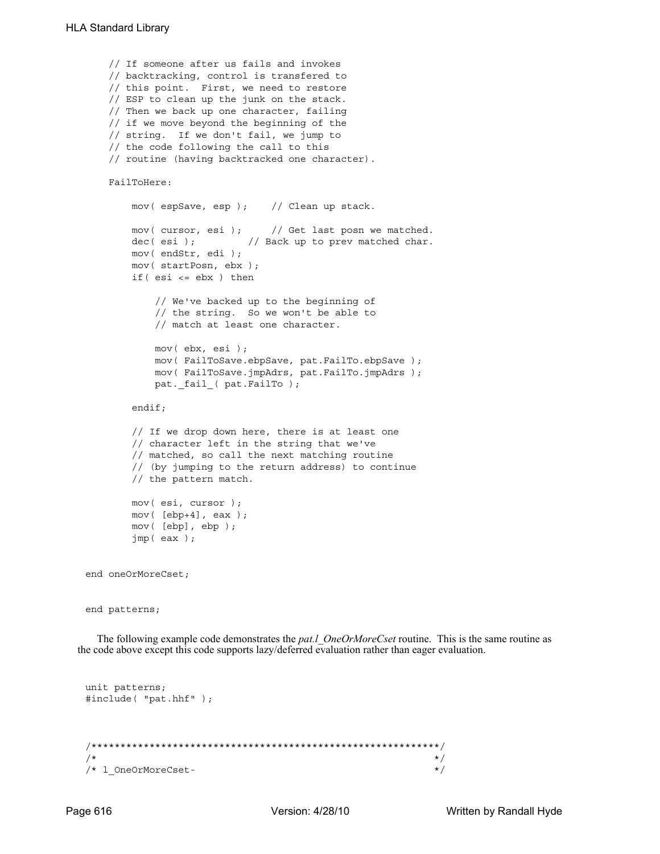```
 // If someone after us fails and invokes
     // backtracking, control is transfered to
     // this point. First, we need to restore
     // ESP to clean up the junk on the stack.
     // Then we back up one character, failing
     // if we move beyond the beginning of the
     // string. If we don't fail, we jump to
     // the code following the call to this
     // routine (having backtracked one character).
     FailToHere:
        mov( espSave, esp ); // Clean up stack.
        mov( cursor, esi ); // Get last posn we matched.
        dec( esi ); \frac{1}{2} Back up to prev matched char.
        mov( endStr, edi );
        mov( startPosn, ebx );
         if( esi <= ebx ) then
             // We've backed up to the beginning of
             // the string. So we won't be able to
             // match at least one character. 
             mov( ebx, esi );
             mov( FailToSave.ebpSave, pat.FailTo.ebpSave );
             mov( FailToSave.jmpAdrs, pat.FailTo.jmpAdrs );
            pat. fail ( pat.FailTo );
         endif;
         // If we drop down here, there is at least one
         // character left in the string that we've
         // matched, so call the next matching routine
         // (by jumping to the return address) to continue
         // the pattern match.
        mov( esi, cursor );
         mov( [ebp+4], eax );
         mov( [ebp], ebp );
         jmp( eax );
end oneOrMoreCset;
end patterns;
```
The following example code demonstrates the *pat.l\_OneOrMoreCset* routine. This is the same routine as the code above except this code supports lazy/deferred evaluation rather than eager evaluation.

```
unit patterns;
#include( "pat.hhf" );
/************************************************************/
\frac{1}{\sqrt{2}} \frac{1}{\sqrt{2}} \frac{1}{\sqrt{2}} \frac{1}{\sqrt{2}} \frac{1}{\sqrt{2}} \frac{1}{\sqrt{2}} \frac{1}{\sqrt{2}} \frac{1}{\sqrt{2}} \frac{1}{\sqrt{2}} \frac{1}{\sqrt{2}} \frac{1}{\sqrt{2}} \frac{1}{\sqrt{2}} \frac{1}{\sqrt{2}} \frac{1}{\sqrt{2}} \frac{1}{\sqrt{2}} \frac{1}{\sqrt{2}} \frac{1}{\sqrt{2}} 
/* l_OneOrMoreCset- */
```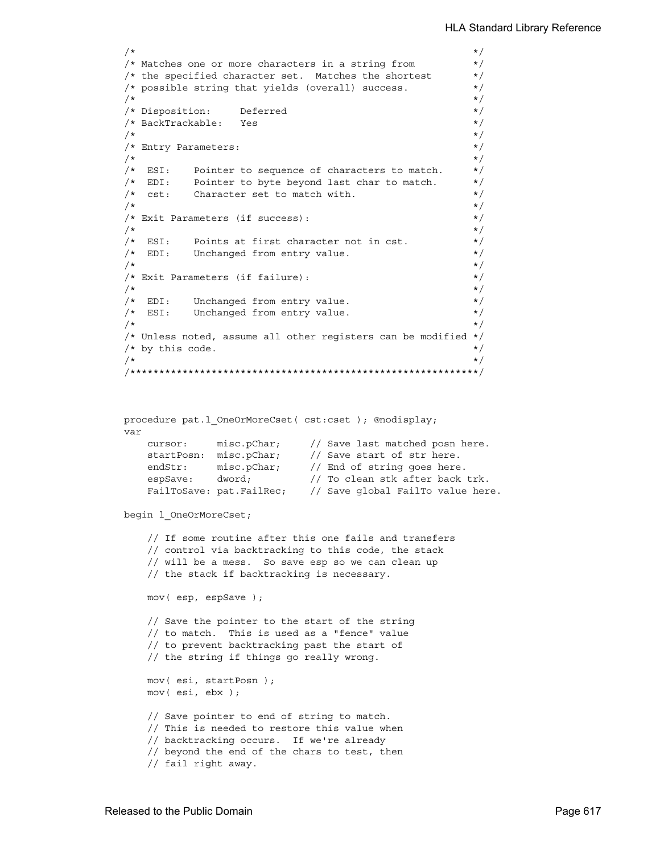```
\sqrt{\star} \frac{\star}{\sqrt{2}}/* Matches one or more characters in a string from */
/* the specified character set. Matches the shortest *//* possible string that yields (overall) success. */
\sqrt{\frac{1}{\pi}} \sqrt{\frac{1}{\pi}}/* Disposition: Deferred */
/* BackTrackable: Yes */
\sqrt{\frac{1}{\pi}} \sqrt{\frac{1}{\pi}}/* Entry Parameters: \frac{x}{4}\sqrt{\star} \frac{\star}{\sqrt{2}}/* ESI: Pointer to sequence of characters to match. */
/* EDI: Pointer to byte beyond last char to match. */
/* cst: Character set to match with. */\sqrt{\frac{1}{\pi}} \sqrt{\frac{1}{\pi}}/* Exit Parameters (if success): */
\sqrt{\star} \frac{\star}{\sqrt{2}}/* ESI: Points at first character not in cst. *//* EDI: Unchanged from entry value. */
\sqrt{\star} \frac{\star}{\sqrt{2}}/* Exit Parameters (if failure): */
\sqrt{\star} \frac{\star}{\sqrt{2}}/* EDI: Unchanged from entry value. */
/* ESI: Unchanged from entry value. */
\sqrt{\star} \frac{\star}{\sqrt{2}}/* Unless noted, assume all other registers can be modified */
/* by this code. */\sqrt{\star} \frac{\star}{\sqrt{2}}/************************************************************/
procedure pat.l_OneOrMoreCset( cst:cset ); @nodisplay;
var
   cursor: misc.pChar; // Save last matched posn here.
   startPosn: misc.pChar; // Save start of str here.
   endStr: misc.pChar; // End of string goes here.
   espSave: dword; // To clean stk after back trk.
   FailToSave: pat.FailRec; // Save global FailTo value here.
begin l_OneOrMoreCset;
    // If some routine after this one fails and transfers
    // control via backtracking to this code, the stack
    // will be a mess. So save esp so we can clean up
    // the stack if backtracking is necessary.
   mov( esp, espSave );
    // Save the pointer to the start of the string
    // to match. This is used as a "fence" value
    // to prevent backtracking past the start of
    // the string if things go really wrong.
   mov( esi, startPosn );
   mov( esi, ebx );
    // Save pointer to end of string to match.
    // This is needed to restore this value when
```
// fail right away.

 // backtracking occurs. If we're already // beyond the end of the chars to test, then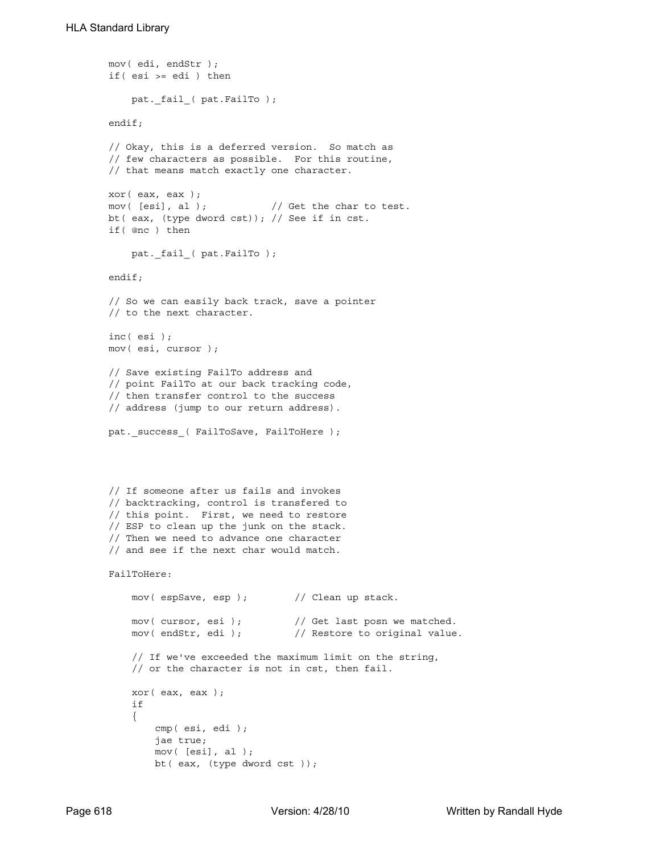```
 mov( edi, endStr );
 if( esi >= edi ) then
     pat._fail_( pat.FailTo );
 endif;
 // Okay, this is a deferred version. So match as
 // few characters as possible. For this routine,
 // that means match exactly one character.
 xor( eax, eax );
mov( [esi], al ); \qquad // Get the char to test.
 bt( eax, (type dword cst)); // See if in cst.
 if( @nc ) then
    pat. fail ( pat.FailTo );
 endif;
 // So we can easily back track, save a pointer
 // to the next character.
 inc( esi );
 mov( esi, cursor );
 // Save existing FailTo address and
 // point FailTo at our back tracking code,
 // then transfer control to the success
 // address (jump to our return address).
pat. success ( FailToSave, FailToHere );
 // If someone after us fails and invokes
 // backtracking, control is transfered to
 // this point. First, we need to restore
 // ESP to clean up the junk on the stack.
 // Then we need to advance one character
 // and see if the next char would match.
 FailToHere:
     mov( espSave, esp ); // Clean up stack.
    mov( cursor, esi ); \frac{1}{2} // Get last posn we matched.
    mov( endStr, edi ); \frac{1}{2} // Restore to original value.
     // If we've exceeded the maximum limit on the string,
     // or the character is not in cst, then fail.
     xor( eax, eax );
     if
     {
         cmp( esi, edi );
         jae true;
         mov( [esi], al );
         bt( eax, (type dword cst ));
```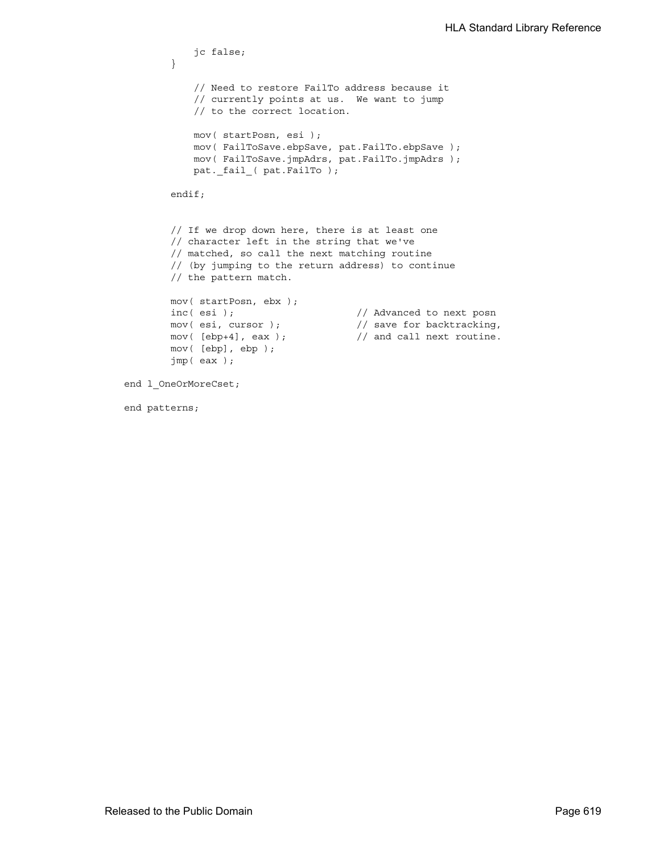```
 jc false;
         }
             // Need to restore FailTo address because it
            // currently points at us. We want to jump
             // to the correct location.
            mov( startPosn, esi );
            mov( FailToSave.ebpSave, pat.FailTo.ebpSave );
            mov( FailToSave.jmpAdrs, pat.FailTo.jmpAdrs );
            pat._fail_( pat.FailTo );
        endif;
        // If we drop down here, there is at least one
        // character left in the string that we've
        // matched, so call the next matching routine
        // (by jumping to the return address) to continue
        // the pattern match.
        mov( startPosn, ebx );
       inc( esi ); \frac{1}{2} // Advanced to next posn
       mov( esi, cursor ); \sqrt{2} save for backtracking,
       mov([ebp+4], eax ); // and call next routine.
        mov( [ebp], ebp );
        jmp( eax );
end l_OneOrMoreCset;
```
end patterns;